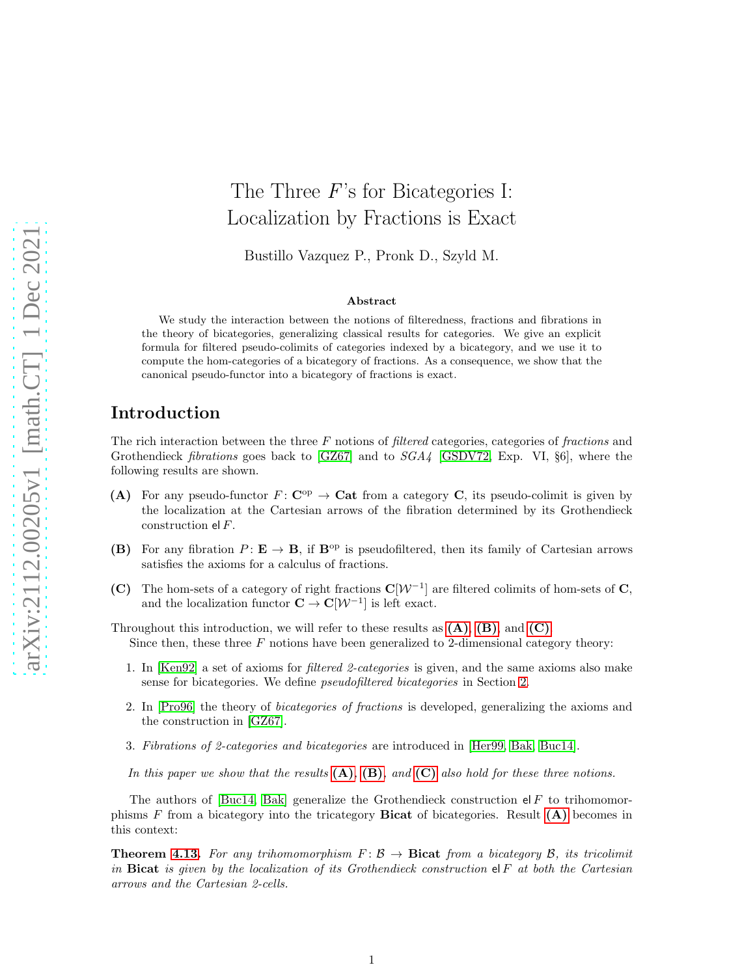# The Three F's for Bicategories I: Localization by Fractions is Exact

Bustillo Vazquez P., Pronk D., Szyld M.

#### Abstract

We study the interaction between the notions of filteredness, fractions and fibrations in the theory of bicategories, generalizing classical results for categories. We give an explicit formula for filtered pseudo-colimits of categories indexed by a bicategory, and we use it to compute the hom-categories of a bicategory of fractions. As a consequence, we show that the canonical pseudo-functor into a bicategory of fractions is exact.

## Introduction

The rich interaction between the three  $F$  notions of *filtered* categories, categories of *fractions* and Grothendieck *fibrations* goes back to [\[GZ67\]](#page-33-0) and to  $SGA4$  [\[GSDV72,](#page-33-1) Exp. VI, §6], where the following results are shown.

- <span id="page-0-0"></span>(A) For any pseudo-functor  $F: \mathbf{C}^{\mathrm{op}} \to \mathbf{Cat}$  from a category C, its pseudo-colimit is given by the localization at the Cartesian arrows of the fibration determined by its Grothendieck construction el F.
- <span id="page-0-1"></span>(B) For any fibration  $P: \mathbf{E} \to \mathbf{B}$ , if  $\mathbf{B}^{\text{op}}$  is pseudofiltered, then its family of Cartesian arrows satisfies the axioms for a calculus of fractions.
- <span id="page-0-2"></span>(C) The hom-sets of a category of right fractions  $C[W^{-1}]$  are filtered colimits of hom-sets of C, and the localization functor  $\mathbf{C} \to \mathbf{C}[\mathcal{W}^{-1}]$  is left exact.

Throughout this introduction, we will refer to these results as  $(A)$ ,  $(B)$ , and  $(C)$ . Since then, these three  $F$  notions have been generalized to 2-dimensional category theory:

- 1. In [\[Ken92\]](#page-33-2) a set of axioms for filtered 2-categories is given, and the same axioms also make sense for bicategories. We define pseudofiltered bicategories in Section [2.](#page-5-0)
- 2. In [\[Pro96\]](#page-33-3) the theory of bicategories of fractions is developed, generalizing the axioms and the construction in [\[GZ67\]](#page-33-0).
- 3. Fibrations of 2-categories and bicategories are introduced in [\[Her99,](#page-33-4) [Bak,](#page-32-0) [Buc14\]](#page-32-1).

In this paper we show that the results  $(A)$ ,  $(B)$ , and  $(C)$  also hold for these three notions.

The authors of [\[Buc14,](#page-32-1) [Bak\]](#page-32-0) generalize the Grothendieck construction  $el F$  to trihomomorphisms F from a bicategory into the tricategory **Bicat** of bicategories. Result  $(A)$  becomes in this context:

**Theorem [4.13.](#page-18-0)** For any trihomomorphism  $F: \mathcal{B} \to \mathbf{Bicat}$  from a bicategory  $\mathcal{B}$ , its tricolimit in Bicat is given by the localization of its Grothendieck construction  $\mathsf{el} \, F$  at both the Cartesian arrows and the Cartesian 2-cells.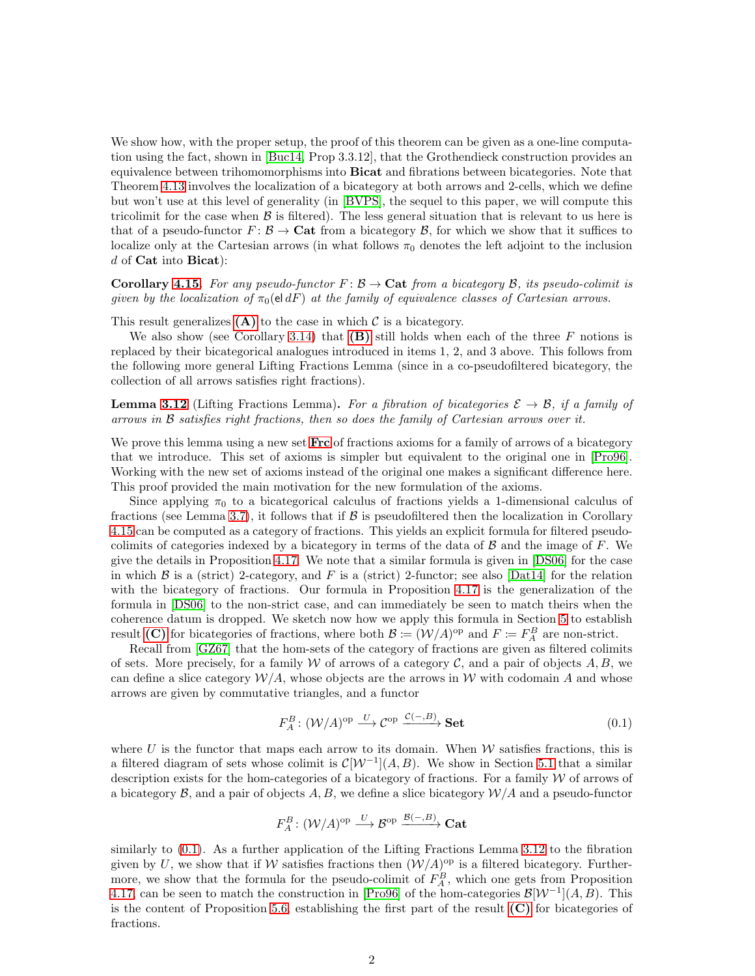We show how, with the proper setup, the proof of this theorem can be given as a one-line computation using the fact, shown in [\[Buc14,](#page-32-1) Prop 3.3.12], that the Grothendieck construction provides an equivalence between trihomomorphisms into **Bicat** and fibrations between bicategories. Note that Theorem [4.13](#page-18-0) involves the localization of a bicategory at both arrows and 2-cells, which we define but won't use at this level of generality (in [\[BVPS\]](#page-32-2), the sequel to this paper, we will compute this tricolimit for the case when  $\beta$  is filtered). The less general situation that is relevant to us here is that of a pseudo-functor  $F: \mathcal{B} \to \mathbf{Cat}$  from a bicategory  $\mathcal{B}$ , for which we show that it suffices to localize only at the Cartesian arrows (in what follows  $\pi_0$  denotes the left adjoint to the inclusion  $d$  of Cat into Bicat):

**Corollary [4.15.](#page-19-0)** For any pseudo-functor  $F : \mathcal{B} \to \mathbf{Cat}$  from a bicategory  $\mathcal{B}$ , its pseudo-colimit is given by the localization of  $\pi_0(\text{el } dF)$  at the family of equivalence classes of Cartesian arrows.

This result generalizes  $(A)$  to the case in which  $C$  is a bicategory.

We also show (see Corollary [3.14\)](#page-16-0) that  $(B)$  still holds when each of the three F notions is replaced by their bicategorical analogues introduced in items 1, 2, and 3 above. This follows from the following more general Lifting Fractions Lemma (since in a co-pseudofiltered bicategory, the collection of all arrows satisfies right fractions).

**Lemma [3.12](#page-14-0)** (Lifting Fractions Lemma). For a fibration of bicategories  $\mathcal{E} \to \mathcal{B}$ , if a family of arrows in  $\beta$  satisfies right fractions, then so does the family of Cartesian arrows over it.

We prove this lemma using a new set  $\textbf{Frc}$  $\textbf{Frc}$  $\textbf{Frc}$  of fractions axioms for a family of arrows of a bicategory that we introduce. This set of axioms is simpler but equivalent to the original one in [\[Pro96\]](#page-33-3). Working with the new set of axioms instead of the original one makes a significant difference here. This proof provided the main motivation for the new formulation of the axioms.

Since applying  $\pi_0$  to a bicategorical calculus of fractions yields a 1-dimensional calculus of fractions (see Lemma [3.7\)](#page-12-0), it follows that if  $\beta$  is pseudofiltered then the localization in Corollary [4.15](#page-19-0) can be computed as a category of fractions. This yields an explicit formula for filtered pseudocolimits of categories indexed by a bicategory in terms of the data of  $\beta$  and the image of F. We give the details in Proposition [4.17.](#page-19-1) We note that a similar formula is given in [\[DS06\]](#page-32-3) for the case in which  $\beta$  is a (strict) 2-category, and F is a (strict) 2-functor; see also [\[Dat14\]](#page-32-4) for the relation with the bicategory of fractions. Our formula in Proposition [4.17](#page-19-1) is the generalization of the formula in [\[DS06\]](#page-32-3) to the non-strict case, and can immediately be seen to match theirs when the coherence datum is dropped. We sketch now how we apply this formula in Section [5](#page-24-0) to establish result [\(C\)](#page-0-2) for bicategories of fractions, where both  $\mathcal{B} := (\mathcal{W}/A)^{op}$  and  $F := F_A^B$  are non-strict.

Recall from [\[GZ67\]](#page-33-0) that the hom-sets of the category of fractions are given as filtered colimits of sets. More precisely, for a family W of arrows of a category  $\mathcal{C}$ , and a pair of objects  $A, B$ , we can define a slice category  $\mathcal{W}/A$ , whose objects are the arrows in W with codomain A and whose arrows are given by commutative triangles, and a functor

<span id="page-1-0"></span>
$$
F_A^B: (\mathcal{W}/A)^{\text{op}} \xrightarrow{U} \mathcal{C}^{\text{op}} \xrightarrow{\mathcal{C}(-,B)} \mathbf{Set}
$$
 (0.1)

where U is the functor that maps each arrow to its domain. When  $W$  satisfies fractions, this is a filtered diagram of sets whose colimit is  $\mathcal{C}[\mathcal{W}^{-1}](A, B)$ . We show in Section [5.1](#page-25-0) that a similar description exists for the hom-categories of a bicategory of fractions. For a family  $W$  of arrows of a bicategory  $\mathcal{B}$ , and a pair of objects  $A, B$ , we define a slice bicategory  $\mathcal{W}/A$  and a pseudo-functor

$$
F_A^B\colon (\mathcal{W}/A)^{\text{op}}\stackrel{U}{\longrightarrow} \mathcal{B}^{\text{op}}\stackrel{\mathcal{B}(-,B)}{\longrightarrow} \mathbf{Cat}
$$

similarly to [\(0.1\)](#page-1-0). As a further application of the Lifting Fractions Lemma [3.12](#page-14-0) to the fibration given by U, we show that if W satisfies fractions then  $(W/A)^{\text{op}}$  is a filtered bicategory. Furthermore, we show that the formula for the pseudo-colimit of  $F_A^B$ , which one gets from Proposition [4.17,](#page-19-1) can be seen to match the construction in [\[Pro96\]](#page-33-3) of the hom-categories  $\mathcal{B}[W^{-1}](A, B)$ . This is the content of Proposition [5.6,](#page-26-0) establishing the first part of the result  $(C)$  for bicategories of fractions.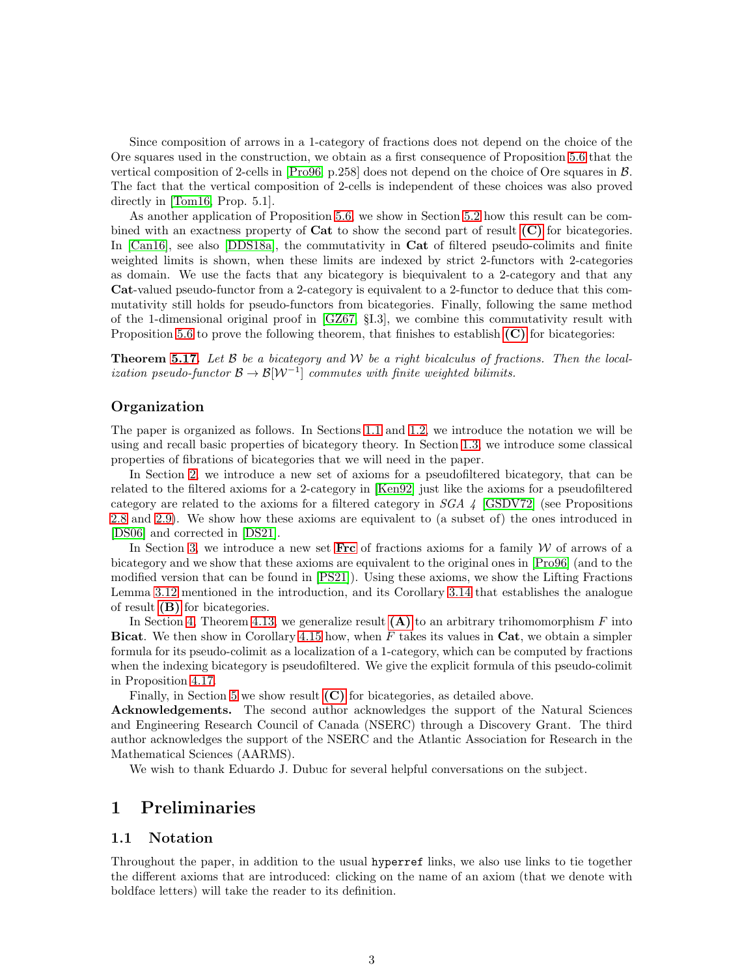Since composition of arrows in a 1-category of fractions does not depend on the choice of the Ore squares used in the construction, we obtain as a first consequence of Proposition [5.6](#page-26-0) that the vertical composition of 2-cells in [\[Pro96,](#page-33-3) p.258] does not depend on the choice of Ore squares in B. The fact that the vertical composition of 2-cells is independent of these choices was also proved directly in [\[Tom16,](#page-33-5) Prop. 5.1].

As another application of Proposition [5.6,](#page-26-0) we show in Section [5.2](#page-30-0) how this result can be combined with an exactness property of  $Cat$  to show the second part of result  $(C)$  for bicategories. In [\[Can16\]](#page-32-5), see also [\[DDS18a\]](#page-32-6), the commutativity in **Cat** of filtered pseudo-colimits and finite weighted limits is shown, when these limits are indexed by strict 2-functors with 2-categories as domain. We use the facts that any bicategory is biequivalent to a 2-category and that any Cat-valued pseudo-functor from a 2-category is equivalent to a 2-functor to deduce that this commutativity still holds for pseudo-functors from bicategories. Finally, following the same method of the 1-dimensional original proof in [\[GZ67,](#page-33-0) §I.3], we combine this commutativity result with Proposition [5.6](#page-26-0) to prove the following theorem, that finishes to establish  $(C)$  for bicategories:

**Theorem [5.17.](#page-31-0)** Let  $\beta$  be a bicategory and  $\mathcal{W}$  be a right bicalculus of fractions. Then the localization pseudo-functor  $\mathcal{B} \to \mathcal{B}[W^{-1}]$  commutes with finite weighted bilimits.

#### **Organization**

The paper is organized as follows. In Sections [1.1](#page-2-0) and [1.2,](#page-3-0) we introduce the notation we will be using and recall basic properties of bicategory theory. In Section [1.3,](#page-4-0) we introduce some classical properties of fibrations of bicategories that we will need in the paper.

In Section [2,](#page-5-0) we introduce a new set of axioms for a pseudofiltered bicategory, that can be related to the filtered axioms for a 2-category in [\[Ken92\]](#page-33-2) just like the axioms for a pseudofiltered category are related to the axioms for a filtered category in  $SGA \neq [GSDV72]$  $SGA \neq [GSDV72]$  (see Propositions [2.8](#page-8-0) and [2.9\)](#page-8-1). We show how these axioms are equivalent to (a subset of) the ones introduced in [\[DS06\]](#page-32-3) and corrected in [\[DS21\]](#page-32-7).

In Section [3,](#page-9-0) we introduce a new set  $\textbf{Frc}$  $\textbf{Frc}$  $\textbf{Frc}$  of fractions axioms for a family W of arrows of a bicategory and we show that these axioms are equivalent to the original ones in [\[Pro96\]](#page-33-3) (and to the modified version that can be found in [\[PS21\]](#page-33-6)). Using these axioms, we show the Lifting Fractions Lemma [3.12](#page-14-0) mentioned in the introduction, and its Corollary [3.14](#page-16-0) that establishes the analogue of result [\(B\)](#page-0-1) for bicategories.

In Section [4,](#page-16-1) Theorem [4.13,](#page-18-0) we generalize result  $(A)$  to an arbitrary trihomomorphism F into Bicat. We then show in Corollary [4.15](#page-19-0) how, when  $F$  takes its values in Cat, we obtain a simpler formula for its pseudo-colimit as a localization of a 1-category, which can be computed by fractions when the indexing bicategory is pseudofiltered. We give the explicit formula of this pseudo-colimit in Proposition [4.17.](#page-19-1)

Finally, in Section [5](#page-24-0) we show result [\(C\)](#page-0-2) for bicategories, as detailed above.

Acknowledgements. The second author acknowledges the support of the Natural Sciences and Engineering Research Council of Canada (NSERC) through a Discovery Grant. The third author acknowledges the support of the NSERC and the Atlantic Association for Research in the Mathematical Sciences (AARMS).

We wish to thank Eduardo J. Dubuc for several helpful conversations on the subject.

## <span id="page-2-0"></span>1 Preliminaries

#### 1.1 Notation

Throughout the paper, in addition to the usual hyperref links, we also use links to tie together the different axioms that are introduced: clicking on the name of an axiom (that we denote with boldface letters) will take the reader to its definition.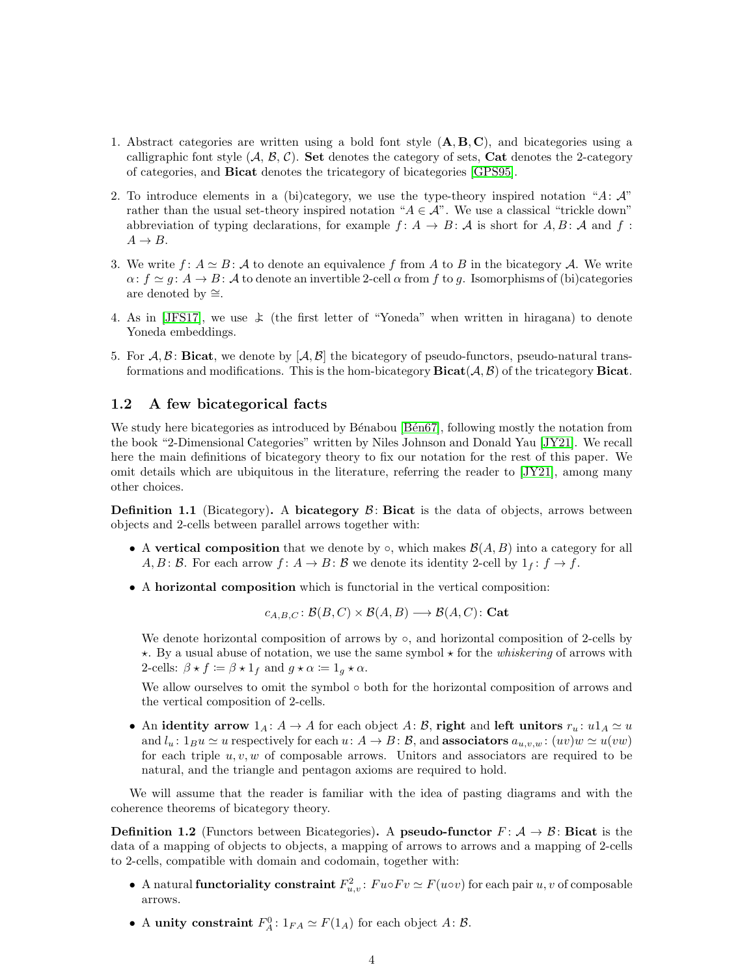- 1. Abstract categories are written using a bold font style  $(A, B, C)$ , and bicategories using a calligraphic font style  $(A, \mathcal{B}, \mathcal{C})$ . Set denotes the category of sets, Cat denotes the 2-category of categories, and Bicat denotes the tricategory of bicategories [\[GPS95\]](#page-33-7).
- 2. To introduce elements in a (bi)category, we use the type-theory inspired notation "A:  $\mathcal{A}$ " rather than the usual set-theory inspired notation " $A \in \mathcal{A}$ ". We use a classical "trickle down" abbreviation of typing declarations, for example  $f: A \rightarrow B: A$  is short for  $A, B: A$  and  $f: A \rightarrow B: A$  $A \rightarrow B$ .
- 3. We write  $f: A \simeq B$ : A to denote an equivalence f from A to B in the bicategory A. We write  $\alpha: f \simeq g: A \to B: A$  to denote an invertible 2-cell  $\alpha$  from f to g. Isomorphisms of (bi)categories are denoted by  $\cong$ .
- 4. As in [\[JFS17\]](#page-33-8), we use  $\angle$  (the first letter of "Yoneda" when written in hiragana) to denote Yoneda embeddings.
- 5. For  $A, B$ : Bicat, we denote by  $[A, B]$  the bicategory of pseudo-functors, pseudo-natural transformations and modifications. This is the hom-bicategory  $\textbf{Bicat}(\mathcal{A}, \mathcal{B})$  of the tricategory  $\textbf{Bicat}$ .

#### <span id="page-3-0"></span>1.2 A few bicategorical facts

We study here bicategories as introduced by Bénabou [Bén67], following mostly the notation from the book "2-Dimensional Categories" written by Niles Johnson and Donald Yau [\[JY21\]](#page-33-9). We recall here the main definitions of bicategory theory to fix our notation for the rest of this paper. We omit details which are ubiquitous in the literature, referring the reader to [\[JY21\]](#page-33-9), among many other choices.

**Definition 1.1** (Bicategory). A bicategory  $\mathcal{B}$ : Bicat is the data of objects, arrows between objects and 2-cells between parallel arrows together with:

- A vertical composition that we denote by  $\circ$ , which makes  $\mathcal{B}(A, B)$  into a category for all A, B: B. For each arrow  $f: A \to B$ : B we denote its identity 2-cell by  $1_f: f \to f$ .
- A horizontal composition which is functorial in the vertical composition:

$$
c_{A,B,C}
$$
:  $\mathcal{B}(B,C) \times \mathcal{B}(A,B) \longrightarrow \mathcal{B}(A,C)$ : Cat

We denote horizontal composition of arrows by  $\circ$ , and horizontal composition of 2-cells by  $\star$ . By a usual abuse of notation, we use the same symbol  $\star$  for the *whiskering* of arrows with 2-cells:  $\beta \star f \coloneqq \beta \star 1_f$  and  $g \star \alpha \coloneqq 1_g \star \alpha$ .

We allow ourselves to omit the symbol  $\circ$  both for the horizontal composition of arrows and the vertical composition of 2-cells.

• An identity arrow  $1_A: A \to A$  for each object A: B, right and left unitors  $r_u: u1_A \simeq u$ and  $l_u: 1_B u \simeq u$  respectively for each  $u: A \to B: \mathcal{B}$ , and **associators**  $a_{u,v,w}: (uv)w \simeq u(vw)$ for each triple  $u, v, w$  of composable arrows. Unitors and associators are required to be natural, and the triangle and pentagon axioms are required to hold.

We will assume that the reader is familiar with the idea of pasting diagrams and with the coherence theorems of bicategory theory.

**Definition 1.2** (Functors between Bicategories). A **pseudo-functor**  $F: A \rightarrow B$ : **Bicat** is the data of a mapping of objects to objects, a mapping of arrows to arrows and a mapping of 2-cells to 2-cells, compatible with domain and codomain, together with:

- A natural **functoriality constraint**  $F_{u,v}^2$ :  $Fu \circ F v \simeq F(u \circ v)$  for each pair  $u, v$  of composable arrows.
- A unity constraint  $F_A^0: 1_{FA} \simeq F(1_A)$  for each object  $A: \mathcal{B}$ .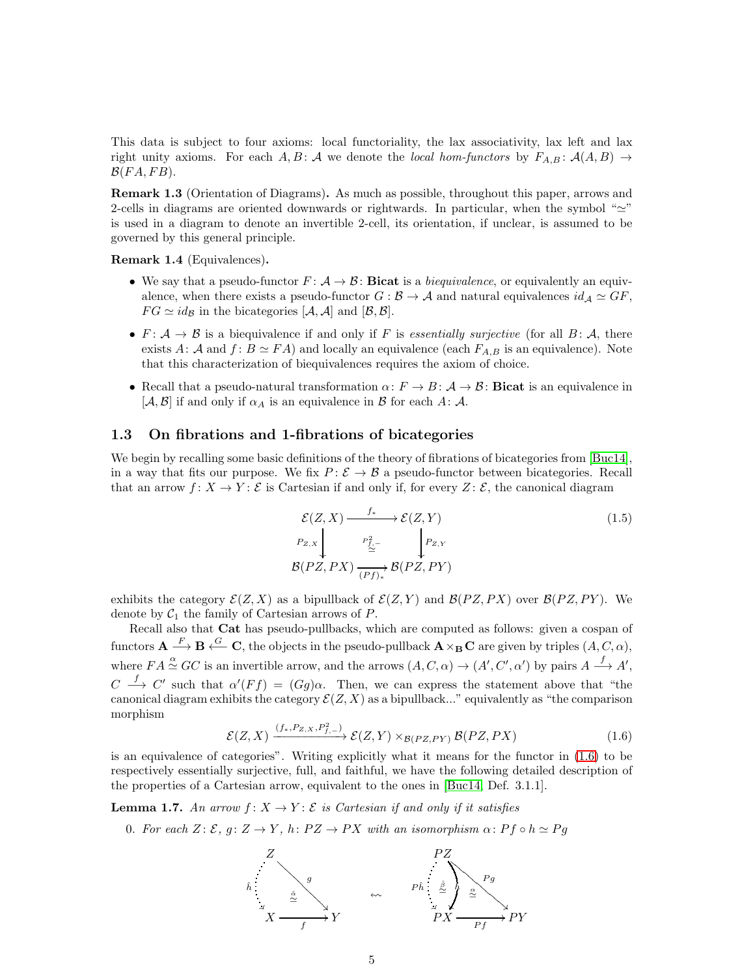This data is subject to four axioms: local functoriality, the lax associativity, lax left and lax right unity axioms. For each A, B: A we denote the local hom-functors by  $F_{A,B}$ :  $A(A,B) \rightarrow$  $\mathcal{B}(FA, FB)$ .

Remark 1.3 (Orientation of Diagrams). As much as possible, throughout this paper, arrows and 2-cells in diagrams are oriented downwards or rightwards. In particular, when the symbol " $\simeq$ " is used in a diagram to denote an invertible 2-cell, its orientation, if unclear, is assumed to be governed by this general principle.

<span id="page-4-3"></span>Remark 1.4 (Equivalences).

- We say that a pseudo-functor  $F: \mathcal{A} \to \mathcal{B}$ : **Bicat** is a *biequivalence*, or equivalently an equivalence, when there exists a pseudo-functor  $G : \mathcal{B} \to \mathcal{A}$  and natural equivalences  $id_{\mathcal{A}} \simeq GF$ ,  $FG \simeq id_{\mathcal{B}}$  in the bicategories  $[\mathcal{A}, \mathcal{A}]$  and  $[\mathcal{B}, \mathcal{B}].$
- $F: \mathcal{A} \to \mathcal{B}$  is a biequivalence if and only if F is essentially surjective (for all  $B: \mathcal{A}$ , there exists A: A and  $f: B \simeq FA$ ) and locally an equivalence (each  $F_{A,B}$  is an equivalence). Note that this characterization of biequivalences requires the axiom of choice.
- Recall that a pseudo-natural transformation  $\alpha: F \to B: A \to \mathcal{B}$ : Bicat is an equivalence in  $[\mathcal{A}, \mathcal{B}]$  if and only if  $\alpha_A$  is an equivalence in  $\mathcal{B}$  for each  $A : \mathcal{A}$ .

#### <span id="page-4-0"></span>1.3 On fibrations and 1-fibrations of bicategories

We begin by recalling some basic definitions of the theory of fibrations of bicategories from [\[Buc14\]](#page-32-1), in a way that fits our purpose. We fix  $P: \mathcal{E} \to \mathcal{B}$  a pseudo-functor between bicategories. Recall that an arrow  $f: X \to Y$ : E is Cartesian if and only if, for every  $Z: \mathcal{E}$ , the canonical diagram

$$
\mathcal{E}(Z, X) \xrightarrow{f^*} \mathcal{E}(Z, Y)
$$
\n
$$
P_{Z,X} \downarrow \qquad P_{\underline{f}, -}^2 \downarrow \qquad P_{Z,Y}
$$
\n
$$
\mathcal{B}(PZ, PX) \xrightarrow{(Pf)^*} \mathcal{B}(PZ, PY)
$$
\n(1.5)

exhibits the category  $\mathcal{E}(Z, X)$  as a bipullback of  $\mathcal{E}(Z, Y)$  and  $\mathcal{B}(PZ, PX)$  over  $\mathcal{B}(PZ, PY)$ . We denote by  $C_1$  the family of Cartesian arrows of P.

Recall also that Cat has pseudo-pullbacks, which are computed as follows: given a cospan of functors  ${\bf A} \stackrel{F}{\longrightarrow} {\bf B} \stackrel{G}{\longleftarrow} {\bf C}$ , the objects in the pseudo-pullback  ${\bf A} \times_{\bf B} {\bf C}$  are given by triples  $(A, C, \alpha)$ , where  $FA \stackrel{\alpha}{\simeq} GC$  is an invertible arrow, and the arrows  $(A, C, \alpha) \rightarrow (A', C', \alpha')$  by pairs  $A \stackrel{f}{\longrightarrow} A'$ ,  $C \stackrel{f}{\longrightarrow} C'$  such that  $\alpha'(Ff) = (Gg)\alpha$ . Then, we can express the statement above that "the canonical diagram exhibits the category  $\mathcal{E}(Z, X)$  as a bipullback..." equivalently as "the comparison morphism

<span id="page-4-1"></span>
$$
\mathcal{E}(Z,X) \xrightarrow{(f_*,P_{Z,X},P_{f,-}^2)} \mathcal{E}(Z,Y) \times_{\mathcal{B}(PZ,PY)} \mathcal{B}(PZ,PX) \tag{1.6}
$$

is an equivalence of categories". Writing explicitly what it means for the functor in [\(1.6\)](#page-4-1) to be respectively essentially surjective, full, and faithful, we have the following detailed description of the properties of a Cartesian arrow, equivalent to the ones in [\[Buc14,](#page-32-1) Def. 3.1.1].

<span id="page-4-2"></span>**Lemma 1.7.** An arrow  $f: X \to Y: \mathcal{E}$  is Cartesian if and only if it satisfies

0. For each  $Z: \mathcal{E}, g: Z \to Y$ , h:  $PZ \to PX$  with an isomorphism  $\alpha: Pf \circ h \simeq Pg$ 

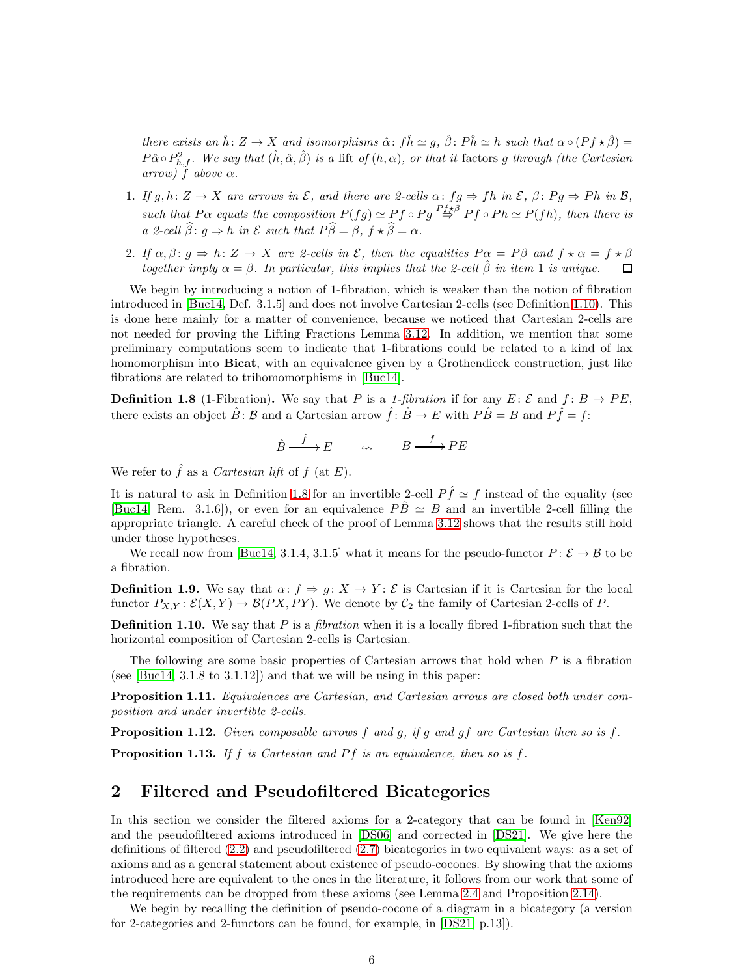there exists an  $\hat{h}: Z \to X$  and isomorphisms  $\hat{\alpha}: f\hat{h} \simeq g$ ,  $\hat{\beta}: P\hat{h} \simeq h$  such that  $\alpha \circ (Pf \star \hat{\beta}) =$  $P\hat{\alpha} \circ P_{h,f}^2$ . We say that  $(\hat{h}, \hat{\alpha}, \hat{\beta})$  is a lift of  $(h, \alpha)$ , or that it factors g through (the Cartesian arrow)  $f$  above  $\alpha$ .

- 1. If  $g, h: Z \to X$  are arrows in  $\mathcal{E}$ , and there are 2-cells  $\alpha: fg \Rightarrow fh$  in  $\mathcal{E}$ ,  $\beta: Pg \Rightarrow Ph$  in  $\mathcal{B}$ , such that P $\alpha$  equals the composition  $P(fg) \simeq Pf \circ Pg \stackrel{Pf \star \beta}{\Rightarrow} Pf \circ Ph \simeq P(fh)$ , then there is a 2-cell  $\beta: g \Rightarrow h$  in  $\mathcal E$  such that  $P\beta = \beta, f \star \beta = \alpha$ .
- 2. If  $\alpha, \beta \colon g \Rightarrow h: Z \rightarrow X$  are 2-cells in  $\mathcal{E}$ , then the equalities  $P \alpha = P \beta$  and  $f \star \alpha = f \star \beta$ together imply  $\alpha = \beta$ . In particular, this implies that the 2-cell  $\hat{\beta}$  in item 1 is unique. □

We begin by introducing a notion of 1-fibration, which is weaker than the notion of fibration introduced in [\[Buc14,](#page-32-1) Def. 3.1.5] and does not involve Cartesian 2-cells (see Definition [1.10\)](#page-5-1). This is done here mainly for a matter of convenience, because we noticed that Cartesian 2-cells are not needed for proving the Lifting Fractions Lemma [3.12.](#page-14-0) In addition, we mention that some preliminary computations seem to indicate that 1-fibrations could be related to a kind of lax homomorphism into **Bicat**, with an equivalence given by a Grothendieck construction, just like fibrations are related to trihomomorphisms in [\[Buc14\]](#page-32-1).

<span id="page-5-2"></span>**Definition 1.8** (1-Fibration). We say that P is a 1-fibration if for any E:  $\mathcal{E}$  and  $f: B \to PE$ , there exists an object  $\hat{B}$ :  $\hat{B}$  and a Cartesian arrow  $\hat{f}$ :  $\hat{B} \to E$  with  $P\hat{B} = B$  and  $P\hat{f} = f$ :

$$
\hat{B} \xrightarrow{\hat{f}} E \qquad \qquad \omega \qquad B \xrightarrow{\quad f} PE
$$

We refer to  $\hat{f}$  as a *Cartesian lift* of  $f$  (at  $E$ ).

It is natural to ask in Definition [1.8](#page-5-2) for an invertible 2-cell  $P \hat{f} \simeq f$  instead of the equality (see [\[Buc14,](#page-32-1) Rem. 3.1.6]), or even for an equivalence  $P\hat{B} \simeq B$  and an invertible 2-cell filling the appropriate triangle. A careful check of the proof of Lemma [3.12](#page-14-0) shows that the results still hold under those hypotheses.

We recall now from [\[Buc14,](#page-32-1) 3.1.4, 3.1.5] what it means for the pseudo-functor  $P: \mathcal{E} \to \mathcal{B}$  to be a fibration.

**Definition 1.9.** We say that  $\alpha: f \Rightarrow g: X \rightarrow Y$ :  $\mathcal{E}$  is Cartesian if it is Cartesian for the local functor  $P_{X,Y} : \mathcal{E}(X,Y) \to \mathcal{B}(PX,PY)$ . We denote by  $\mathcal{C}_2$  the family of Cartesian 2-cells of P.

<span id="page-5-1"></span>**Definition 1.10.** We say that  $P$  is a *fibration* when it is a locally fibred 1-fibration such that the horizontal composition of Cartesian 2-cells is Cartesian.

The following are some basic properties of Cartesian arrows that hold when  $P$  is a fibration (see [\[Buc14,](#page-32-1) 3.1.8 to 3.1.12]) and that we will be using in this paper:

<span id="page-5-3"></span>Proposition 1.11. Equivalences are Cartesian, and Cartesian arrows are closed both under composition and under invertible 2-cells.

<span id="page-5-4"></span>**Proposition 1.12.** Given composable arrows f and g, if g and gf are Cartesian then so is f. **Proposition 1.13.** If f is Cartesian and Pf is an equivalence, then so is f.

## <span id="page-5-0"></span>2 Filtered and Pseudofiltered Bicategories

In this section we consider the filtered axioms for a 2-category that can be found in [\[Ken92\]](#page-33-2) and the pseudofiltered axioms introduced in [\[DS06\]](#page-32-3) and corrected in [\[DS21\]](#page-32-7). We give here the definitions of filtered [\(2.2\)](#page-6-0) and pseudofiltered [\(2.7\)](#page-8-2) bicategories in two equivalent ways: as a set of axioms and as a general statement about existence of pseudo-cocones. By showing that the axioms introduced here are equivalent to the ones in the literature, it follows from our work that some of the requirements can be dropped from these axioms (see Lemma [2.4](#page-7-0) and Proposition [2.14\)](#page-9-1).

We begin by recalling the definition of pseudo-cocone of a diagram in a bicategory (a version for 2-categories and 2-functors can be found, for example, in [\[DS21,](#page-32-7) p.13]).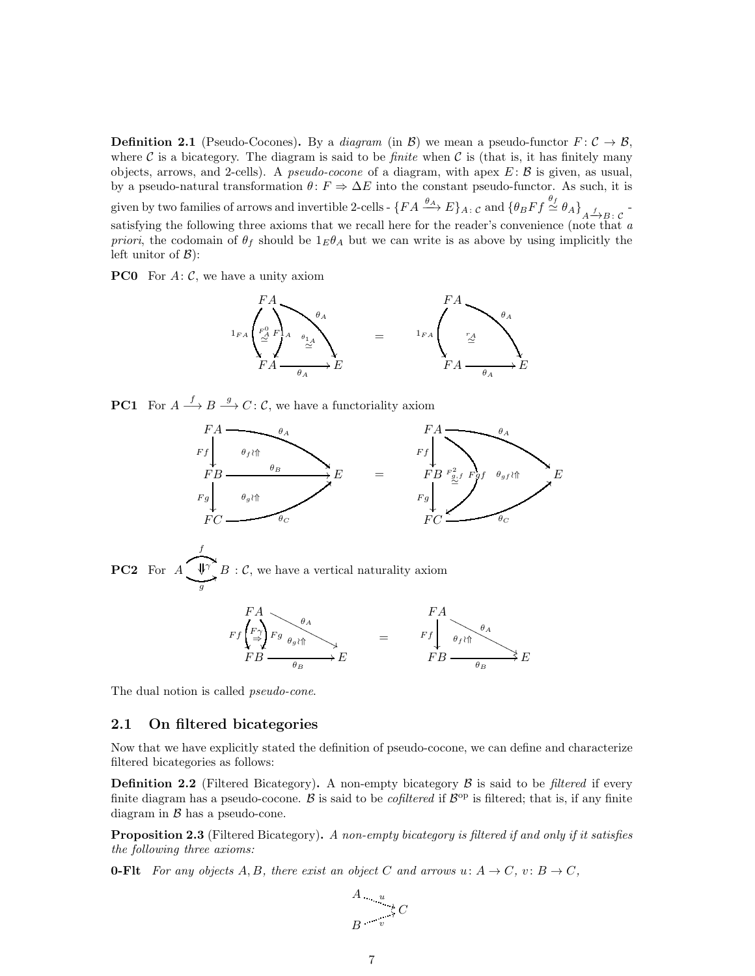<span id="page-6-4"></span>**Definition 2.1** (Pseudo-Cocones). By a *diagram* (in B) we mean a pseudo-functor  $F: \mathcal{C} \to \mathcal{B}$ , where C is a bicategory. The diagram is said to be *finite* when C is (that is, it has finitely many objects, arrows, and 2-cells). A *pseudo-cocone* of a diagram, with apex  $E: \mathcal{B}$  is given, as usual, by a pseudo-natural transformation  $\theta: F \Rightarrow \Delta E$  into the constant pseudo-functor. As such, it is given by two families of arrows and invertible 2-cells -  $\{FA \xrightarrow{\theta_A} E\}_{A \colon C}$  and  $\{\theta_B Ff \xrightarrow{\theta_f} \theta_A\}_{A \xrightarrow{f} B \colon C}$ satisfying the following three axioms that we recall here for the reader's convenience (note that  $\alpha$ priori, the codomain of  $\theta_f$  should be  $1_E \theta_A$  but we can write is as above by using implicitly the left unitor of  $\mathcal{B}$ :

<span id="page-6-3"></span>**PC0** For  $A: \mathcal{C}$ , we have a unity axiom



**PC1** For  $A \xrightarrow{f} B \xrightarrow{g} C: C$ , we have a functoriality axiom



<span id="page-6-5"></span>PC2 For A f "  $\bigvee_{g} B : C$ , we have a vertical naturality axiom



The dual notion is called *pseudo-cone*.

#### 2.1 On filtered bicategories

Now that we have explicitly stated the definition of pseudo-cocone, we can define and characterize filtered bicategories as follows:

<span id="page-6-0"></span>**Definition 2.2** (Filtered Bicategory). A non-empty bicategory  $\beta$  is said to be filtered if every finite diagram has a pseudo-cocone. B is said to be *cofiltered* if  $\mathcal{B}^{\text{op}}$  is filtered; that is, if any finite diagram in  $\beta$  has a pseudo-cone.

<span id="page-6-2"></span>**Proposition 2.3** (Filtered Bicategory). A non-empty bicategory is filtered if and only if it satisfies the following three axioms:

<span id="page-6-1"></span>**0-Fit** For any objects A, B, there exist an object C and arrows  $u: A \to C$ ,  $v: B \to C$ ,

$$
\begin{array}{ccc}\nA & & u \\
& \downarrow C \\
B & & v\n\end{array}
$$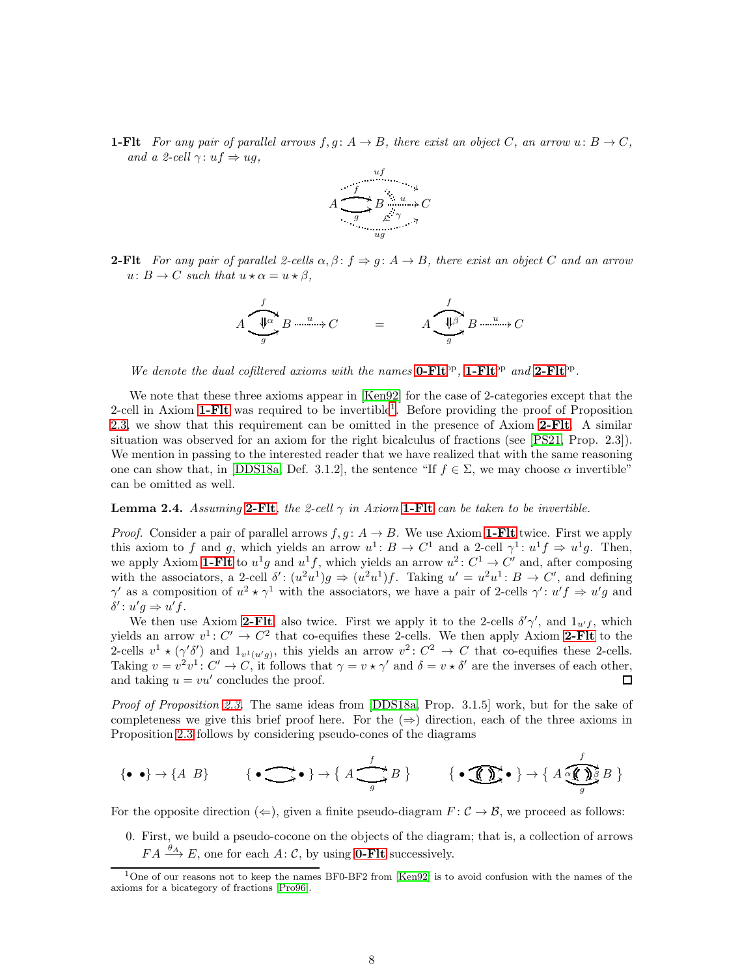<span id="page-7-1"></span>**1-Flt** For any pair of parallel arrows  $f, g: A \to B$ , there exist an object C, an arrow  $u: B \to C$ , and a 2-cell  $\gamma: uf \Rightarrow ug$ ,



<span id="page-7-2"></span>**2-Fit** For any pair of parallel 2-cells  $\alpha, \beta : f \Rightarrow g : A \rightarrow B$ , there exist an object C and an arrow  $u: B \to C$  such that  $u \star \alpha = u \star \beta$ ,

$$
A \underbrace{\underbrace{\Downarrow^{\alpha}}_{g} B \xrightarrow{u \dots u} C}_{\qquad \qquad } = \qquad A \underbrace{\underbrace{\Downarrow^{\beta}}_{g} B \xrightarrow{u \dots u} C}_{\qquad \qquad }
$$

We denote the dual cofiltered axioms with the names  $0$ - $Flt^{op}$ ,  $1$ - $Flt^{op}$  and  $2$ - $Flt^{op}$ .

We note that these three axioms appear in [\[Ken92\]](#page-33-2) for the case of 2-categories except that the 2-cell in Axiom [1-Flt](#page-7-1) was required to be invertible<sup>[1](#page-7-3)</sup>. Before providing the proof of Proposition [2.3,](#page-6-2) we show that this requirement can be omitted in the presence of Axiom [2-Flt](#page-7-2). A similar situation was observed for an axiom for the right bicalculus of fractions (see [\[PS21,](#page-33-6) Prop. 2.3]). We mention in passing to the interested reader that we have realized that with the same reasoning one can show that, in [\[DDS18a,](#page-32-6) Def. 3.1.2], the sentence "If  $f \in \Sigma$ , we may choose  $\alpha$  invertible" can be omitted as well.

#### <span id="page-7-0"></span>**Lemma 2.4.** Assuming [2-Flt](#page-7-2), the 2-cell  $\gamma$  in Axiom [1-Flt](#page-7-1) can be taken to be invertible.

*Proof.* Consider a pair of parallel arrows  $f, g: A \to B$ . We use Axiom **1-Fit** twice. First we apply this axiom to f and g, which yields an arrow  $u^1$ :  $B \to C^1$  and a 2-cell  $\gamma^1$ :  $u^1 f \to u^1 g$ . Then, we apply Axiom [1-Flt](#page-7-1) to  $u^1g$  and  $u^1f$ , which yields an arrow  $u^2: C^1 \to C'$  and, after composing with the associators, a 2-cell  $\delta' : (u^2u^1)g \Rightarrow (u^2u^1)f$ . Taking  $u' = u^2u^1 : B \rightarrow C'$ , and defining  $\gamma'$  as a composition of  $u^2 \star \gamma^1$  with the associators, we have a pair of 2-cells  $\gamma' : u'f \Rightarrow u'g$  and  $\delta'$ :  $u'g \Rightarrow u'f$ .

We then use Axiom [2-Flt](#page-7-2), also twice. First we apply it to the 2-cells  $\delta' \gamma'$ , and  $1_{u'f}$ , which yields an arrow  $v^1: C' \to C^2$  that co-equifies these 2-cells. We then apply Axiom [2-Flt](#page-7-2) to the 2-cells  $v^1 \star (\gamma' \delta')$  and  $1_{v^1(u'g)}$ , this yields an arrow  $v^2: C^2 \to C$  that co-equifies these 2-cells. Taking  $v = v^2v^1$ :  $C' \to C$ , it follows that  $\gamma = v \star \gamma'$  and  $\delta = v \star \delta'$  are the inverses of each other, and taking  $u = vu'$  concludes the proof. ◻

Proof of Proposition [2.3.](#page-6-2) The same ideas from [\[DDS18a,](#page-32-6) Prop. 3.1.5] work, but for the sake of completeness we give this brief proof here. For the  $(\Rightarrow)$  direction, each of the three axioms in Proposition [2.3](#page-6-2) follows by considering pseudo-cones of the diagrams

$$
\{\bullet\ \bullet\} \to \{A\ B\} \qquad \{\bullet\ \bigcirc\hspace{-5pt}\bullet\} \to \{\ A\ \underbrace{\ \bullet\ \bullet\ }_{g} B\ \} \qquad \{\bullet\ \bigcirc\hspace{-5pt}\bullet\ \bullet\} \to \{\ A\ \underbrace{\ \bullet\ \bullet\ }_{g} B\ \}
$$

For the opposite direction  $(\Leftarrow)$ , given a finite pseudo-diagram  $F : \mathcal{C} \to \mathcal{B}$ , we proceed as follows:

0. First, we build a pseudo-cocone on the objects of the diagram; that is, a collection of arrows  $FA \xrightarrow{\theta_A} E$ , one for each A: C, by using **[0-Flt](#page-6-1)** successively.

<span id="page-7-3"></span> $\overline{1$ One of our reasons not to keep the names BF0-BF2 from [\[Ken92\]](#page-33-2) is to avoid confusion with the names of the axioms for a bicategory of fractions [\[Pro96\]](#page-33-3).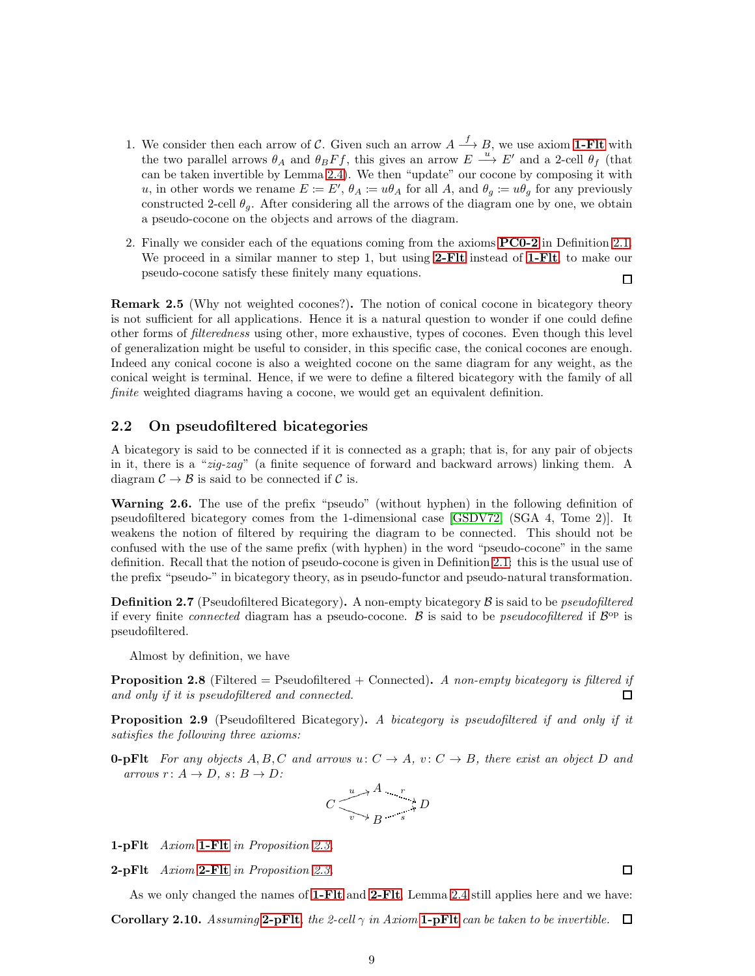- 1. We consider then each arrow of C. Given such an arrow  $A \stackrel{f}{\longrightarrow} B$ , we use axiom **1-Fit** with the two parallel arrows  $\theta_A$  and  $\theta_B F f$ , this gives an arrow  $E \stackrel{u}{\longrightarrow} E'$  and a 2-cell  $\theta_f$  (that can be taken invertible by Lemma [2.4\)](#page-7-0). We then "update" our cocone by composing it with u, in other words we rename  $E := E'$ ,  $\theta_A := u\theta_A$  for all A, and  $\theta_g := u\theta_g$  for any previously constructed 2-cell  $\theta_q$ . After considering all the arrows of the diagram one by one, we obtain a pseudo-cocone on the objects and arrows of the diagram.
- 2. Finally we consider each of the equations coming from the axioms [PC0-2](#page-6-3) in Definition [2.1.](#page-6-4) We proceed in a similar manner to step 1, but using [2-Flt](#page-7-2) instead of [1-Flt](#page-7-1), to make our pseudo-cocone satisfy these finitely many equations.  $\Box$

Remark 2.5 (Why not weighted cocones?). The notion of conical cocone in bicategory theory is not sufficient for all applications. Hence it is a natural question to wonder if one could define other forms of filteredness using other, more exhaustive, types of cocones. Even though this level of generalization might be useful to consider, in this specific case, the conical cocones are enough. Indeed any conical cocone is also a weighted cocone on the same diagram for any weight, as the conical weight is terminal. Hence, if we were to define a filtered bicategory with the family of all finite weighted diagrams having a cocone, we would get an equivalent definition.

### 2.2 On pseudofiltered bicategories

A bicategory is said to be connected if it is connected as a graph; that is, for any pair of objects in it, there is a "zig-zag" (a finite sequence of forward and backward arrows) linking them. A diagram  $\mathcal{C} \to \mathcal{B}$  is said to be connected if  $\mathcal{C}$  is.

Warning 2.6. The use of the prefix "pseudo" (without hyphen) in the following definition of pseudofiltered bicategory comes from the 1-dimensional case [\[GSDV72,](#page-33-1) (SGA 4, Tome 2)]. It weakens the notion of filtered by requiring the diagram to be connected. This should not be confused with the use of the same prefix (with hyphen) in the word "pseudo-cocone" in the same definition. Recall that the notion of pseudo-cocone is given in Definition [2.1:](#page-6-4) this is the usual use of the prefix "pseudo-" in bicategory theory, as in pseudo-functor and pseudo-natural transformation.

<span id="page-8-2"></span>**Definition 2.7** (Pseudofiltered Bicategory). A non-empty bicategory  $\beta$  is said to be *pseudofiltered* if every finite *connected* diagram has a pseudo-cocone. B is said to be *pseudocofiltered* if  $\mathcal{B}^{\text{op}}$  is pseudofiltered.

Almost by definition, we have

<span id="page-8-0"></span>**Proposition 2.8** (Filtered = Pseudofiltered + Connected). A non-empty bicategory is filtered if and only if it is pseudofiltered and connected. П

<span id="page-8-1"></span>**Proposition 2.9** (Pseudofiltered Bicategory). A bicategory is pseudofiltered if and only if it satisfies the following three axioms:

<span id="page-8-5"></span>**0-pFlt** For any objects A, B, C and arrows u:  $C \rightarrow A$ , v:  $C \rightarrow B$ , there exist an object D and arrows  $r: A \rightarrow D$ ,  $s: B \rightarrow D$ :

$$
C \xrightarrow{\begin{array}{c}\n u \to A \\
 v \to B\n \end{array}} B \xrightarrow{s} D
$$

<span id="page-8-4"></span>1-pFlt Axiom [1-Flt](#page-7-1) in Proposition [2.3.](#page-6-2)

2-pFlt Axiom [2-Flt](#page-7-2) in Proposition [2.3.](#page-6-2)

<span id="page-8-3"></span>As we only changed the names of [1-Flt](#page-7-1) and [2-Flt](#page-7-2), Lemma [2.4](#page-7-0) still applies here and we have:

**Corollary 2.10.** Assuming 2-pFIt, the 2-cell  $\gamma$  in Axiom 1-pFIt can be taken to be invertible. 口

 $\Box$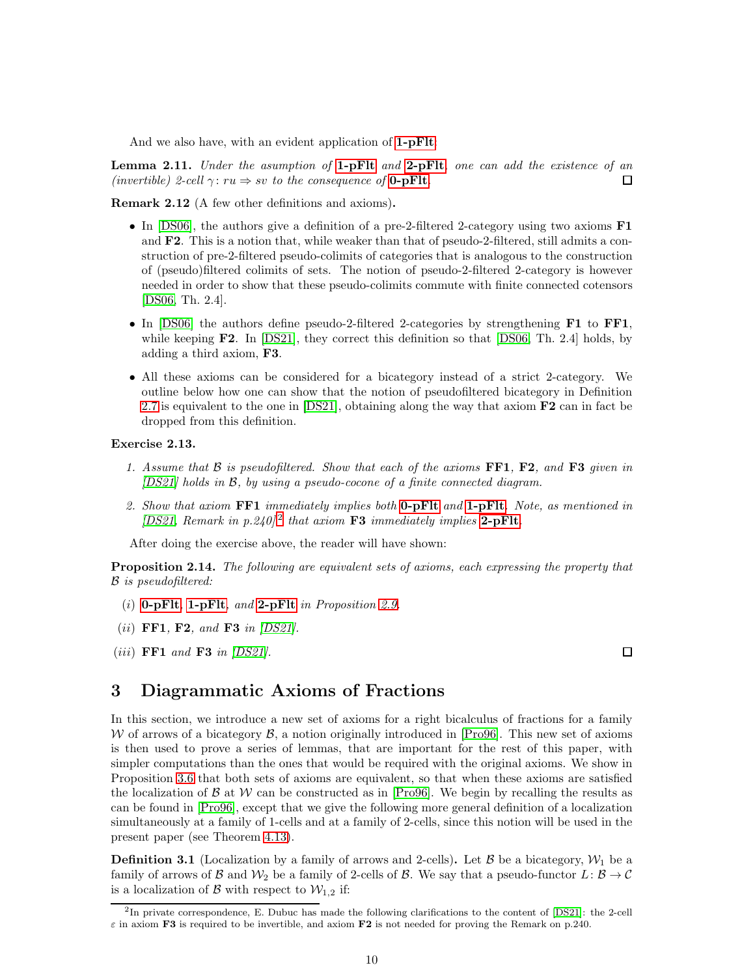And we also have, with an evident application of **[1-pFlt](#page-8-4)**:

<span id="page-9-4"></span>**Lemma 2.11.** Under the asymption of  $1$ -pFlt and  $2$ -pFlt, one can add the existence of an (invertible) 2-cell  $\gamma: ru \Rightarrow sv$  to the consequence of **[0-pFlt](#page-8-5)**.  $\Box$ 

Remark 2.12 (A few other definitions and axioms).

- In [\[DS06\]](#page-32-3), the authors give a definition of a pre-2-filtered 2-category using two axioms **F1** and **F2**. This is a notion that, while weaker than that of pseudo-2-filtered, still admits a construction of pre-2-filtered pseudo-colimits of categories that is analogous to the construction of (pseudo)filtered colimits of sets. The notion of pseudo-2-filtered 2-category is however needed in order to show that these pseudo-colimits commute with finite connected cotensors [\[DS06,](#page-32-3) Th. 2.4].
- In [\[DS06\]](#page-32-3) the authors define pseudo-2-filtered 2-categories by strengthening F1 to FF1, while keeping F2. In [\[DS21\]](#page-32-7), they correct this definition so that [\[DS06,](#page-32-3) Th. 2.4] holds, by adding a third axiom, F3.
- All these axioms can be considered for a bicategory instead of a strict 2-category. We outline below how one can show that the notion of pseudofiltered bicategory in Definition [2.7](#page-8-2) is equivalent to the one in [\[DS21\]](#page-32-7), obtaining along the way that axiom F2 can in fact be dropped from this definition.

#### Exercise 2.13.

- 1. Assume that  $\beta$  is pseudofiltered. Show that each of the axioms FF1, F2, and F3 given in [\[DS21\]](#page-32-7) holds in B, by using a pseudo-cocone of a finite connected diagram.
- 2. Show that axiom  $\bf{FF1}$  immediately implies both **[0-pFlt](#page-8-5)** and **[1-pFlt](#page-8-4)**. Note, as mentioned in [\[DS21,](#page-32-7) Remark in p.[2](#page-9-2)40]<sup>2</sup> that axiom **F3** immediately implies [2-pFlt](#page-8-3).

After doing the exercise above, the reader will have shown:

<span id="page-9-1"></span>**Proposition 2.14.** The following are equivalent sets of axioms, each expressing the property that B is pseudofiltered:

- (i)  $0$ -pFlt, [1-pFlt](#page-8-4), and [2-pFlt](#page-8-3) in Proposition [2.9.](#page-8-1)
- (ii) FF1, F2, and F3 in  $|DS21|$ .
- $(iii)$  FF1 and F3 in  $|DS21|$ .

## <span id="page-9-0"></span>3 Diagrammatic Axioms of Fractions

In this section, we introduce a new set of axioms for a right bicalculus of fractions for a family W of arrows of a bicategory  $\mathcal{B}$ , a notion originally introduced in [\[Pro96\]](#page-33-3). This new set of axioms is then used to prove a series of lemmas, that are important for the rest of this paper, with simpler computations than the ones that would be required with the original axioms. We show in Proposition [3.6](#page-11-0) that both sets of axioms are equivalent, so that when these axioms are satisfied the localization of  $\beta$  at W can be constructed as in [\[Pro96\]](#page-33-3). We begin by recalling the results as can be found in [\[Pro96\]](#page-33-3), except that we give the following more general definition of a localization simultaneously at a family of 1-cells and at a family of 2-cells, since this notion will be used in the present paper (see Theorem [4.13\)](#page-18-0).

<span id="page-9-3"></span>**Definition 3.1** (Localization by a family of arrows and 2-cells). Let B be a bicategory,  $\mathcal{W}_1$  be a family of arrows of B and  $\mathcal{W}_2$  be a family of 2-cells of B. We say that a pseudo-functor  $L: \mathcal{B} \to \mathcal{C}$ is a localization of  $\beta$  with respect to  $\mathcal{W}_{1,2}$  if:

 $\Box$ 

<span id="page-9-2"></span><sup>2</sup> In private correspondence, E. Dubuc has made the following clarifications to the content of [\[DS21\]](#page-32-7): the 2-cell  $\varepsilon$  in axiom **F3** is required to be invertible, and axiom **F2** is not needed for proving the Remark on p.240.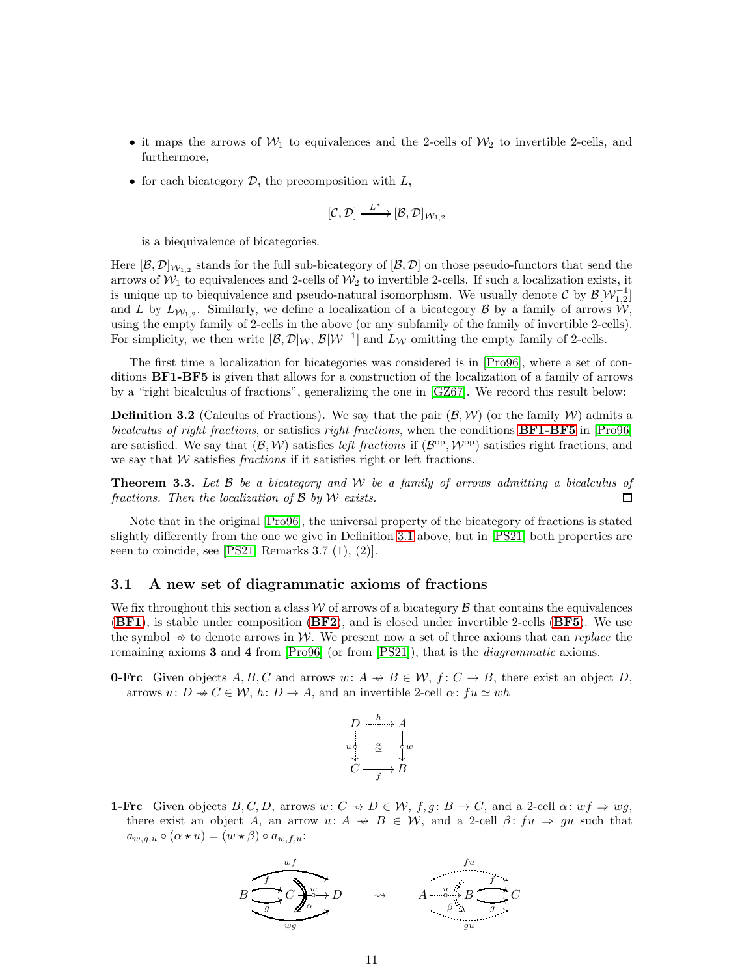- it maps the arrows of  $W_1$  to equivalences and the 2-cells of  $W_2$  to invertible 2-cells, and furthermore,
- for each bicategory  $D$ , the precomposition with  $L$ ,

$$
[\mathcal{C},\mathcal{D}] \xrightarrow{\hspace{0.5cm} L^*} [\mathcal{B},\mathcal{D}]_{\mathcal{W}_{1,2}}
$$

is a biequivalence of bicategories.

Here  $[\mathcal{B},\mathcal{D}]_{\mathcal{W}_{1,2}}$  stands for the full sub-bicategory of  $[\mathcal{B},\mathcal{D}]$  on those pseudo-functors that send the arrows of  $W_1$  to equivalences and 2-cells of  $W_2$  to invertible 2-cells. If such a localization exists, it is unique up to biequivalence and pseudo-natural isomorphism. We usually denote  $\mathcal{C}$  by  $\mathcal{B}[\mathcal{W}_{1,2}^{-1}]$ and L by  $L_{W_{1,2}}$ . Similarly, we define a localization of a bicategory B by a family of arrows  $W$ , using the empty family of 2-cells in the above (or any subfamily of the family of invertible 2-cells). For simplicity, we then write  $[\mathcal{B}, \mathcal{D}]_{\mathcal{W}}, \mathcal{B}[\mathcal{W}^{-1}]$  and  $L_{\mathcal{W}}$  omitting the empty family of 2-cells.

<span id="page-10-1"></span>The first time a localization for bicategories was considered is in [\[Pro96\]](#page-33-3), where a set of conditions BF1-BF5 is given that allows for a construction of the localization of a family of arrows by a "right bicalculus of fractions", generalizing the one in [\[GZ67\]](#page-33-0). We record this result below:

**Definition 3.2** (Calculus of Fractions). We say that the pair  $(\mathcal{B}, \mathcal{W})$  (or the family W) admits a bicalculus of right fractions, or satisfies right fractions, when the conditions **[BF1-BF5](#page-10-1)** in [\[Pro96\]](#page-33-3) are satisfied. We say that  $(\mathcal{B}, \mathcal{W})$  satisfies left fractions if  $(\mathcal{B}^{op}, \mathcal{W}^{op})$  satisfies right fractions, and we say that  $W$  satisfies *fractions* if it satisfies right or left fractions.

**Theorem 3.3.** Let  $\beta$  be a bicategory and  $\mathcal{W}$  be a family of arrows admitting a bicalculus of fractions. Then the localization of  $\beta$  by  $W$  exists.  $\Box$ 

Note that in the original [\[Pro96\]](#page-33-3), the universal property of the bicategory of fractions is stated slightly differently from the one we give in Definition [3.1](#page-9-3) above, but in [\[PS21\]](#page-33-6) both properties are seen to coincide, see  $[PS21,$  Remarks 3.7  $(1), (2)$ ].

#### 3.1 A new set of diagrammatic axioms of fractions

We fix throughout this section a class  $W$  of arrows of a bicategory  $\beta$  that contains the equivalences ([BF1](#page-10-1)), is stable under composition ([BF2](#page-10-1)), and is closed under invertible 2-cells ([BF5](#page-10-1)). We use the symbol  $\rightarrow$  to denote arrows in W. We present now a set of three axioms that can replace the remaining axioms  $3$  and  $4$  from [\[Pro96\]](#page-33-3) (or from [\[PS21\]](#page-33-6)), that is the *diagrammatic* axioms.

<span id="page-10-0"></span>**0-Frc** Given objects  $A, B, C$  and arrows  $w: A \rightarrow B \in \mathcal{W}, f: C \rightarrow B$ , there exist an object D, arrows  $u: D \to C \in \mathcal{W}$ ,  $h: D \to A$ , and an invertible 2-cell  $\alpha: fu \simeq wh$ 

$$
D \xrightarrow{h} A
$$
  
\n
$$
u_1^0 \xrightarrow{\alpha} \downarrow w
$$
  
\n
$$
C \xrightarrow{f} B
$$

<span id="page-10-2"></span>**1-Frc** Given objects  $B, C, D$ , arrows  $w: C \rightarrow D \in W$ ,  $f, g: B \rightarrow C$ , and a 2-cell  $\alpha: wf \Rightarrow wg$ , there exist an object A, an arrow  $u: A \rightarrow B \in W$ , and a 2-cell  $\beta: fu \Rightarrow gu$  such that  $a_{w,g,u} \circ (\alpha \star u) = (w \star \beta) \circ a_{w,f,u}$ 

$$
B \underbrace{\underbrace{\underbrace{\underbrace{\underbrace{\underbrace{\cdots}}_{g}}_{g}}_{w g} C}_{w g} D \qquad \rightsquigarrow \qquad A \xrightarrow{\underbrace{\cdots}_{g} B \xrightarrow{\underbrace{\cdots}_{g} C}_{g u}} C
$$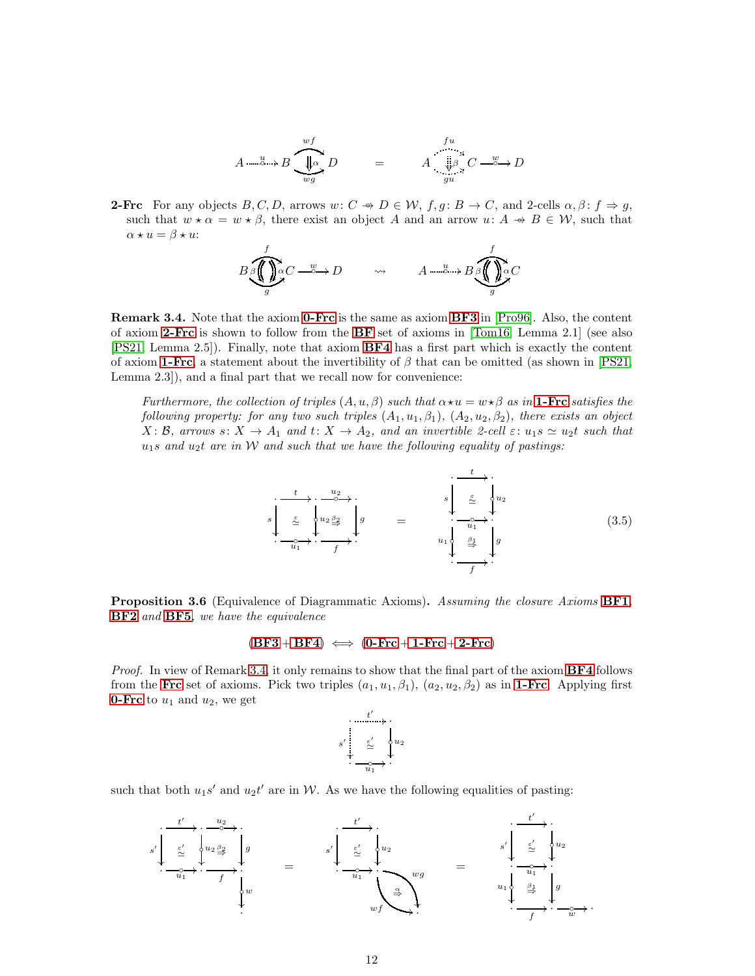$$
A \xrightarrow{u} B \xrightarrow{wf} D \qquad = \qquad A \xrightarrow{fu} C \xrightarrow{w} D
$$

<span id="page-11-1"></span>**2-Frc** For any objects  $B, C, D$ , arrows  $w: C \rightarrow D \in \mathcal{W}$ ,  $f, g: B \rightarrow C$ , and 2-cells  $\alpha, \beta: f \Rightarrow g$ , such that  $w \star \alpha = w \star \beta$ , there exist an object A and an arrow  $u: A \twoheadrightarrow B \in \mathcal{W}$ , such that  $\alpha \star u = \beta \star u$ :

$$
B \underset{g}{\bigotimes} \underset{g}{\bigoplus} \underset{\alpha \in \mathcal{O}}{\alpha} C \xrightarrow{w} D \qquad \rightsquigarrow \qquad A \xrightarrow{u} B \underset{g}{\bigoplus} \underset{g}{\bigoplus} \underset{\alpha \in \mathcal{O}}{\alpha} C
$$

<span id="page-11-2"></span>Remark 3.4. Note that the axiom [0-Frc](#page-10-0) is the same as axiom [BF3](#page-10-1) in [\[Pro96\]](#page-33-3). Also, the content of axiom [2-Frc](#page-11-1) is shown to follow from the [BF](#page-10-1) set of axioms in [\[Tom16,](#page-33-5) Lemma 2.1] (see also [\[PS21,](#page-33-6) Lemma 2.5]). Finally, note that axiom [BF4](#page-10-1) has a first part which is exactly the content of axiom [1-Frc](#page-10-2), a statement about the invertibility of  $\beta$  that can be omitted (as shown in [\[PS21,](#page-33-6) Lemma 2.3]), and a final part that we recall now for convenience:

Furthermore, the collection of triples  $(A, u, \beta)$  such that  $\alpha \star u = w \star \beta$  as in **[1-Frc](#page-10-2)** satisfies the following property: for any two such triples  $(A_1, u_1, \beta_1), (A_2, u_2, \beta_2)$ , there exists an object  $X: \mathcal{B}$ , arrows  $s: X \to A_1$  and  $t: X \to A_2$ , and an invertible 2-cell  $\varepsilon: u_1 s \simeq u_2 t$  such that  $u_1s$  and  $u_2t$  are in W and such that we have the following equality of pastings:

<span id="page-11-3"></span>
$$
s\begin{array}{ccc}\n t & u_2 \\
\hline\n\frac{\varepsilon}{2} & u_2 \frac{\beta_2}{2} \\
\hline\n\frac{\varepsilon}{2} & u_1 \frac{\beta_2}{2} \\
\hline\n\frac{\varepsilon_1}{2} & u_2 \frac{\beta_1}{2} \\
\hline\n\frac{\varepsilon_2}{2} & u_1 \frac{\beta_1}{2} \\
\hline\n\frac{\varepsilon_1}{2} & u_2 \n\end{array}
$$
\n(3.5)

<span id="page-11-0"></span>**Proposition 3.6** (Equivalence of Diagrammatic Axioms). Assuming the closure Axioms **[BF1](#page-10-1)**, [BF2](#page-10-1) and [BF5](#page-10-1), we have the equivalence

#### $(BF3 + BF4) \iff (0-Frc + 1-Frc + 2-Frc)$  $(BF3 + BF4) \iff (0-Frc + 1-Frc + 2-Frc)$  $(BF3 + BF4) \iff (0-Frc + 1-Frc + 2-Frc)$  $(BF3 + BF4) \iff (0-Frc + 1-Frc + 2-Frc)$  $(BF3 + BF4) \iff (0-Frc + 1-Frc + 2-Frc)$  $(BF3 + BF4) \iff (0-Frc + 1-Frc + 2-Frc)$  $(BF3 + BF4) \iff (0-Frc + 1-Frc + 2-Frc)$  $(BF3 + BF4) \iff (0-Frc + 1-Frc + 2-Frc)$  $(BF3 + BF4) \iff (0-Frc + 1-Frc + 2-Frc)$  $(BF3 + BF4) \iff (0-Frc + 1-Frc + 2-Frc)$  $(BF3 + BF4) \iff (0-Frc + 1-Frc + 2-Frc)$

*Proof.* In view of Remark [3.4,](#page-11-2) it only remains to show that the final part of the axiom  $BF4$  follows from the [Frc](#page-10-0) set of axioms. Pick two triples  $(a_1, u_1, \beta_1), (a_2, u_2, \beta_2)$  as in [1-Frc](#page-10-2). Applying first **[0-Frc](#page-10-0)** to  $u_1$  and  $u_2$ , we get

$$
s' \stackrel{\mathbf{t'}}{\underset{\mathbf{v}}{\overset{\mathbf{t'}}{\sum}}} \quad \underset{\mathbf{u}_1}{\overset{\mathbf{t'}}{\sum}} \quad \underset{\mathbf{u}_2}{\overset{\mathbf{u}_2}{\sum}}
$$

such that both  $u_1s'$  and  $u_2t'$  are in W. As we have the following equalities of pasting:

$$
s' \downarrow \frac{t'}{\underbrace{\sum\limits_{i=1}^{t'} \left\{u_2 \frac{\beta_2}{2} \right\}}_{w} g} = s' \downarrow \frac{t'}{\underbrace{\sum\limits_{i=1}^{t'} \left\{u_2 \right\}}_{w} g} = \frac{s' \downarrow \frac{t'}{\underbrace{\sum\limits_{i=1}^{t'} \left\{u_2 \right\}}_{w} g}}_{wf} = \frac{s' \downarrow \frac{t'}{\underbrace{\sum\limits_{i=1}^{t'} \left\{u_2 \right\}}_{u_1} u_2}}_{u_1 \downarrow \underbrace{\sum\limits_{i=1}^{t'} \left\{u_2 \right\}}_{w} g}.
$$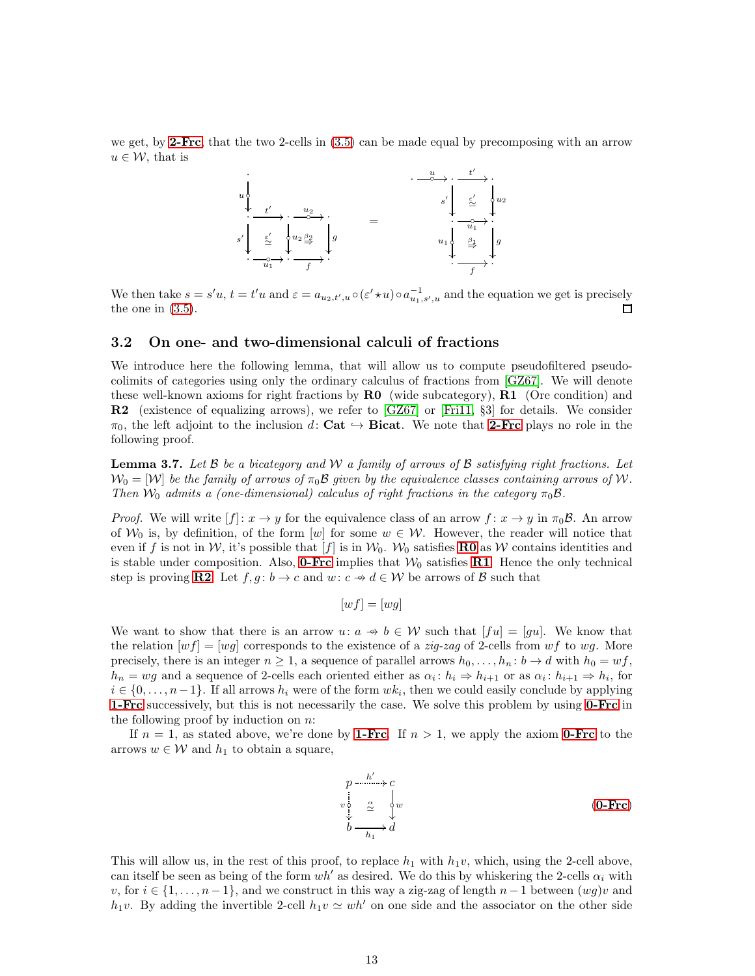we get, by **[2-Frc](#page-11-1)**, that the two 2-cells in  $(3.5)$  can be made equal by precomposing with an arrow  $u \in \mathcal{W}$ , that is



We then take  $s = s'u$ ,  $t = t'u$  and  $\varepsilon = a_{u_2,t',u} \circ (\varepsilon' \star u) \circ a_{u_1,s',u}^{-1}$  and the equation we get is precisely the one in  $(3.5)$ . □

#### 3.2 On one- and two-dimensional calculi of fractions

<span id="page-12-3"></span>We introduce here the following lemma, that will allow us to compute pseudofiltered pseudocolimits of categories using only the ordinary calculus of fractions from [\[GZ67\]](#page-33-0). We will denote these well-known axioms for right fractions by  $\bf{R0}$  (wide subcategory),  $\bf{R1}$  (Ore condition) and R2 (existence of equalizing arrows), we refer to [\[GZ67\]](#page-33-0) or [\[Fri11,](#page-32-9) §3] for details. We consider  $\pi_0$ , the left adjoint to the inclusion d: Cat  $\hookrightarrow$  Bicat. We note that [2-Frc](#page-11-1) plays no role in the following proof.

<span id="page-12-0"></span>**Lemma 3.7.** Let B be a bicategory and W a family of arrows of B satisfying right fractions. Let  $\mathcal{W}_0 = [\mathcal{W}]$  be the family of arrows of  $\pi_0 \mathcal{B}$  given by the equivalence classes containing arrows of W. Then  $W_0$  admits a (one-dimensional) calculus of right fractions in the category  $\pi_0 \mathcal{B}$ .

*Proof.* We will write  $[f]: x \to y$  for the equivalence class of an arrow  $f: x \to y$  in  $\pi_0 \mathcal{B}$ . An arrow of  $W_0$  is, by definition, of the form [w] for some  $w \in W$ . However, the reader will notice that even if f is not in W, it's possible that [f] is in  $W_0$ . W<sub>0</sub> satisfies **[R0](#page-12-1)** as W contains identities and is stable under composition. Also, **[0-Frc](#page-10-0)** implies that  $W_0$  satisfies **[R1](#page-12-2)**. Hence the only technical step is proving [R2](#page-12-3). Let  $f, g : b \to c$  and  $w : c \to d \in W$  be arrows of B such that

<span id="page-12-2"></span><span id="page-12-1"></span>
$$
[wf] = [wg]
$$

We want to show that there is an arrow  $u: a \rightarrow b \in W$  such that  $[fu] = [gu]$ . We know that the relation  $[wf] = [wg]$  corresponds to the existence of a *zig-zag* of 2-cells from wf to wg. More precisely, there is an integer  $n \geq 1$ , a sequence of parallel arrows  $h_0, \ldots, h_n : b \to d$  with  $h_0 = wf$ ,  $h_n = wg$  and a sequence of 2-cells each oriented either as  $\alpha_i : h_i \Rightarrow h_{i+1}$  or as  $\alpha_i : h_{i+1} \Rightarrow h_i$ , for  $i \in \{0, \ldots, n-1\}$ . If all arrows  $h_i$  were of the form  $wk_i$ , then we could easily conclude by applying **[1-Frc](#page-10-2)** successively, but this is not necessarily the case. We solve this problem by using **[0-Frc](#page-10-0)** in the following proof by induction on  $n$ .

If  $n = 1$ , as stated above, we're done by **[1-Frc](#page-10-2)**. If  $n > 1$ , we apply the axiom **[0-Frc](#page-10-0)** to the arrows  $w \in \mathcal{W}$  and  $h_1$  to obtain a square,

$$
p \xrightarrow{\text{in} \mathcal{U}} c
$$
\n
$$
\downarrow \qquad \qquad \frac{1}{2} \qquad \qquad \downarrow \qquad \qquad \downarrow \qquad \qquad (0-\text{Frc})
$$
\n
$$
b \xrightarrow{\text{in} \mathcal{U}} d
$$
\n
$$
(0-\text{Frc})
$$

This will allow us, in the rest of this proof, to replace  $h_1$  with  $h_1v$ , which, using the 2-cell above, can itself be seen as being of the form  $wh'$  as desired. We do this by whiskering the 2-cells  $\alpha_i$  with v, for  $i \in \{1, \ldots, n-1\}$ , and we construct in this way a zig-zag of length  $n-1$  between  $(wg)v$  and h<sub>1</sub>v. By adding the invertible 2-cell  $h_1v \simeq wh'$  on one side and the associator on the other side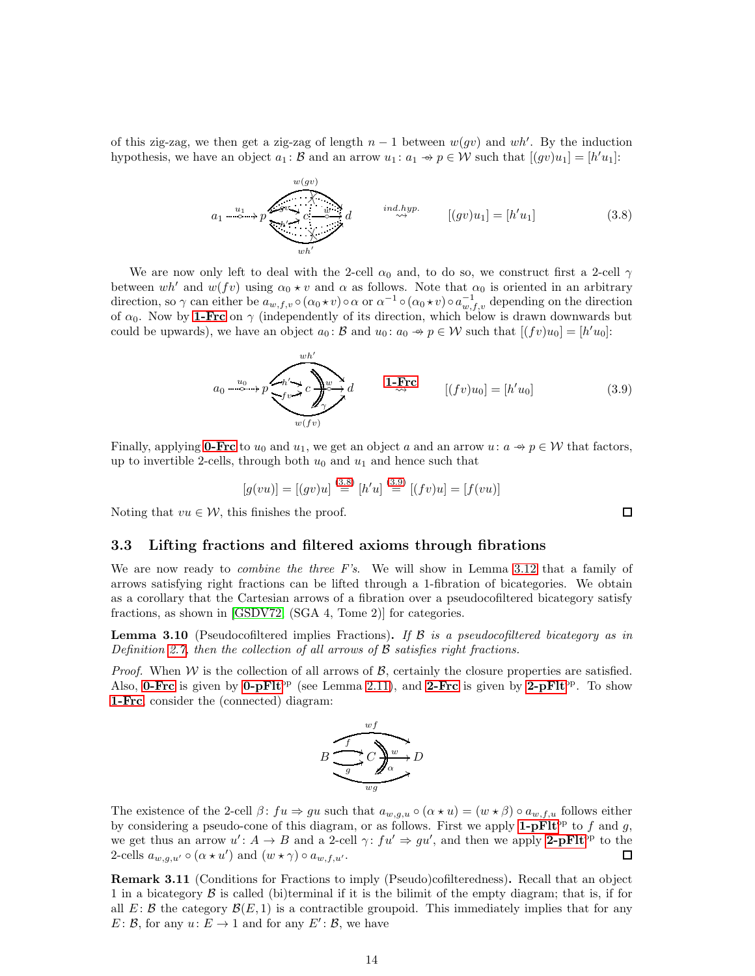of this zig-zag, we then get a zig-zag of length  $n-1$  between  $w(gv)$  and wh'. By the induction hypothesis, we have an object  $a_1 : \mathcal{B}$  and an arrow  $u_1 : a_1 \rightarrow p \in \mathcal{W}$  such that  $[(gv)u_1] = [h'u_1]$ :

<span id="page-13-0"></span>
$$
a_1 \xrightarrow{u_1} p \xrightarrow{w(gv)} d \qquad \text{ind. hyp.} \qquad [(gv)u_1] = [h'u_1] \qquad (3.8)
$$

We are now only left to deal with the 2-cell  $\alpha_0$  and, to do so, we construct first a 2-cell  $\gamma$ between wh' and  $w(fv)$  using  $\alpha_0 \star v$  and  $\alpha$  as follows. Note that  $\alpha_0$  is oriented in an arbitrary direction, so  $\gamma$  can either be  $a_{w,f,v} \circ (\alpha_0 \star v) \circ \alpha$  or  $\alpha^{-1} \circ (\alpha_0 \star v) \circ a_{w,f,v}^{-1}$  depending on the direction of  $\alpha_0$ . Now by [1-Frc](#page-10-2) on  $\gamma$  (independently of its direction, which below is drawn downwards but could be upwards), we have an object  $a_0: \mathcal{B}$  and  $u_0: a_0 \rightarrow p \in \mathcal{W}$  such that  $[(fv)u_0] = [h'u_0]$ :

<span id="page-13-1"></span>
$$
a_0 \xrightarrow{u_0} p \xrightarrow{v h' \to c} c \xrightarrow{w h'} d \qquad \qquad 1-\text{Frc} \qquad [(fv)u_0] = [h'u_0] \qquad (3.9)
$$

Finally, applying **[0-Frc](#page-10-0)** to  $u_0$  and  $u_1$ , we get an object a and an arrow  $u: a \rightarrow p \in \mathcal{W}$  that factors, up to invertible 2-cells, through both  $u_0$  and  $u_1$  and hence such that

$$
[g(vu)] = [(gv)u] \stackrel{(3.8)}{=} [h'u] \stackrel{(3.9)}{=} [(fv)u] = [f(vu)]
$$

Noting that  $vu \in \mathcal{W}$ , this finishes the proof.

#### 3.3 Lifting fractions and filtered axioms through fibrations

We are now ready to *combine the three F's*. We will show in Lemma [3.12](#page-14-0) that a family of arrows satisfying right fractions can be lifted through a 1-fibration of bicategories. We obtain as a corollary that the Cartesian arrows of a fibration over a pseudocofiltered bicategory satisfy fractions, as shown in [\[GSDV72,](#page-33-1) (SGA 4, Tome 2)] for categories.

<span id="page-13-2"></span>**Lemma 3.10** (Pseudocofiltered implies Fractions). If  $\beta$  is a pseudocofiltered bicategory as in Definition [2.7,](#page-8-2) then the collection of all arrows of  $\beta$  satisfies right fractions.

*Proof.* When  $W$  is the collection of all arrows of  $B$ , certainly the closure properties are satisfied. Also, **[0-Frc](#page-10-0)** is given by **[0-pFlt](#page-8-5)**<sup>op</sup> (see Lemma [2.11\)](#page-9-4), and **[2-Frc](#page-11-1)** is given by **[2-pFlt](#page-8-3)**<sup>op</sup>. To show [1-Frc](#page-10-2), consider the (connected) diagram:



The existence of the 2-cell  $\beta$ :  $fu \Rightarrow gu$  such that  $a_{w,g,u} \circ (\alpha \star u) = (w \star \beta) \circ a_{w,f,u}$  follows either by considering a pseudo-cone of this diagram, or as follows. First we apply  $1$ -pFlt<sup>op</sup> to f and g, we get thus an arrow  $u' : A \to B$  and a 2-cell  $\gamma : f u' \Rightarrow gu'$ , and then we apply [2-pFlt](#page-8-3)<sup>op</sup> to the 2-cells  $a_{w,g,u'} \circ (\alpha \star u')$  and  $(w \star \gamma) \circ a_{w,f,u'}$ . 口

<span id="page-13-3"></span>Remark 3.11 (Conditions for Fractions to imply (Pseudo)cofilteredness). Recall that an object 1 in a bicategory  $\beta$  is called (bi)terminal if it is the bilimit of the empty diagram; that is, if for all  $E: \mathcal{B}$  the category  $\mathcal{B}(E, 1)$  is a contractible groupoid. This immediately implies that for any  $E: \mathcal{B}$ , for any  $u: E \to 1$  and for any  $E': \mathcal{B}$ , we have

 $\Box$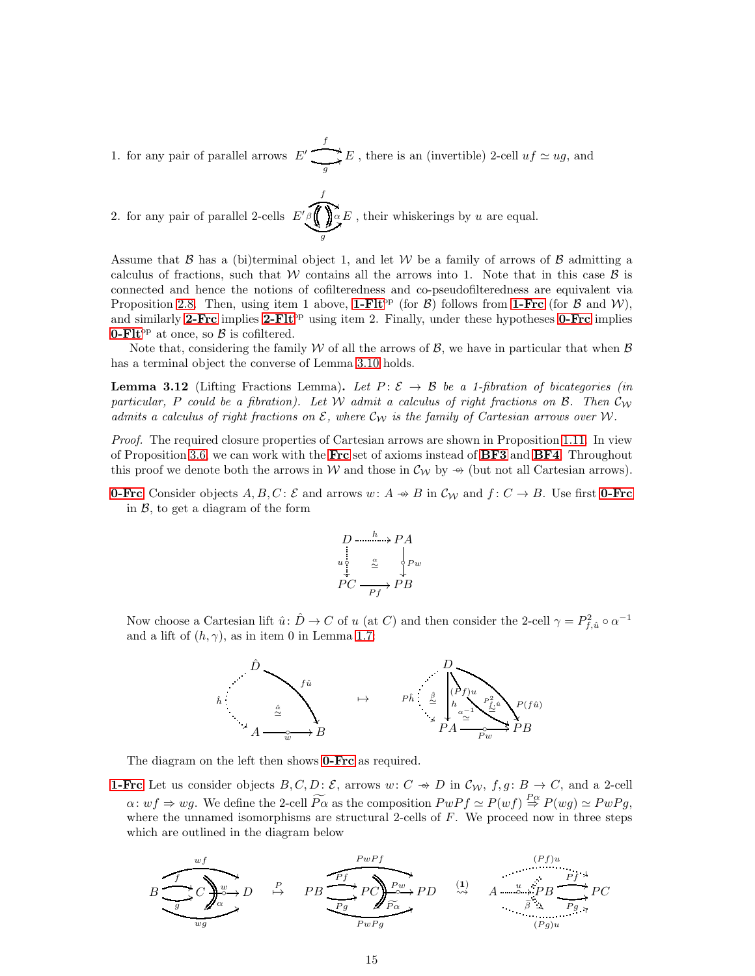1. for any pair of parallel arrows  $E'$ f )  $\sum_{g} E$ , there is an (invertible) 2-cell  $uf \simeq ug$ , and

2. for any pair of parallel 2-cells  $E'$ f " g  $\bigotimes^{\beta}$   $\bigotimes^{\beta}$ ļ , their whiskerings by  $u$  are equal.

Assume that  $\beta$  has a (bi)terminal object 1, and let W be a family of arrows of  $\beta$  admitting a calculus of fractions, such that W contains all the arrows into 1. Note that in this case  $\beta$  is connected and hence the notions of cofilteredness and co-pseudofilteredness are equivalent via Proposition [2.8.](#page-8-0) Then, using item 1 above, 1-FIt<sup>op</sup> (for B) follows from [1-Frc](#page-10-2) (for B and W), and similarly [2-Frc](#page-11-1) implies 2-FI $t^{op}$  using item 2. Finally, under these hypotheses **[0-Frc](#page-10-0)** implies **[0-Flt](#page-6-1)**<sup>op</sup> at once, so  $\beta$  is cofiltered.

Note that, considering the family W of all the arrows of  $\beta$ , we have in particular that when  $\beta$ has a terminal object the converse of Lemma [3.10](#page-13-2) holds.

<span id="page-14-0"></span>**Lemma 3.12** (Lifting Fractions Lemma). Let  $P: \mathcal{E} \to \mathcal{B}$  be a 1-fibration of bicategories (in particular, P could be a fibration). Let W admit a calculus of right fractions on B. Then  $\mathcal{C}_W$ admits a calculus of right fractions on  $\mathcal{E}$ , where  $\mathcal{C}_{\mathcal{W}}$  is the family of Cartesian arrows over W.

Proof. The required closure properties of Cartesian arrows are shown in Proposition [1.11.](#page-5-3) In view of Proposition [3.6,](#page-11-0) we can work with the [Frc](#page-10-0) set of axioms instead of  $BF3$  and  $BF4$ . Throughout this proof we denote both the arrows in W and those in  $\mathcal{C}_{\mathcal{W}}$  by  $\rightarrow$  (but not all Cartesian arrows).

**[0-Frc](#page-10-0)** Consider objects  $A, B, C$ :  $\mathcal{E}$  and arrows  $w: A \rightarrow B$  in  $\mathcal{C}_{\mathcal{W}}$  and  $f: C \rightarrow B$ . Use first **0-Frc** in  $\beta$ , to get a diagram of the form

$$
P \xrightarrow{h \to P A} P A
$$
\n
$$
P C \xrightarrow{\alpha} P B
$$
\n
$$
P C \xrightarrow{P f} P B
$$

Now choose a Cartesian lift  $\hat{u}$ :  $\hat{D} \to C$  of u (at C) and then consider the 2-cell  $\gamma = P_{f,\hat{u}}^2 \circ \alpha^{-1}$ and a lift of  $(h, \gamma)$ , as in item 0 in Lemma [1.7:](#page-4-2)



The diagram on the left then shows **[0-Frc](#page-10-0)** as required.

**[1-Frc](#page-10-2)** Let us consider objects  $B, C, D: \mathcal{E}$ , arrows  $w: C \rightarrow D$  in  $\mathcal{C}_{W}$ ,  $f, g: B \rightarrow C$ , and a 2-cell  $\alpha: wf \Rightarrow wg.$  We define the 2-cell  $\widetilde{P\alpha}$  as the composition  $PwPf \simeq P(wf) \stackrel{P\alpha}{\Rightarrow} P(wg) \simeq PwPg$ , where the unnamed isomorphisms are structural 2-cells of  $F$ . We proceed now in three steps which are outlined in the diagram below

$$
B \underbrace{\overbrace{\bigcup_{g}^{wf} C \bigcup_{\alpha}^{w}}_{wg} D}^{wf} \xrightarrow{P} PB \underbrace{\overbrace{\bigcap_{Pg}^{PwPf} P C \bigcup_{\alpha}^{Pw}}_{Py} P D}^{wPf} \xrightarrow{P} \underbrace{\xrightarrow{p} P B \xrightarrow{p} P B \xrightarrow{p} P B}^{(Pf)u} P C}_{(Pg)u}^{Pf} P C
$$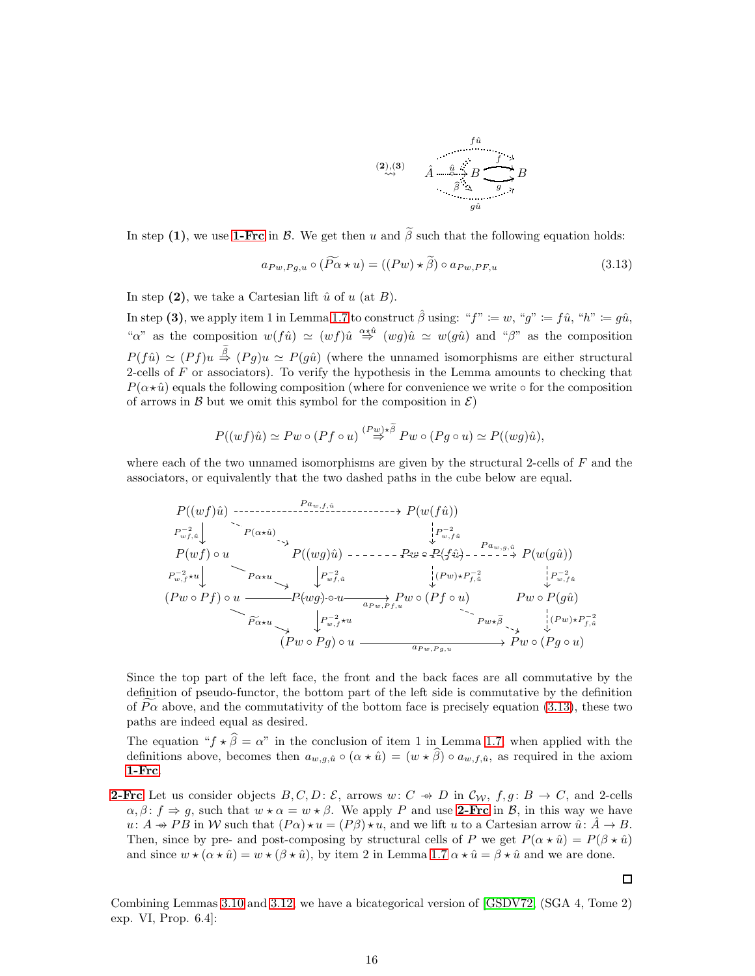$$
\begin{array}{cc}\n & f\hat{u} \\
(2), (3) & \hat{A} & \hat{u} \rightarrow B \\
 & \hat{\beta} & \Delta & g \rightarrow \gamma \\
 & & \hat{g}\hat{u}\n\end{array}
$$

In step (1), we use [1-Frc](#page-10-2) in  $\beta$ . We get then u and  $\tilde{\beta}$  such that the following equation holds:

<span id="page-15-0"></span>
$$
a_{Pw,Pg,u} \circ (\widetilde{P\alpha} \star u) = ((Pw) \star \widetilde{\beta}) \circ a_{Pw,PF,u}
$$
\n(3.13)

In step (2), we take a Cartesian lift  $\hat{u}$  of  $u$  (at  $B$ ).

In step (3), we apply item 1 in Lemma [1.7](#page-4-2) to construct  $\hat{\beta}$  using: " $f'' := w$ , " $g'' := f\hat{u}$ , " $h'' := g\hat{u}$ , "a" as the composition  $w(f\hat{u}) \simeq (wf)\hat{u} \stackrel{\alpha \star \hat{u}}{\Rightarrow} (wg)\hat{u} \simeq w(g\hat{u})$  and " $\beta$ " as the composition  $P(f\hat{u}) \simeq (Pf)u \stackrel{\tilde{\beta}}{\Rightarrow} (Pg)u \simeq P(g\hat{u})$  (where the unnamed isomorphisms are either structural 2-cells of  $F$  or associators). To verify the hypothesis in the Lemma amounts to checking that  $P(\alpha \star \hat{u})$  equals the following composition (where for convenience we write  $\circ$  for the composition of arrows in  $\beta$  but we omit this symbol for the composition in  $\mathcal{E}$ )

$$
P((wf)\hat{u}) \simeq Pw \circ (Pf \circ u) \stackrel{(Pw)\star \tilde{\beta}}{\Rightarrow} Pw \circ (Pg \circ u) \simeq P((wg)\hat{u}),
$$

where each of the two unnamed isomorphisms are given by the structural 2-cells of  $F$  and the associators, or equivalently that the two dashed paths in the cube below are equal.

$$
P((wf)\hat{u}) \longrightarrow P_{wf,\hat{u}}^{-2}
$$
\n
$$
P_{wf,\hat{u}}^{-1}
$$
\n
$$
P(wf) \circ u \longrightarrow P((wg)\hat{u}) \longrightarrow P(wf\hat{u})
$$
\n
$$
P_{w,f}^{-2}
$$
\n
$$
P(wf) \circ u \longrightarrow P((wg)\hat{u}) \longrightarrow P(wg\hat{u})
$$
\n
$$
P_{w,f}^{-2}
$$
\n
$$
P_{w,f}^{-2}
$$
\n
$$
(Pw \circ Pf) \circ u \longrightarrow P(wg) \circ u \longrightarrow P(wg) \circ u \longrightarrow P(wg, F_{f,u}^{-2})
$$
\n
$$
P_{w,f}^{-2}
$$
\n
$$
P(wg) \circ u \longrightarrow P(wg) \circ u \longrightarrow P(wg, F_{f,u}^{-2})
$$
\n
$$
P_{w,f}^{-2}
$$
\n
$$
P_{w,f}^{-2}
$$
\n
$$
P_{w,f}^{-2}
$$
\n
$$
P_{w,f}^{-2}
$$
\n
$$
P_{w,f}^{-2}
$$
\n
$$
P_{w,f}^{-2}
$$
\n
$$
P_{w,f}^{-2}
$$
\n
$$
P_{w,f}^{-2}
$$
\n
$$
P_{w,f}^{-2}
$$
\n
$$
P_{w,f}^{-2}
$$
\n
$$
P_{w,f}^{-2}
$$
\n
$$
P_{w,f}^{-2}
$$
\n
$$
P_{w,f}^{-2}
$$
\n
$$
P_{w,f}^{-2}
$$
\n
$$
P_{w,f}^{-2}
$$
\n
$$
P_{w,f}^{-2}
$$
\n
$$
P_{w,f}^{-2}
$$
\n
$$
P_{w,f}^{-2}
$$
\n
$$
P_{w,f}^{-2}
$$
\n
$$
P_{w,f}^{-2}
$$
\n
$$
P_{w,f}^{-2}
$$
\n
$$
P_{w,f}^{-2}
$$
\n
$$
P_{w,f}^{-2}
$$
\n
$$
P_{w,f}^{-2}
$$
\n
$$
P_{w,f}^{-2}
$$
\n
$$
P_{w,f}^{-2}
$$
\n
$$
P_{w,f}^{-2}
$$
\n
$$
P_{w,f}^{-2}
$$
\n<math display="</math>

Since the top part of the left face, the front and the back faces are all commutative by the definition of pseudo-functor, the bottom part of the left side is commutative by the definition of  $P\alpha$  above, and the commutativity of the bottom face is precisely equation [\(3.13\)](#page-15-0), these two paths are indeed equal as desired.

The equation " $f \star \hat{\beta} = \alpha$ " in the conclusion of item 1 in Lemma [1.7,](#page-4-2) when applied with the definitions above, becomes then  $a_{w,q,\hat{u}} \circ (\alpha \star \hat{u}) = (w \star \hat{\beta}) \circ a_{w,f,\hat{u}}$ , as required in the axiom [1-Frc](#page-10-2).

**[2-Frc](#page-11-1)** Let us consider objects  $B, C, D$ :  $\mathcal{E}$ , arrows  $w: C \rightarrow D$  in  $\mathcal{C}_{W}$ ,  $f, g: B \rightarrow C$ , and 2-cells  $\alpha, \beta \colon f \Rightarrow g$ , such that  $w \star \alpha = w \star \beta$ . We apply P and use [2-Frc](#page-11-1) in B, in this way we have  $u: A \to PB$  in W such that  $(P\alpha) \star u = (P\beta) \star u$ , and we lift u to a Cartesian arrow  $\hat{u}: \hat{A} \to B$ . Then, since by pre- and post-composing by structural cells of P we get  $P(\alpha \star \hat{u}) = P(\beta \star \hat{u})$ and since  $w \star (\alpha \star \hat{u}) = w \star (\beta \star \hat{u})$ , by item 2 in Lemma [1.7](#page-4-2)  $\alpha \star \hat{u} = \beta \star \hat{u}$  and we are done.

 $\Box$ 

Combining Lemmas [3.10](#page-13-2) and [3.12,](#page-14-0) we have a bicategorical version of [\[GSDV72,](#page-33-1) (SGA 4, Tome 2) exp. VI, Prop. 6.4]: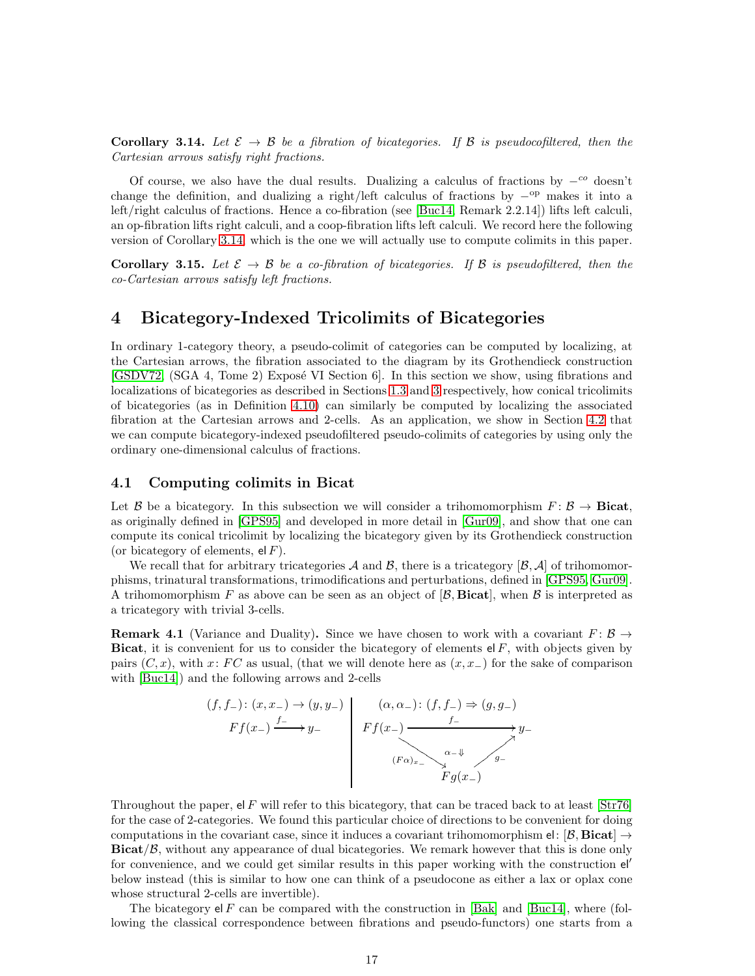<span id="page-16-0"></span>**Corollary 3.14.** Let  $\mathcal{E} \to \mathcal{B}$  be a fibration of bicategories. If  $\mathcal{B}$  is pseudocofiltered, then the Cartesian arrows satisfy right fractions.

Of course, we also have the dual results. Dualizing a calculus of fractions by  $-^{co}$  doesn't change the definition, and dualizing a right/left calculus of fractions by  $-^{op}$  makes it into a left/right calculus of fractions. Hence a co-fibration (see [\[Buc14,](#page-32-1) Remark 2.2.14]) lifts left calculi, an op-fibration lifts right calculi, and a coop-fibration lifts left calculi. We record here the following version of Corollary [3.14,](#page-16-0) which is the one we will actually use to compute colimits in this paper.

<span id="page-16-2"></span>**Corollary 3.15.** Let  $\mathcal{E} \to \mathcal{B}$  be a co-fibration of bicategories. If  $\mathcal{B}$  is pseudofiltered, then the co-Cartesian arrows satisfy left fractions.

## <span id="page-16-1"></span>4 Bicategory-Indexed Tricolimits of Bicategories

In ordinary 1-category theory, a pseudo-colimit of categories can be computed by localizing, at the Cartesian arrows, the fibration associated to the diagram by its Grothendieck construction [\[GSDV72,](#page-33-1) (SGA 4, Tome 2) Exposé VI Section 6. In this section we show, using fibrations and localizations of bicategories as described in Sections [1.3](#page-4-0) and [3](#page-9-0) respectively, how conical tricolimits of bicategories (as in Definition [4.10\)](#page-18-1) can similarly be computed by localizing the associated fibration at the Cartesian arrows and 2-cells. As an application, we show in Section [4.2](#page-19-2) that we can compute bicategory-indexed pseudofiltered pseudo-colimits of categories by using only the ordinary one-dimensional calculus of fractions.

#### 4.1 Computing colimits in Bicat

Let B be a bicategory. In this subsection we will consider a trihomomorphism  $F: \mathcal{B} \to \mathbf{Bicat}$ , as originally defined in [\[GPS95\]](#page-33-7) and developed in more detail in [\[Gur09\]](#page-33-10), and show that one can compute its conical tricolimit by localizing the bicategory given by its Grothendieck construction (or bicategory of elements,  $el F$ ).

We recall that for arbitrary tricategories A and B, there is a tricategory  $[\beta, \mathcal{A}]$  of trihomomorphisms, trinatural transformations, trimodifications and perturbations, defined in [\[GPS95,](#page-33-7) [Gur09\]](#page-33-10). A trihomomorphism F as above can be seen as an object of  $[\beta, \text{Bicat}]$ , when  $\beta$  is interpreted as a tricategory with trivial 3-cells.

<span id="page-16-3"></span>**Remark 4.1** (Variance and Duality). Since we have chosen to work with a covariant  $F: \mathcal{B} \to$ Bicat, it is convenient for us to consider the bicategory of elements  $\mathsf{el} F$ , with objects given by pairs  $(C, x)$ , with x: FC as usual, (that we will denote here as  $(x, x<sub>-</sub>)$  for the sake of comparison with [\[Buc14\]](#page-32-1)) and the following arrows and 2-cells

$$
(f, f_{-}) \colon (x, x_{-}) \to (y, y_{-})
$$
\n
$$
F f(x_{-}) \xrightarrow{f_{-}} y_{-}
$$
\n
$$
(x, \alpha_{-}) \colon (f, f_{-}) \Rightarrow (g, g_{-})
$$
\n
$$
F f(x_{-}) \xrightarrow{f_{-}} y_{-}
$$
\n
$$
(F \alpha)_{x_{-}} \xrightarrow{\alpha_{-}} y_{-}
$$
\n
$$
F g(x_{-})
$$

Throughout the paper, el F will refer to this bicategory, that can be traced back to at least  $\left[Str76\right]$ for the case of 2-categories. We found this particular choice of directions to be convenient for doing computations in the covariant case, since it induces a covariant trihomomorphism el:  $[\beta, Bicat] \rightarrow$  $Bicat/\beta$ , without any appearance of dual bicategories. We remark however that this is done only for convenience, and we could get similar results in this paper working with the construction el′ below instead (this is similar to how one can think of a pseudocone as either a lax or oplax cone whose structural 2-cells are invertible).

The bicategory  $\mathsf{el} \, F$  can be compared with the construction in [\[Bak\]](#page-32-0) and [\[Buc14\]](#page-32-1), where (following the classical correspondence between fibrations and pseudo-functors) one starts from a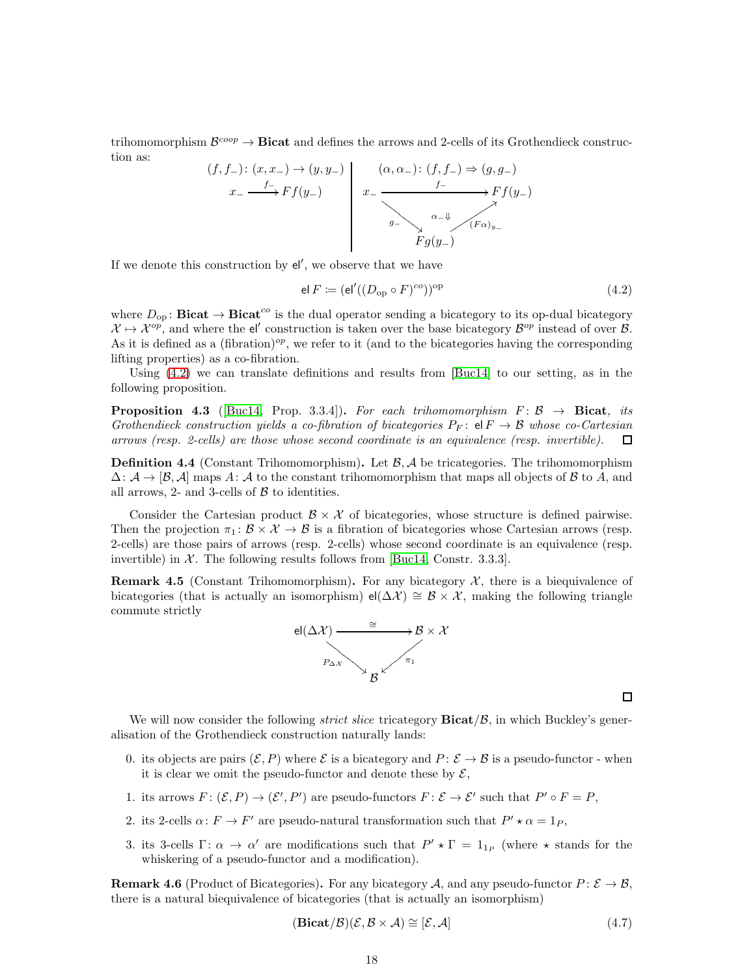trihomomorphism  $\mathcal{B}^{coop}\to\mathbf{Bicat}$  and defines the arrows and 2-cells of its Grothendieck construction as:



If we denote this construction by  $el'$ , we observe that we have

<span id="page-17-0"></span>
$$
\mathsf{el}\, F \coloneqq (\mathsf{el}'((D_{\mathrm{op}} \circ F)^{co}))^{\mathrm{op}} \tag{4.2}
$$

where  $D_{op}$ : **Bicat**  $\rightarrow$  **Bicat**<sup>co</sup> is the dual operator sending a bicategory to its op-dual bicategory  $\mathcal{X} \mapsto \mathcal{X}^{op}$ , and where the el' construction is taken over the base bicategory  $\mathcal{B}^{op}$  instead of over  $\mathcal{B}$ . As it is defined as a (fibration)<sup>op</sup>, we refer to it (and to the bicategories having the corresponding lifting properties) as a co-fibration.

Using [\(4.2\)](#page-17-0) we can translate definitions and results from [\[Buc14\]](#page-32-1) to our setting, as in the following proposition.

<span id="page-17-3"></span>**Proposition 4.3** ([\[Buc14,](#page-32-1) Prop. 3.3.4]). For each trihomomorphism  $F: \mathcal{B} \rightarrow$  Bicat, its Grothendieck construction yields a co-fibration of bicategories  $P_F:$  el  $F \to \mathcal{B}$  whose co-Cartesian arrows (resp. 2-cells) are those whose second coordinate is an equivalence (resp. invertible).  $\Box$ 

**Definition 4.4** (Constant Trihomomorphism). Let  $\beta$ ,  $\mathcal{A}$  be tricategories. The trihomomorphism  $\Delta: \mathcal{A} \to [\mathcal{B}, \mathcal{A}]$  maps A: A to the constant trihomomorphism that maps all objects of B to A, and all arrows, 2- and 3-cells of  $\beta$  to identities.

Consider the Cartesian product  $\mathcal{B} \times \mathcal{X}$  of bicategories, whose structure is defined pairwise. Then the projection  $\pi_1: \mathcal{B} \times \mathcal{X} \to \mathcal{B}$  is a fibration of bicategories whose Cartesian arrows (resp. 2-cells) are those pairs of arrows (resp. 2-cells) whose second coordinate is an equivalence (resp. invertible) in  $\mathcal{X}$ . The following results follows from [\[Buc14,](#page-32-1) Constr. 3.3.3].

<span id="page-17-1"></span>**Remark 4.5** (Constant Trihomomorphism). For any bicategory  $\mathcal{X}$ , there is a biequivalence of bicategories (that is actually an isomorphism) el( $\Delta \mathcal{X}$ ) ≅  $\mathcal{B} \times \mathcal{X}$ , making the following triangle commute strictly



We will now consider the following *strict slice* tricategory  $\text{Bicat}/\mathcal{B}$ , in which Buckley's generalisation of the Grothendieck construction naturally lands:

- 0. its objects are pairs  $(\mathcal{E}, P)$  where  $\mathcal{E}$  is a bicategory and  $P: \mathcal{E} \to \mathcal{B}$  is a pseudo-functor when it is clear we omit the pseudo-functor and denote these by  $\mathcal{E}$ ,
- 1. its arrows  $F: (\mathcal{E}, P) \to (\mathcal{E}', P')$  are pseudo-functors  $F: \mathcal{E} \to \mathcal{E}'$  such that  $P' \circ F = P$ ,
- 2. its 2-cells  $\alpha: F \to F'$  are pseudo-natural transformation such that  $P' \star \alpha = 1_P$ ,
- 3. its 3-cells  $\Gamma: \alpha \to \alpha'$  are modifications such that  $P' \star \Gamma = 1_{1_P}$  (where  $\star$  stands for the whiskering of a pseudo-functor and a modification).

**Remark 4.6** (Product of Bicategories). For any bicategory A, and any pseudo-functor  $P: \mathcal{E} \to \mathcal{B}$ , there is a natural biequivalence of bicategories (that is actually an isomorphism)

<span id="page-17-2"></span>
$$
(\mathbf{Bicat}/\mathcal{B})(\mathcal{E}, \mathcal{B} \times \mathcal{A}) \cong [\mathcal{E}, \mathcal{A}]
$$
\n(4.7)

 $\Box$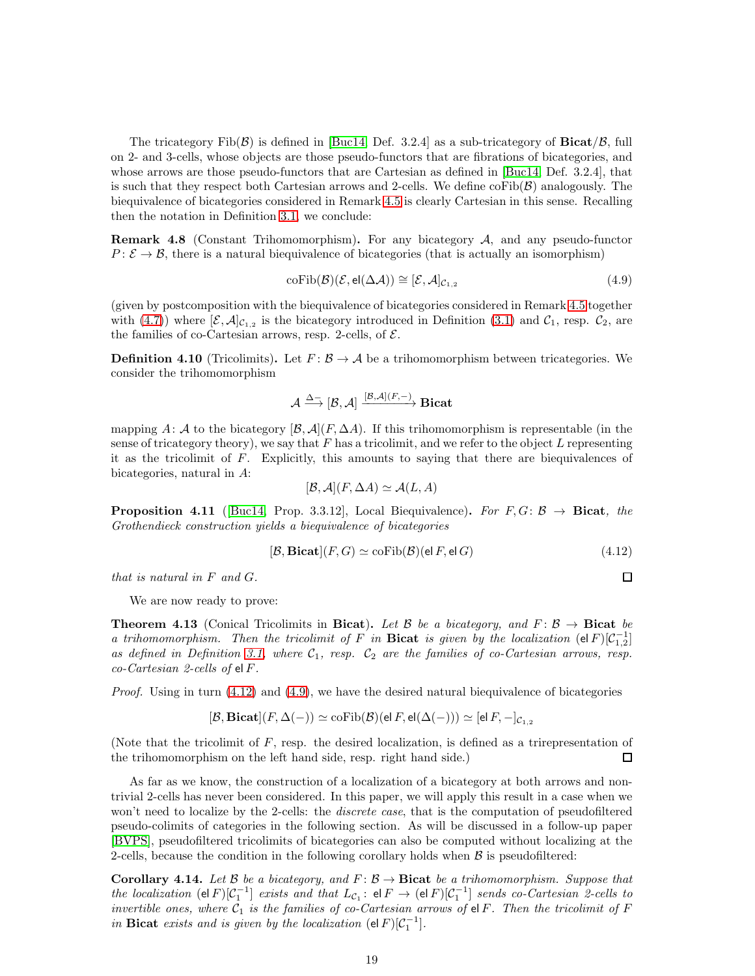The tricategory  $\text{Fib}(\mathcal{B})$  is defined in [\[Buc14,](#page-32-1) Def. 3.2.4] as a sub-tricategory of **Bicat**/ $\mathcal{B}$ , full on 2- and 3-cells, whose objects are those pseudo-functors that are fibrations of bicategories, and whose arrows are those pseudo-functors that are Cartesian as defined in [\[Buc14,](#page-32-1) Def. 3.2.4], that is such that they respect both Cartesian arrows and 2-cells. We define  $\mathrm{coFib}(\mathcal{B})$  analogously. The biequivalence of bicategories considered in Remark [4.5](#page-17-1) is clearly Cartesian in this sense. Recalling then the notation in Definition [3.1,](#page-9-3) we conclude:

**Remark 4.8** (Constant Trihomomorphism). For any bicategory  $A$ , and any pseudo-functor  $P: \mathcal{E} \to \mathcal{B}$ , there is a natural biequivalence of bicategories (that is actually an isomorphism)

<span id="page-18-3"></span>
$$
coFib(\mathcal{B})(\mathcal{E},el(\Delta \mathcal{A})) \cong [\mathcal{E},\mathcal{A}]_{\mathcal{C}_{1,2}} \tag{4.9}
$$

(given by postcomposition with the biequivalence of bicategories considered in Remark [4.5](#page-17-1) together with [\(4.7\)](#page-17-2)) where  $[\mathcal{E}, \mathcal{A}]_{\mathcal{C}_{1,2}}$  is the bicategory introduced in Definition [\(3.1\)](#page-9-3) and  $\mathcal{C}_1$ , resp.  $\mathcal{C}_2$ , are the families of co-Cartesian arrows, resp. 2-cells, of  $\mathcal{E}$ .

<span id="page-18-1"></span>**Definition 4.10** (Tricolimits). Let  $F: \mathcal{B} \to \mathcal{A}$  be a trihomomorphism between tricategories. We consider the trihomomorphism

$$
\mathcal{A} \stackrel{\Delta-}{\longrightarrow} [\mathcal{B},\mathcal{A}] \stackrel{[\mathcal{B},\mathcal{A}](F,-)}{\longrightarrow} \mathbf{Bicat}
$$

mapping A: A to the bicategory  $[\mathcal{B}, \mathcal{A}](F, \Delta A)$ . If this trihomomorphism is representable (in the sense of tricategory theory), we say that  $F$  has a tricolimit, and we refer to the object  $L$  representing it as the tricolimit of F. Explicitly, this amounts to saying that there are biequivalences of bicategories, natural in A:

$$
[\mathcal{B}, \mathcal{A}](F, \Delta A) \simeq \mathcal{A}(L, A)
$$

**Proposition 4.11** ([\[Buc14,](#page-32-1) Prop. 3.3.12], Local Biequivalence). For  $F, G: \mathcal{B} \rightarrow$  Bicat, the Grothendieck construction yields a biequivalence of bicategories

<span id="page-18-2"></span>
$$
[\mathcal{B}, \mathbf{Bicat}](F, G) \simeq \operatorname{coFib}(\mathcal{B})(\text{el } F, \text{el } G) \tag{4.12}
$$

that is natural in F and G.

$$
\Box
$$

We are now ready to prove:

<span id="page-18-0"></span>**Theorem 4.13** (Conical Tricolimits in Bicat). Let B be a bicategory, and  $F: \mathcal{B} \to \mathbf{Bicat}$  be a trihomomorphism. Then the tricolimit of F in Bicat is given by the localization  $(\text{el } F)[\mathcal{C}_{1,2}^{-1}]$ as defined in Definition [3.1,](#page-9-3) where  $C_1$ , resp.  $C_2$  are the families of co-Cartesian arrows, resp.  $co-Cartesian$  2-cells of el F.

*Proof.* Using in turn  $(4.12)$  and  $(4.9)$ , we have the desired natural biequivalence of bicategories

$$
[\mathcal{B}, \mathbf{Bicat}](F, \Delta(-)) \simeq \mathrm{coFib}(\mathcal{B})(\mathrm{el }\, F, \mathrm{el}(\Delta(-))) \simeq [\mathrm{el }\, F, -]_{\mathcal{C}_{1,2}}
$$

(Note that the tricolimit of F, resp. the desired localization, is defined as a trirepresentation of the trihomomorphism on the left hand side, resp. right hand side.)  $\Box$ 

As far as we know, the construction of a localization of a bicategory at both arrows and nontrivial 2-cells has never been considered. In this paper, we will apply this result in a case when we won't need to localize by the 2-cells: the *discrete case*, that is the computation of pseudofiltered pseudo-colimits of categories in the following section. As will be discussed in a follow-up paper [\[BVPS\]](#page-32-2), pseudofiltered tricolimits of bicategories can also be computed without localizing at the 2-cells, because the condition in the following corollary holds when  $\beta$  is pseudofiltered:

**Corollary 4.14.** Let B be a bicategory, and  $F : \mathcal{B} \to \mathbf{Bicat}$  be a trihomomorphism. Suppose that the localization  $(e|F)[C_1^{-1}]$  exists and that  $L_{C_1}: e|F \to (e|F)[C_1^{-1}]$  sends co-Cartesian 2-cells to invertible ones, where  $C_1$  is the families of co-Cartesian arrows of el F. Then the tricolimit of F in **Bicat** exists and is given by the localization  $(\text{el } F)[\mathcal{C}_1^{-1}]$ .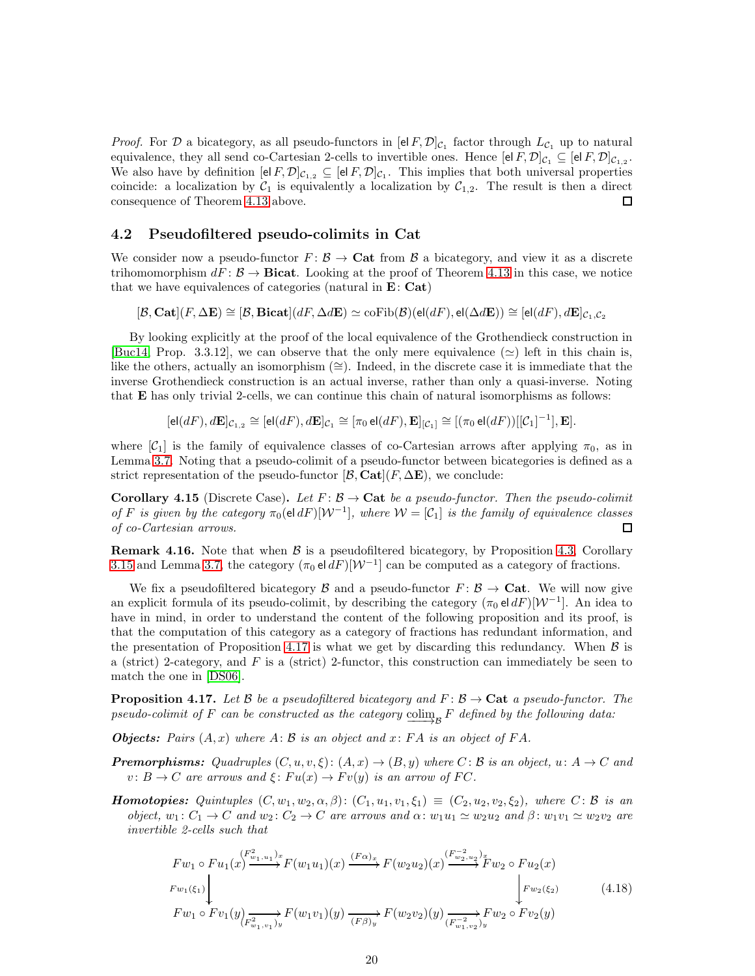*Proof.* For  $D$  a bicategory, as all pseudo-functors in  $[e|F, D]_{C_1}$  factor through  $L_{C_1}$  up to natural equivalence, they all send co-Cartesian 2-cells to invertible ones. Hence  $[el F, \mathcal{D}]_{C_1} \subseteq [el F, \mathcal{D}]_{C_{1,2}}$ . We also have by definition  $[e|F, \mathcal{D}]_{\mathcal{C}_{1,2}} \subseteq [e|F, \mathcal{D}]_{\mathcal{C}_{1}}$ . This implies that both universal properties coincide: a localization by  $C_1$  is equivalently a localization by  $C_{1,2}$ . The result is then a direct consequence of Theorem [4.13](#page-18-0) above. □

### <span id="page-19-2"></span>4.2 Pseudofiltered pseudo-colimits in Cat

We consider now a pseudo-functor  $F: \mathcal{B} \to \mathbf{Cat}$  from  $\mathcal{B}$  a bicategory, and view it as a discrete trihomomorphism  $dF: \mathcal{B} \to \mathbf{Bicat}$ . Looking at the proof of Theorem [4.13](#page-18-0) in this case, we notice that we have equivalences of categories (natural in  $E: Cat$ )

 $[\mathcal{B}, \mathbf{Cat}](F, \Delta \mathbf{E}) \cong [\mathcal{B}, \mathbf{Bicat}](dF, \Delta d\mathbf{E}) \simeq \mathrm{coFib}(\mathcal{B})(\mathsf{el}(dF), \mathsf{el}(\Delta d\mathbf{E})) \cong [\mathsf{el}(dF), d\mathbf{E}]_{C_1, C_2}$ 

By looking explicitly at the proof of the local equivalence of the Grothendieck construction in [\[Buc14,](#page-32-1) Prop. 3.3.12], we can observe that the only mere equivalence ( $\simeq$ ) left in this chain is, like the others, actually an isomorphism (≅). Indeed, in the discrete case it is immediate that the inverse Grothendieck construction is an actual inverse, rather than only a quasi-inverse. Noting that E has only trivial 2-cells, we can continue this chain of natural isomorphisms as follows:

 $[\mathsf{el}(dF), d\mathbf{E}]_{\mathcal{C}_{1,2}} \cong [\mathsf{el}(dF), d\mathbf{E}]_{\mathcal{C}_{1}} \cong [\pi_0 \mathsf{el}(dF), \mathbf{E}]_{[\mathcal{C}_1]} \cong [(\pi_0 \mathsf{el}(dF))[[\mathcal{C}_1]^{-1}], \mathbf{E}].$ 

where  $[\mathcal{C}_1]$  is the family of equivalence classes of co-Cartesian arrows after applying  $\pi_0$ , as in Lemma [3.7.](#page-12-0) Noting that a pseudo-colimit of a pseudo-functor between bicategories is defined as a strict representation of the pseudo-functor  $[\mathcal{B}, \mathbf{Cat}](F, \Delta \mathbf{E})$ , we conclude:

<span id="page-19-0"></span>**Corollary 4.15** (Discrete Case). Let  $F: \mathcal{B} \to \mathbf{Cat}$  be a pseudo-functor. Then the pseudo-colimit of F is given by the category  $\pi_0(\text{el } dF)[W^{-1}]$ , where  $W = [\mathcal{C}_1]$  is the family of equivalence classes of co-Cartesian arrows.  $\Box$ 

**Remark 4.16.** Note that when  $\beta$  is a pseudofiltered bicategory, by Proposition [4.3,](#page-17-3) Corollary [3.15](#page-16-2) and Lemma [3.7,](#page-12-0) the category  $(\pi_0 \text{el } dF)[W^{-1}]$  can be computed as a category of fractions.

We fix a pseudofiltered bicategory B and a pseudo-functor  $F: \mathcal{B} \to \mathbf{Cat}$ . We will now give an explicit formula of its pseudo-colimit, by describing the category  $(\pi_0 \text{ el } dF)[W^{-1}]$ . An idea to have in mind, in order to understand the content of the following proposition and its proof, is that the computation of this category as a category of fractions has redundant information, and the presentation of Proposition [4.17](#page-19-1) is what we get by discarding this redundancy. When  $\beta$  is a (strict) 2-category, and  $F$  is a (strict) 2-functor, this construction can immediately be seen to match the one in [\[DS06\]](#page-32-3).

<span id="page-19-1"></span>**Proposition 4.17.** Let B be a pseudofiltered bicategory and  $F: \mathcal{B} \to \mathbf{Cat}$  a pseudo-functor. The pseudo-colimit of F can be constructed as the category  $\overrightarrow{\text{colim}_{\mathcal{B}}}$  F defined by the following data:

**Objects:** Pairs  $(A, x)$  where  $A: \mathcal{B}$  is an object and  $x: FA$  is an object of  $FA$ .

**Premorphisms:** Quadruples  $(C, u, v, \xi)$ :  $(A, x) \rightarrow (B, y)$  where  $C$ : B is an object,  $u: A \rightarrow C$  and  $v: B \to C$  are arrows and  $\xi: Fu(x) \to Fv(y)$  is an arrow of FC.

**Homotopies:** Quintuples  $(C, w_1, w_2, \alpha, \beta)$ :  $(C_1, u_1, v_1, \xi_1) \equiv (C_2, u_2, v_2, \xi_2)$ , where  $C: \mathcal{B}$  is an object,  $w_1: C_1 \to C$  and  $w_2: C_2 \to C$  are arrows and  $\alpha: w_1u_1 \simeq w_2u_2$  and  $\beta: w_1v_1 \simeq w_2v_2$  are invertible 2-cells such that

<span id="page-19-3"></span>
$$
Fw_1 \circ Fu_1(x) \xrightarrow{F_{w_1}(x_1)} F(w_1u_1)(x) \xrightarrow{(F\alpha)_x} F(w_2u_2)(x) \xrightarrow{(F_{w_2,w_2})_x} Fw_2 \circ Fu_2(x)
$$
  
\n
$$
Fw_1(\xi_1) \xrightarrow{F_{w_1}(\xi_1)} Fw_1 \circ Fv_1(y) \xrightarrow{(F_{w_1,v_1})_y} F(w_1v_1)(y) \xrightarrow{(F\beta)_y} F(w_2v_2)(y) \xrightarrow{(F_{w_1,v_2})_y} Fw_2 \circ Fv_2(y)
$$
\n
$$
(4.18)
$$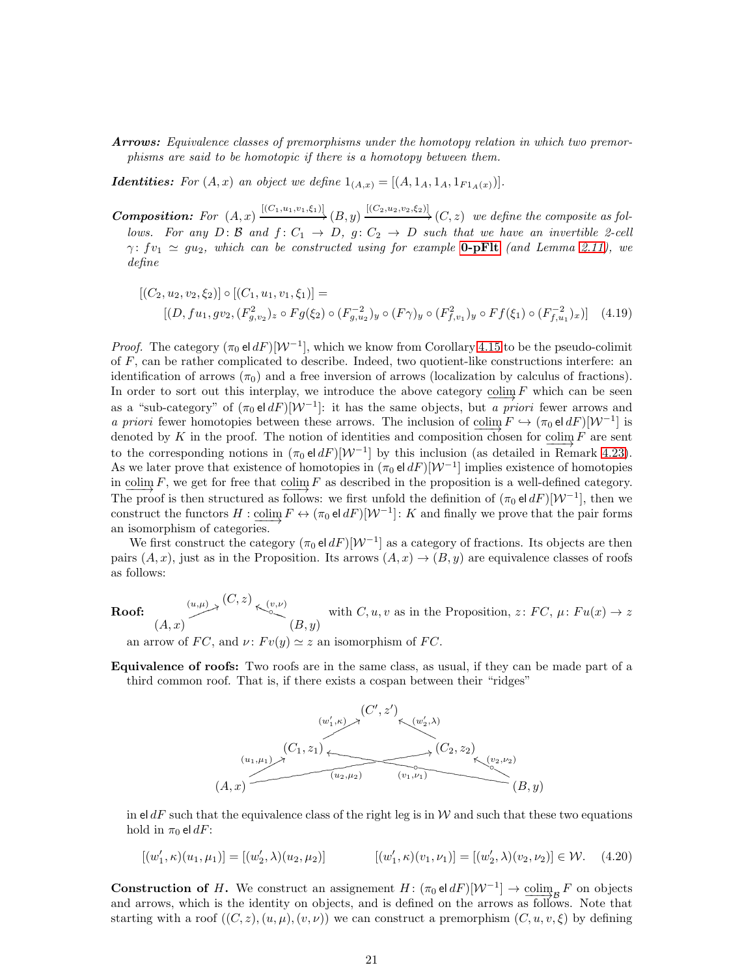Arrows: Equivalence classes of premorphisms under the homotopy relation in which two premorphisms are said to be homotopic if there is a homotopy between them.

**Identities:** For  $(A, x)$  an object we define  $1_{(A, x)} = [(A, 1_A, 1_A, 1_{F1_A(x)})]$ .

**Composition:** For  $(A, x) \xrightarrow{[(C_1, u_1, v_1, \xi_1)]} (B, y) \xrightarrow{[(C_2, u_2, v_2, \xi_2)]} (C, z)$  we define the composite as follows. For any  $D: \mathcal{B}$  and  $f: C_1 \rightarrow D$ ,  $g: C_2 \rightarrow D$  such that we have an invertible 2-cell  $\gamma: f_{v_1} \simeq gu_2$ , which can be constructed using for example **0-pFIt** (and Lemma [2.11\)](#page-9-4), we define

<span id="page-20-1"></span>
$$
[(C_2, u_2, v_2, \xi_2)] \circ [(C_1, u_1, v_1, \xi_1)] =
$$
  
\n
$$
[(D, fu_1, gv_2, (F_{g, v_2})_z \circ Fg(\xi_2) \circ (F_{g, u_2})_y \circ (F\gamma)_y \circ (F_{f, v_1}^2)_y \circ Ff(\xi_1) \circ (F_{f, u_1}^{-2})_x)]
$$
 (4.19)

*Proof.* The category  $(\pi_0 \text{el } dF)[W^{-1}]$ , which we know from Corollary [4.15](#page-19-0) to be the pseudo-colimit of  $F$ , can be rather complicated to describe. Indeed, two quotient-like constructions interfere: an identification of arrows  $(\pi_0)$  and a free inversion of arrows (localization by calculus of fractions). In order to sort out this interplay, we introduce the above category  $\underline{\text{colim}} F$  which can be seen as a "sub-category" of  $(\pi_0 \text{ el } dF)[\mathcal{W}^{-1}]$ : it has the same objects, but a priori fewer arrows and a priori fewer homotopies between these arrows. The inclusion of  $\text{colim}_F F \hookrightarrow (\pi_0 \text{el } dF)[W^{-1}]$  is denoted by K in the proof. The notion of identities and composition chosen for colim  $F$  are sent to the corresponding notions in  $(\pi_0 \text{ el } dF)[W^{-1}]$  by this inclusion (as detailed in Remark [4.23\)](#page-23-0). As we later prove that existence of homotopies in  $(\pi_0 \, \mathsf{el} \, dF)[\mathcal{W}^{-1}]$  implies existence of homotopies in colim  $F$ , we get for free that  $\frac{\text{colim}}{f(x)} F$  as described in the proposition is a well-defined category. The proof is then structured as follows: we first unfold the definition of  $(\pi_0 \text{ el } dF)[W^{-1}]$ , then we construct the functors  $H : \underline{\text{colim}} F \leftrightarrow (\pi_0 \text{ el } dF)[\mathcal{W}^{-1}] : K$  and finally we prove that the pair forms an isomorphism of categories.

We first construct the category  $(\pi_0 \text{el } dF)[W^{-1}]$  as a category of fractions. Its objects are then pairs  $(A, x)$ , just as in the Proposition. Its arrows  $(A, x) \rightarrow (B, y)$  are equivalence classes of roofs as follows:

Roof:  $(L, x) \rightarrow (C, z) \rightarrow (v, \nu)$ <br>  $(L, x) \rightarrow (B, y)$ with  $C, u, v$  as in the Proposition,  $z: FC, \mu: Fu(x) \to z$ 

an arrow of FC, and  $\nu$ :  $Fv(y) \simeq z$  an isomorphism of FC.

Equivalence of roofs: Two roofs are in the same class, as usual, if they can be made part of a third common roof. That is, if there exists a cospan between their "ridges"



in eld $F$  such that the equivalence class of the right leg is in W and such that these two equations hold in  $\pi_0$  el dF:

<span id="page-20-0"></span>
$$
[(w'_1,\kappa)(u_1,\mu_1)] = [(w'_2,\lambda)(u_2,\mu_2)] \qquad \qquad [(w'_1,\kappa)(v_1,\nu_1)] = [(w'_2,\lambda)(v_2,\nu_2)] \in \mathcal{W}. \tag{4.20}
$$

**Construction of H.** We construct an assignement  $H: (\pi_0 \in dF)[W^{-1}] \to \underline{\text{colim}}_B F$  on objects and arrows, which is the identity on objects, and is defined on the arrows as follows. Note that starting with a roof  $((C, z), (u, \mu), (v, \nu))$  we can construct a premorphism  $(C, u, v, \xi)$  by defining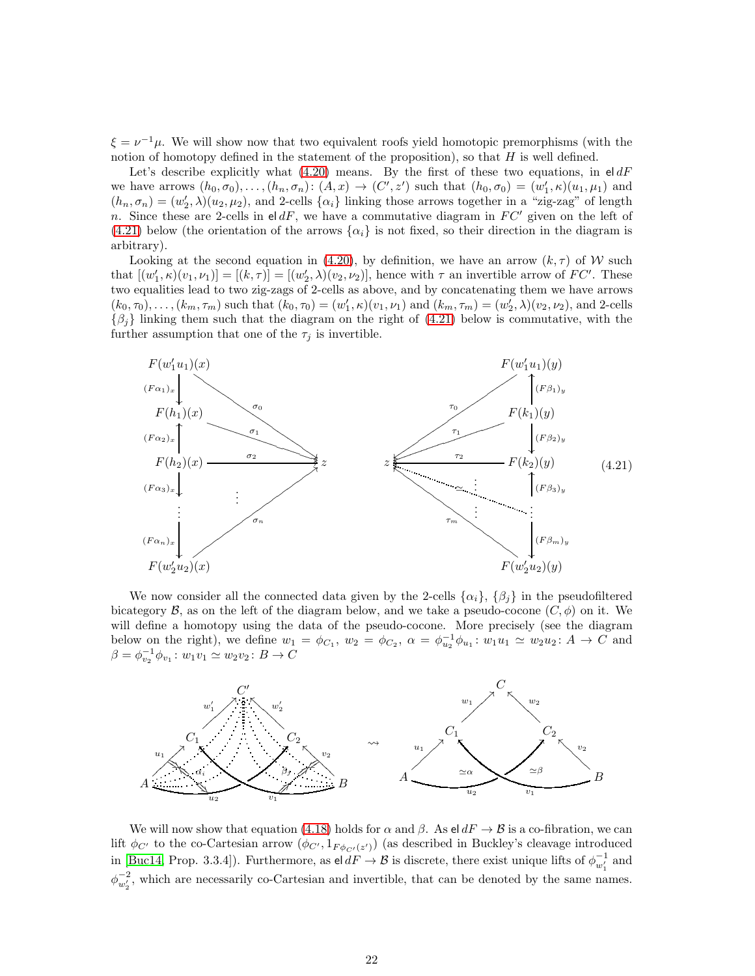$\xi = \nu^{-1}\mu$ . We will show now that two equivalent roofs yield homotopic premorphisms (with the notion of homotopy defined in the statement of the proposition), so that  $H$  is well defined.

Let's describe explicitly what [\(4.20\)](#page-20-0) means. By the first of these two equations, in  $\mathsf{el} dF$ we have arrows  $(h_0, \sigma_0), \ldots, (h_n, \sigma_n) : (A, x) \to (C', z')$  such that  $(h_0, \sigma_0) = (w'_1, \kappa)(u_1, \mu_1)$  and  $(h_n, \sigma_n) = (w'_2, \lambda)(u_2, \mu_2)$ , and 2-cells  $\{\alpha_i\}$  linking those arrows together in a "zig-zag" of length n. Since these are 2-cells in eldF, we have a commutative diagram in  $FC'$  given on the left of [\(4.21\)](#page-21-0) below (the orientation of the arrows  $\{\alpha_i\}$  is not fixed, so their direction in the diagram is arbitrary).

Looking at the second equation in [\(4.20\)](#page-20-0), by definition, we have an arrow  $(k, \tau)$  of W such that  $[(w'_1,\kappa)(v_1,\nu_1)]=[(k,\tau)] = [(w'_2,\lambda)(v_2,\nu_2)],$  hence with  $\tau$  an invertible arrow of  $FC'$ . These two equalities lead to two zig-zags of 2-cells as above, and by concatenating them we have arrows  $(k_0, \tau_0), \ldots, (k_m, \tau_m)$  such that  $(k_0, \tau_0) = (w'_1, \kappa)(v_1, \nu_1)$  and  $(k_m, \tau_m) = (w'_2, \lambda)(v_2, \nu_2)$ , and 2-cells  $\{\beta_j\}$  linking them such that the diagram on the right of [\(4.21\)](#page-21-0) below is commutative, with the further assumption that one of the  $\tau_j$  is invertible.

<span id="page-21-0"></span>

We now consider all the connected data given by the 2-cells  $\{\alpha_i\}, \{\beta_j\}$  in the pseudofiltered bicategory  $\mathcal B$ , as on the left of the diagram below, and we take a pseudo-cocone  $(C, \phi)$  on it. We will define a homotopy using the data of the pseudo-cocone. More precisely (see the diagram below on the right), we define  $w_1 = \phi_{C_1}$ ,  $w_2 = \phi_{C_2}$ ,  $\alpha = \phi_{u_2}^{-1} \phi_{u_1}$ :  $w_1 u_1 \simeq w_2 u_2$ :  $A \rightarrow C$  and  $\beta = \phi_{v_2}^{-1} \phi_{v_1} : w_1 v_1 \simeq w_2 v_2 : B \to C$ 



We will now show that equation [\(4.18\)](#page-19-3) holds for  $\alpha$  and  $\beta$ . As el  $dF \rightarrow \beta$  is a co-fibration, we can lift  $\phi_{C'}$  to the co-Cartesian arrow  $(\phi_{C'}, 1_{F \phi_{C'}(z')})$  (as described in Buckley's cleavage introduced in [\[Buc14,](#page-32-1) Prop. 3.3.4]). Furthermore, as  $\mathsf{el} \, dF \to \mathcal{B}$  is discrete, there exist unique lifts of  $\phi_{w'_1}^{-1}$  and  $\phi_{w'_2}^{-2}$ , which are necessarily co-Cartesian and invertible, that can be denoted by the same names.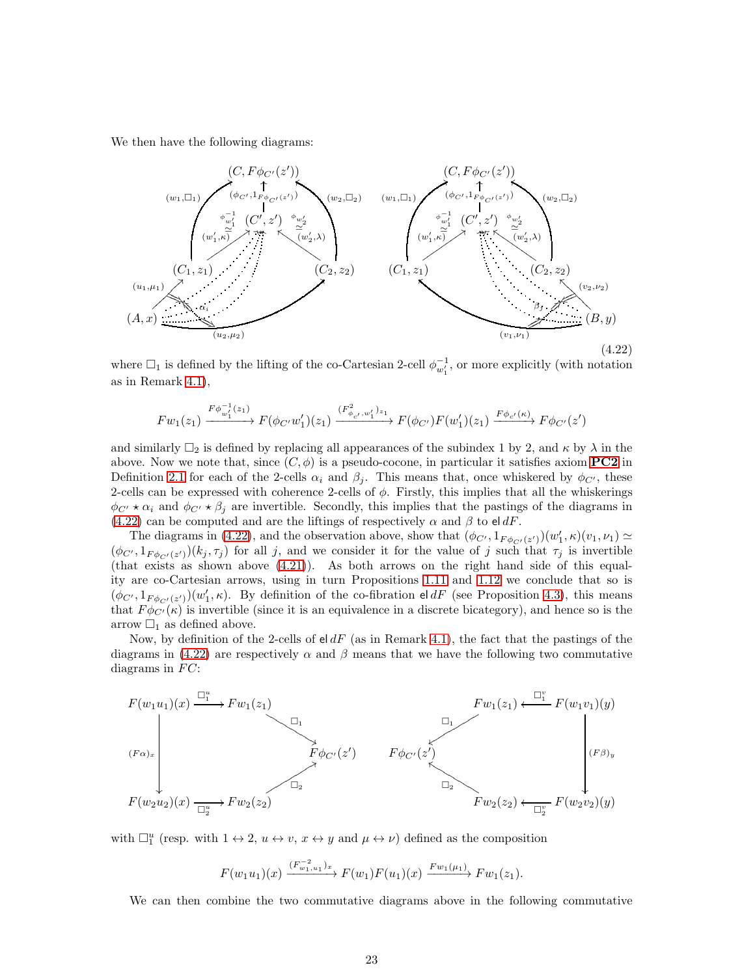We then have the following diagrams:

<span id="page-22-0"></span>

(4.22)

where  $\Box_1$  is defined by the lifting of the co-Cartesian 2-cell  $\phi_{w'_1}^{-1}$ , or more explicitly (with notation as in Remark [4.1\)](#page-16-3),

$$
Fw_1(z_1)\xrightarrow{F\phi_{w_1}^{-1}(z_1)} F(\phi_{C'}w_1')(z_1)\xrightarrow{(F^2_{\phi_{c'},w_1'})_{z_1}} F(\phi_{C'})F(w_1')(z_1)\xrightarrow{F\phi_{c'}(\kappa)} F\phi_{C'}(z')
$$

and similarly  $\Box_2$  is defined by replacing all appearances of the subindex 1 by 2, and  $\kappa$  by  $\lambda$  in the above. Now we note that, since  $(C, \phi)$  is a pseudo-cocone, in particular it satisfies axiom **[PC2](#page-6-5)** in Definition [2.1](#page-6-4) for each of the 2-cells  $\alpha_i$  and  $\beta_j$ . This means that, once whiskered by  $\phi_{C'}$ , these 2-cells can be expressed with coherence 2-cells of  $\phi$ . Firstly, this implies that all the whiskerings  $\phi_{C'} \star \alpha_i$  and  $\phi_{C'} \star \beta_i$  are invertible. Secondly, this implies that the pastings of the diagrams in [\(4.22\)](#page-22-0) can be computed and are the liftings of respectively  $\alpha$  and  $\beta$  to eldF.

The diagrams in [\(4.22\)](#page-22-0), and the observation above, show that  $(\phi_{C'}, 1_{F \phi_{C'}(z')})(w'_1, \kappa)(v_1, \nu_1) \simeq$  $(\phi_{C'}, 1_{F \phi_{C'}(z')})(k_j, \tau_j)$  for all j, and we consider it for the value of j such that  $\tau_j$  is invertible (that exists as shown above  $(4.21)$ ). As both arrows on the right hand side of this equality are co-Cartesian arrows, using in turn Propositions [1.11](#page-5-3) and [1.12](#page-5-4) we conclude that so is  $(\phi_{C'}, 1_{F \phi_{C'}(z')})(w'_1, \kappa)$ . By definition of the co-fibration eld F (see Proposition [4.3\)](#page-17-3), this means that  $F \phi_{C'}(\kappa)$  is invertible (since it is an equivalence in a discrete bicategory), and hence so is the arrow  $\Box_1$  as defined above.

Now, by definition of the 2-cells of  $\mathsf{el} dF$  (as in Remark [4.1\)](#page-16-3), the fact that the pastings of the diagrams in [\(4.22\)](#page-22-0) are respectively  $\alpha$  and  $\beta$  means that we have the following two commutative diagrams in  $FC$ :



with  $\Box_1^u$  (resp. with  $1 \leftrightarrow 2$ ,  $u \leftrightarrow v$ ,  $x \leftrightarrow y$  and  $\mu \leftrightarrow \nu$ ) defined as the composition

$$
F(w_1u_1)(x) \xrightarrow{(F_{w_1,u_1}^{-2})_x} F(w_1)F(u_1)(x) \xrightarrow{F_{w_1}(\mu_1)} F_{w_1}(z_1).
$$

We can then combine the two commutative diagrams above in the following commutative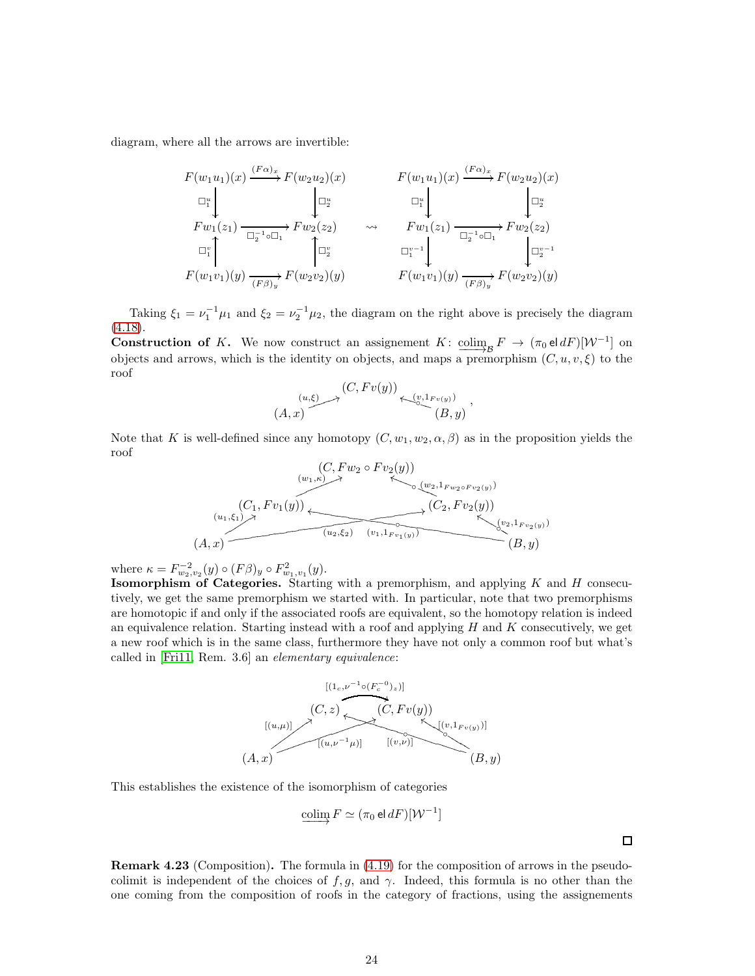diagram, where all the arrows are invertible:

$$
F(w_1u_1)(x) \xrightarrow{(F\alpha)_x} F(w_2u_2)(x) \qquad F(w_1u_1)(x) \xrightarrow{(F\alpha)_x} F(w_2u_2)(x)
$$
  
\n
$$
\Box_{1}^{u} \downarrow \qquad \qquad \Box_{2}^{u} \qquad \qquad \Box_{1}^{u} \downarrow \qquad \qquad \Box_{2}^{u}
$$
  
\n
$$
Fw_1(z_1) \xrightarrow{\Box_{2}^{-1}\circ\Box_{1}} Fw_2(z_2) \qquad \leadsto \qquad Fw_1(z_1) \xrightarrow{\Box_{2}^{-1}\circ\Box_{1}} Fw_2(z_2)
$$
  
\n
$$
\Box_{1}^{v} \uparrow \qquad \qquad \Box_{2}^{v}
$$
  
\n
$$
F(w_1v_1)(y) \xrightarrow{(F\beta)_y} F(w_2v_2)(y) \qquad \qquad F(w_1v_1)(y) \xrightarrow{(F\beta)_y} F(w_2v_2)(y)
$$

Taking  $\xi_1 = \nu_1^{-1} \mu_1$  and  $\xi_2 = \nu_2^{-1} \mu_2$ , the diagram on the right above is precisely the diagram  $(4.18).$  $(4.18).$ 

**Construction of K.** We now construct an assignement K:  $\underline{\text{colim}}_B F \rightarrow (\pi_0 \text{el } dF)[W^{-1}]$  on objects and arrows, which is the identity on objects, and maps a premorphism  $(C, u, v, \xi)$  to the roof

$$
(A,x) \longrightarrow \overset{(C,Fv(y))}{\longrightarrow} \underset{(B,y)}{\overset{(v,1_{Fv(y)})}{\longleftarrow}}.
$$

Note that K is well-defined since any homotopy  $(C, w_1, w_2, \alpha, \beta)$  as in the proposition yields the roof

$$
(C, Fw_2 \circ Fv_2(y))
$$
  
\n
$$
(w_1, k) \rightarrow (w_2, 1_{Fw_2 \circ Fv_2(y)})
$$
  
\n
$$
(u_1, \xi_1) \rightarrow (u_2, \xi_2) \rightarrow (v_1, 1_{Fv_1(y)})
$$
  
\n
$$
(A, x)
$$
  
\n
$$
(B, y)
$$

where  $\kappa = F_{w_2, v_2}^{-2}(y) \circ (F\beta)_y \circ F_{w_1, v_1}^2(y)$ .

**Isomorphism of Categories.** Starting with a premorphism, and applying  $K$  and  $H$  consecutively, we get the same premorphism we started with. In particular, note that two premorphisms are homotopic if and only if the associated roofs are equivalent, so the homotopy relation is indeed an equivalence relation. Starting instead with a roof and applying  $H$  and  $K$  consecutively, we get a new roof which is in the same class, furthermore they have not only a common roof but what's called in [\[Fri11,](#page-32-9) Rem. 3.6] an elementary equivalence:



This establishes the existence of the isomorphism of categories

$$
\underline{\text{colim}}\, F \simeq (\pi_0 \,\mathsf{el}\, dF)[\mathcal{W}^{-1}]
$$

<span id="page-23-0"></span>Remark 4.23 (Composition). The formula in [\(4.19\)](#page-20-1) for the composition of arrows in the pseudocolimit is independent of the choices of  $f, g$ , and  $\gamma$ . Indeed, this formula is no other than the one coming from the composition of roofs in the category of fractions, using the assignements

 $\Box$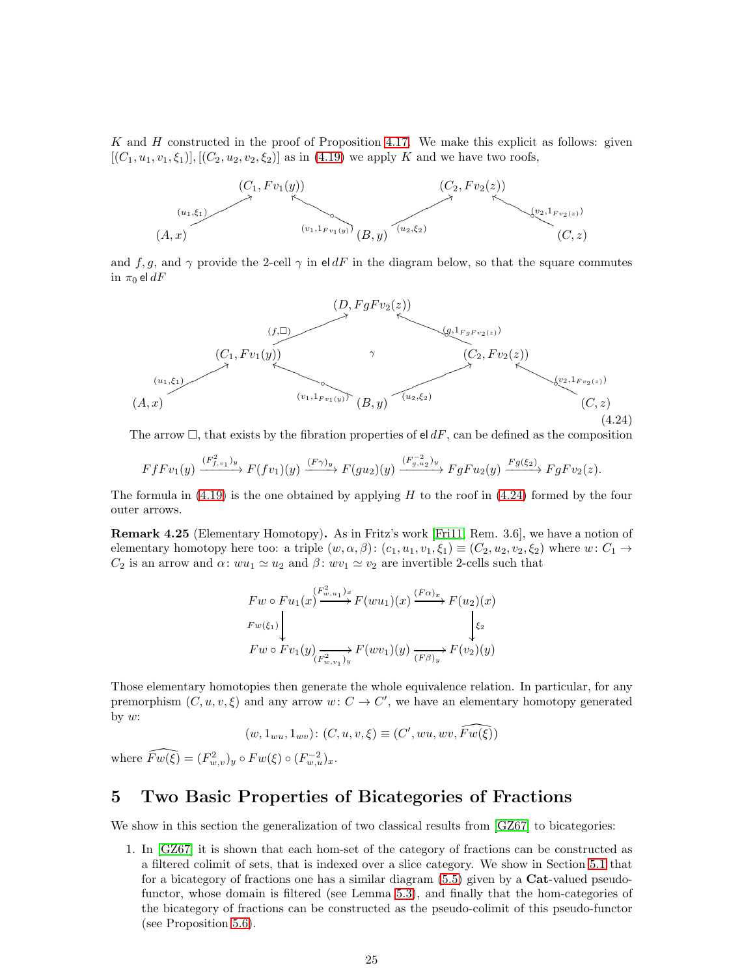K and  $H$  constructed in the proof of Proposition [4.17.](#page-19-1) We make this explicit as follows: given  $[(C_1, u_1, v_1, \xi_1)]$ ,  $[(C_2, u_2, v_2, \xi_2)]$  as in [\(4.19\)](#page-20-1) we apply K and we have two roofs,



and f, g, and  $\gamma$  provide the 2-cell  $\gamma$  in eldF in the diagram below, so that the square commutes in  $\pi_0$  el  $dF$ 

<span id="page-24-1"></span>

The arrow  $\Box$ , that exists by the fibration properties of el dF, can be defined as the composition

$$
FfFv_1(y) \xrightarrow{(F_{f,v_1}^2)y} F(fv_1)(y) \xrightarrow{(F\gamma)_y} F(gu_2)(y) \xrightarrow{(F_{g,u_2}^{-2})y} FgFu_2(y) \xrightarrow{Fg(\xi_2)} FgFv_2(z).
$$

The formula in  $(4.19)$  is the one obtained by applying H to the roof in  $(4.24)$  formed by the four outer arrows.

Remark 4.25 (Elementary Homotopy). As in Fritz's work [\[Fri11,](#page-32-9) Rem. 3.6], we have a notion of elementary homotopy here too: a triple  $(w, \alpha, \beta)$ :  $(c_1, u_1, v_1, \xi_1) \equiv (C_2, u_2, v_2, \xi_2)$  where  $w: C_1 \rightarrow$  $C_2$  is an arrow and  $\alpha: wu_1 \simeq u_2$  and  $\beta: wv_1 \simeq v_2$  are invertible 2-cells such that

$$
Fw \circ Fu_1(x) \xrightarrow{F_{w,u_1}^2} F(wu_1)(x) \xrightarrow{(Fa)x} F(u_2)(x)
$$
  
\n
$$
Fw(\xi_1) \downarrow \qquad \qquad \downarrow \xi_2
$$
  
\n
$$
Fw \circ Fv_1(y) \xrightarrow{(F_{w,v_1}^2)_y} F(wv_1)(y) \xrightarrow{(F\beta)_y} F(v_2)(y)
$$

Those elementary homotopies then generate the whole equivalence relation. In particular, for any premorphism  $(C, u, v, \xi)$  and any arrow  $w: C \to C'$ , we have an elementary homotopy generated by  $w$ :

$$
(w, 1_{wu}, 1_{wv}) \colon (C, u, v, \xi) \equiv (C', wu, wv, \widehat{Fw(\xi)})
$$

where  $\widehat{Fw(\xi)} = (F_{w,v}^2)_y \circ Fw(\xi) \circ (F_{w,u}^{-2})_x$ .

## <span id="page-24-0"></span>5 Two Basic Properties of Bicategories of Fractions

We show in this section the generalization of two classical results from [\[GZ67\]](#page-33-0) to bicategories:

1. In [\[GZ67\]](#page-33-0) it is shown that each hom-set of the category of fractions can be constructed as a filtered colimit of sets, that is indexed over a slice category. We show in Section [5.1](#page-25-0) that for a bicategory of fractions one has a similar diagram  $(5.5)$  given by a **Cat**-valued pseudofunctor, whose domain is filtered (see Lemma [5.3\)](#page-25-1), and finally that the hom-categories of the bicategory of fractions can be constructed as the pseudo-colimit of this pseudo-functor (see Proposition [5.6\)](#page-26-0).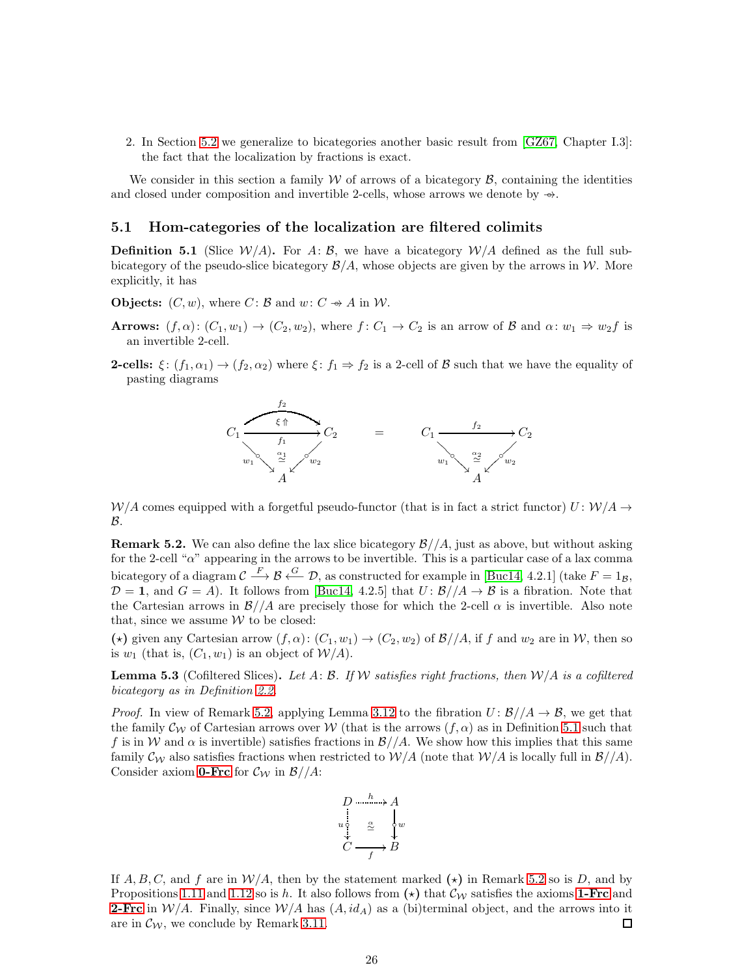2. In Section [5.2](#page-30-0) we generalize to bicategories another basic result from [\[GZ67,](#page-33-0) Chapter I.3]: the fact that the localization by fractions is exact.

We consider in this section a family  $W$  of arrows of a bicategory  $\mathcal{B}$ , containing the identities and closed under composition and invertible 2-cells, whose arrows we denote by  $\rightarrow \rightarrow$ .

#### <span id="page-25-0"></span>5.1 Hom-categories of the localization are filtered colimits

<span id="page-25-3"></span>**Definition 5.1** (Slice  $W/A$ ). For A: B, we have a bicategory  $W/A$  defined as the full subbicategory of the pseudo-slice bicategory  $\mathcal{B}/A$ , whose objects are given by the arrows in W. More explicitly, it has

**Objects:**  $(C, w)$ , where  $C: \mathcal{B}$  and  $w: C \rightarrow A$  in W.

- **Arrows:**  $(f, \alpha)$ :  $(C_1, w_1) \to (C_2, w_2)$ , where  $f: C_1 \to C_2$  is an arrow of B and  $\alpha: w_1 \Rightarrow w_2 f$  is an invertible 2-cell.
- **2-cells:**  $\xi$ :  $(f_1, \alpha_1) \rightarrow (f_2, \alpha_2)$  where  $\xi$ :  $f_1 \Rightarrow f_2$  is a 2-cell of B such that we have the equality of pasting diagrams



 $W/A$  comes equipped with a forgetful pseudo-functor (that is in fact a strict functor)  $U: W/A \rightarrow$ B.

<span id="page-25-2"></span>**Remark 5.2.** We can also define the lax slice bicategory  $\frac{\mathcal{B}}{\mathcal{A}}$ , just as above, but without asking for the 2-cell " $\alpha$ " appearing in the arrows to be invertible. This is a particular case of a lax comma bicategory of a diagram  $\mathcal{C} \stackrel{F}{\longrightarrow} \mathcal{B} \stackrel{G}{\longleftarrow} \mathcal{D}$ , as constructed for example in [\[Buc14,](#page-32-1) 4.2.1] (take  $F = 1_{\mathcal{B}}$ ,  $\mathcal{D} = 1$ , and  $G = \tilde{A}$ ). It follows from [\[Buc14,](#page-32-1) 4.2.5] that  $U : \mathcal{B}/\mathcal{A} \to \mathcal{B}$  is a fibration. Note that the Cartesian arrows in  $\mathcal{B}/\mathcal{A}$  are precisely those for which the 2-cell  $\alpha$  is invertible. Also note that, since we assume  $W$  to be closed:

(\*) given any Cartesian arrow  $(f, \alpha)$ :  $(C_1, w_1) \to (C_2, w_2)$  of  $\mathcal{B}/\mathcal{A}$ , if f and  $w_2$  are in W, then so is  $w_1$  (that is,  $(C_1, w_1)$  is an object of  $W/A$ ).

<span id="page-25-1"></span>**Lemma 5.3** (Cofiltered Slices). Let A: B. If W satisfies right fractions, then  $W/A$  is a cofiltered bicategory as in Definition [2.2.](#page-6-0)

*Proof.* In view of Remark [5.2,](#page-25-2) applying Lemma [3.12](#page-14-0) to the fibration  $U: \mathcal{B}/\mathcal{A} \to \mathcal{B}$ , we get that the family  $\mathcal{C}_{W}$  of Cartesian arrows over W (that is the arrows  $(f, \alpha)$  as in Definition [5.1](#page-25-3) such that f is in W and  $\alpha$  is invertible) satisfies fractions in  $\mathcal{B}/\mathcal{A}$ . We show how this implies that this same family  $\mathcal{C}_{\mathcal{W}}$  also satisfies fractions when restricted to  $\mathcal{W}/\mathcal{A}$  (note that  $\mathcal{W}/\mathcal{A}$  is locally full in  $\mathcal{B}/\mathcal{A}$ ). Consider axiom **[0-Frc](#page-10-0)** for  $\mathcal{C}_{\mathcal{W}}$  in  $\mathcal{B}/\mathcal{A}$ :



If  $A, B, C$ , and f are in  $\mathcal{W}/A$ , then by the statement marked  $(\star)$  in Remark [5.2](#page-25-2) so is D, and by Propositions [1.11](#page-5-3) and [1.12](#page-5-4) so is h. It also follows from ( $\star$ ) that  $\mathcal{C}_{\mathcal{W}}$  satisfies the axioms [1-Frc](#page-10-2) and **[2-Frc](#page-11-1)** in  $\mathcal{W}/A$ . Finally, since  $\mathcal{W}/A$  has  $(A, id_A)$  as a (bi)terminal object, and the arrows into it are in  $\mathcal{C}_{W}$ , we conclude by Remark [3.11.](#page-13-3) □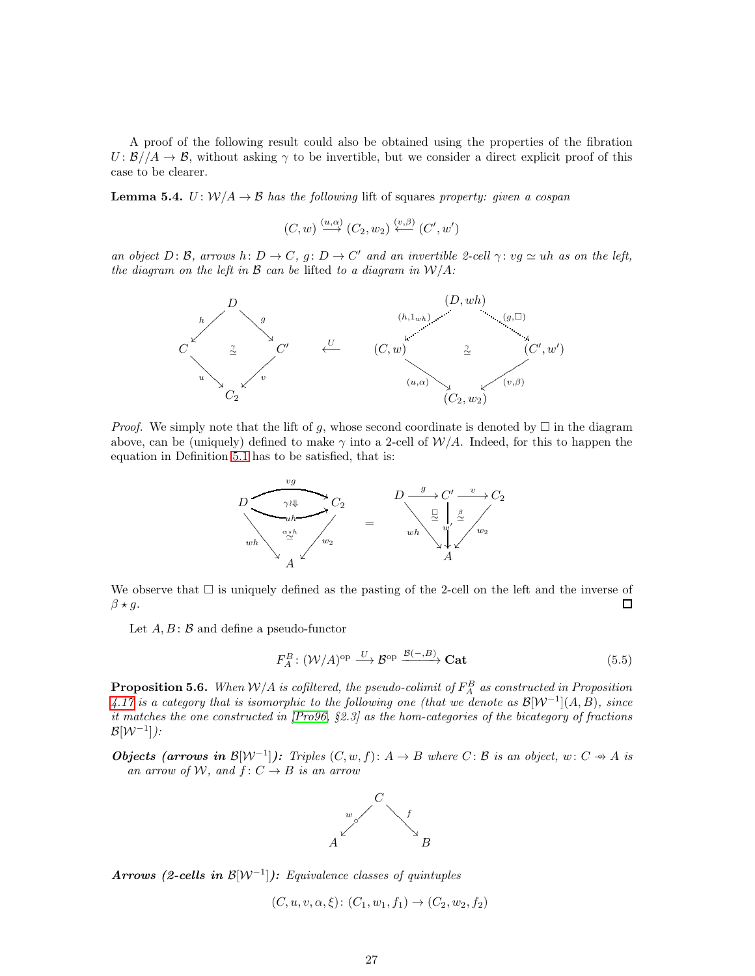A proof of the following result could also be obtained using the properties of the fibration  $U: \mathcal{B}/\mathcal{A} \to \mathcal{B}$ , without asking  $\gamma$  to be invertible, but we consider a direct explicit proof of this case to be clearer.

<span id="page-26-2"></span>**Lemma 5.4.**  $U: W/A \to B$  has the following lift of squares property: given a cospan

$$
(C, w) \stackrel{(u, \alpha)}{\longrightarrow} (C_2, w_2) \stackrel{(v, \beta)}{\longleftarrow} (C', w')
$$

an object D: B, arrows h:  $D \to C$ , g:  $D \to C'$  and an invertible 2-cell  $\gamma: v \text{g} \simeq uh$  as on the left, the diagram on the left in  $\mathcal B$  can be lifted to a diagram in  $\mathcal W/A$ :



*Proof.* We simply note that the lift of g, whose second coordinate is denoted by  $\Box$  in the diagram above, can be (uniquely) defined to make  $\gamma$  into a 2-cell of  $\mathcal{W}/A$ . Indeed, for this to happen the equation in Definition [5.1](#page-25-3) has to be satisfied, that is:



We observe that  $\Box$  is uniquely defined as the pasting of the 2-cell on the left and the inverse of  $\beta \star g$ . 口

Let  $A, B: \mathcal{B}$  and define a pseudo-functor

<span id="page-26-1"></span>
$$
F_A^B: (\mathcal{W}/A)^{\text{op}} \xrightarrow{U} \mathcal{B}^{\text{op}} \xrightarrow{\mathcal{B}(-,B)} \mathbf{Cat} \tag{5.5}
$$

<span id="page-26-0"></span>**Proposition 5.6.** When  $W/A$  is cofiltered, the pseudo-colimit of  $F_A^B$  as constructed in Proposition [4.17](#page-19-1) is a category that is isomorphic to the following one (that we denote as  $\mathcal{B}[W^{-1}](A, B)$ , since it matches the one constructed in [\[Pro96,](#page-33-3) §2.3] as the hom-categories of the bicategory of fractions  $\mathcal{B}[\mathcal{W}^{-1}])$ :

**Objects (arrows in B**[ $W^{-1}$ ]): Triples  $(C, w, f): A \rightarrow B$  where  $C: B$  is an object,  $w: C \rightarrow A$  is an arrow of W, and  $f: C \rightarrow B$  is an arrow



Arrows (2-cells in  $\mathcal{B}[W^{-1}]$ ): Equivalence classes of quintuples

$$
(C, u, v, \alpha, \xi) \colon (C_1, w_1, f_1) \to (C_2, w_2, f_2)
$$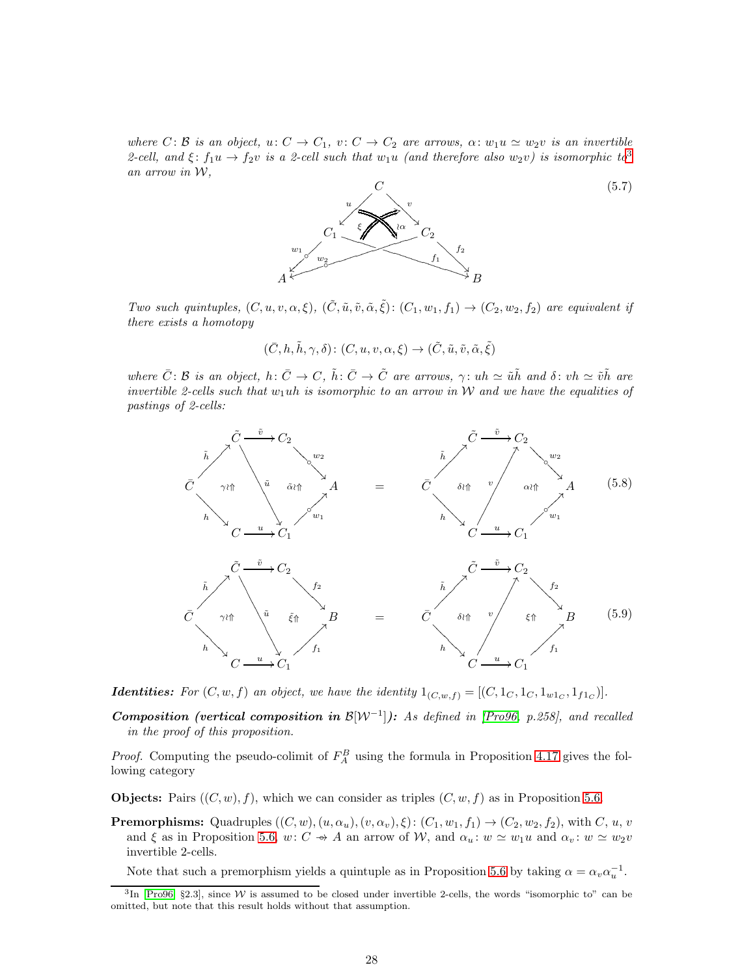where  $C: \mathcal{B}$  is an object,  $u: C \to C_1$ ,  $v: C \to C_2$  are arrows,  $\alpha: w_1u \simeq w_2v$  is an invertible 2-cell, and  $\xi: f_1u \to f_2v$  is a 2-cell such that  $w_1u$  (and therefore also  $w_2v$ ) is isomorphic to<sup>[3](#page-27-0)</sup> an arrow in W,

(5.7)



Two such quintuples,  $(C, u, v, \alpha, \xi)$ ,  $(\tilde{C}, \tilde{u}, \tilde{v}, \tilde{\alpha}, \tilde{\xi})$ :  $(C_1, w_1, f_1) \rightarrow (C_2, w_2, f_2)$  are equivalent if there exists a homotopy

$$
(\bar{C}, h, \tilde{h}, \gamma, \delta) \colon (C, u, v, \alpha, \xi) \to (\tilde{C}, \tilde{u}, \tilde{v}, \tilde{\alpha}, \tilde{\xi})
$$

where  $\bar{C}$ : B is an object, h:  $\bar{C} \to C$ ,  $\tilde{h}$ :  $\bar{C} \to \tilde{C}$  are arrows,  $\gamma$ : uh  $\simeq \tilde{u} \tilde{h}$  and  $\delta$ : vh  $\simeq \tilde{v} \tilde{h}$  are invertible 2-cells such that  $w_1uh$  is isomorphic to an arrow in W and we have the equalities of pastings of 2-cells:

<span id="page-27-1"></span>

<span id="page-27-2"></span>**Identities:** For  $(C, w, f)$  an object, we have the identity  $1_{(C, w, f)} = [(C, 1_C, 1_C, 1_{w1_C}, 1_{f1_C})]$ .

**Composition** (vertical composition in  $\mathcal{B}[W^{-1}]$ ): As defined in [\[Pro96,](#page-33-3) p.258], and recalled in the proof of this proposition.

*Proof.* Computing the pseudo-colimit of  $F_A^B$  using the formula in Proposition [4.17](#page-19-1) gives the following category

**Objects:** Pairs  $((C, w), f)$ , which we can consider as triples  $(C, w, f)$  as in Proposition [5.6.](#page-26-0)

**Premorphisms:** Quadruples  $((C, w), (u, \alpha_u), (v, \alpha_v), \xi) : (C_1, w_1, f_1) \to (C_2, w_2, f_2)$ , with C, u, v and  $\xi$  as in Proposition [5.6,](#page-26-0) w: C → A an arrow of W, and  $\alpha_u : w \simeq w_1u$  and  $\alpha_v : w \simeq w_2v$ invertible 2-cells.

Note that such a premorphism yields a quintuple as in Proposition [5.6](#page-26-0) by taking  $\alpha = \alpha_v \alpha_u^{-1}$ .

<span id="page-27-0"></span><sup>&</sup>lt;sup>3</sup>In [\[Pro96,](#page-33-3) §2.3], since W is assumed to be closed under invertible 2-cells, the words "isomorphic to" can be omitted, but note that this result holds without that assumption.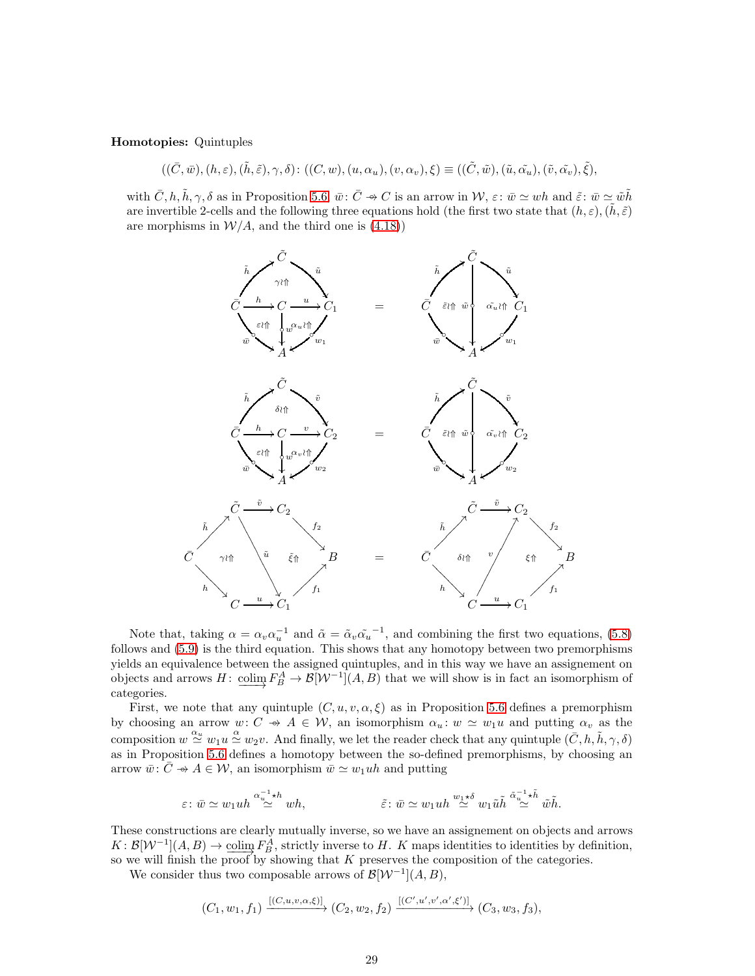#### Homotopies: Quintuples

$$
((\bar{C}, \bar{w}), (h, \varepsilon), (\tilde{h}, \tilde{\varepsilon}), \gamma, \delta) \colon ((C, w), (u, \alpha_u), (v, \alpha_v), \xi) \equiv ((\tilde{C}, \tilde{w}), (\tilde{u}, \tilde{\alpha_u}), (\tilde{v}, \tilde{\alpha_v}), \tilde{\xi}),
$$

with  $\bar{C}, h, \tilde{h}, \gamma, \delta$  as in Proposition [5.6,](#page-26-0)  $\bar{w}: \bar{C} \rightarrow C$  is an arrow in  $\mathcal{W}, \varepsilon: \bar{w} \simeq wh$  and  $\tilde{\varepsilon}: \bar{w} \simeq \tilde{wh}$ are invertible 2-cells and the following three equations hold (the first two state that  $(h, \varepsilon)$ ,  $(\tilde{h}, \tilde{\varepsilon})$ ) are morphisms in  $\mathcal{W}/A$ , and the third one is [\(4.18\)](#page-19-3))



Note that, taking  $\alpha = \alpha_v \alpha_u^{-1}$  and  $\tilde{\alpha} = \tilde{\alpha}_v \tilde{\alpha_u}^{-1}$ , and combining the first two equations, [\(5.8\)](#page-27-1) follows and [\(5.9\)](#page-27-2) is the third equation. This shows that any homotopy between two premorphisms yields an equivalence between the assigned quintuples, and in this way we have an assignement on objects and arrows  $H: \underline{\text{colim}} F_B^A \to \mathcal{B}[\mathcal{W}^{-1}](A, B)$  that we will show is in fact an isomorphism of categories.

First, we note that any quintuple  $(C, u, v, \alpha, \xi)$  as in Proposition [5.6](#page-26-0) defines a premorphism by choosing an arrow  $w: C \rightarrow A \in W$ , an isomorphism  $\alpha_u: w \simeq w_1u$  and putting  $\alpha_v$  as the composition  $w \stackrel{\alpha_u}{\simeq} w_1 u \stackrel{\alpha}{\simeq} w_2 v$ . And finally, we let the reader check that any quintuple  $(\bar{C}, h, \tilde{h}, \gamma, \delta)$ as in Proposition [5.6](#page-26-0) defines a homotopy between the so-defined premorphisms, by choosing an arrow  $\bar{w}: \bar{C} \rightarrow A \in \mathcal{W}$ , an isomorphism  $\bar{w} \simeq w_1uh$  and putting

$$
\varepsilon \colon \bar{w} \simeq w_1 u h \stackrel{\alpha_u^{-1} \star h}{\simeq} wh, \qquad \qquad \tilde{\varepsilon} \colon \bar{w} \simeq w_1 u h \stackrel{w_1 \star \delta}{\simeq} w_1 \tilde{u} \tilde{h} \stackrel{\tilde{\alpha}_u^{-1} \star \tilde{h}}{\simeq} \tilde{w} \tilde{h}.
$$

These constructions are clearly mutually inverse, so we have an assignement on objects and arrows  $K: \mathcal{B}[\mathcal{W}^{-1}](A, B) \to \underline{\text{colim}} F_B^A$ , strictly inverse to H. K maps identities to identities by definition, so we will finish the proof by showing that  $K$  preserves the composition of the categories.

We consider thus two composable arrows of  $\mathcal{B}[\mathcal{W}^{-1}](A, B)$ ,

$$
(C_1, w_1, f_1) \xrightarrow{[(C, u, v, \alpha, \xi)]} (C_2, w_2, f_2) \xrightarrow{[(C', u', v', \alpha', \xi')]} (C_3, w_3, f_3),
$$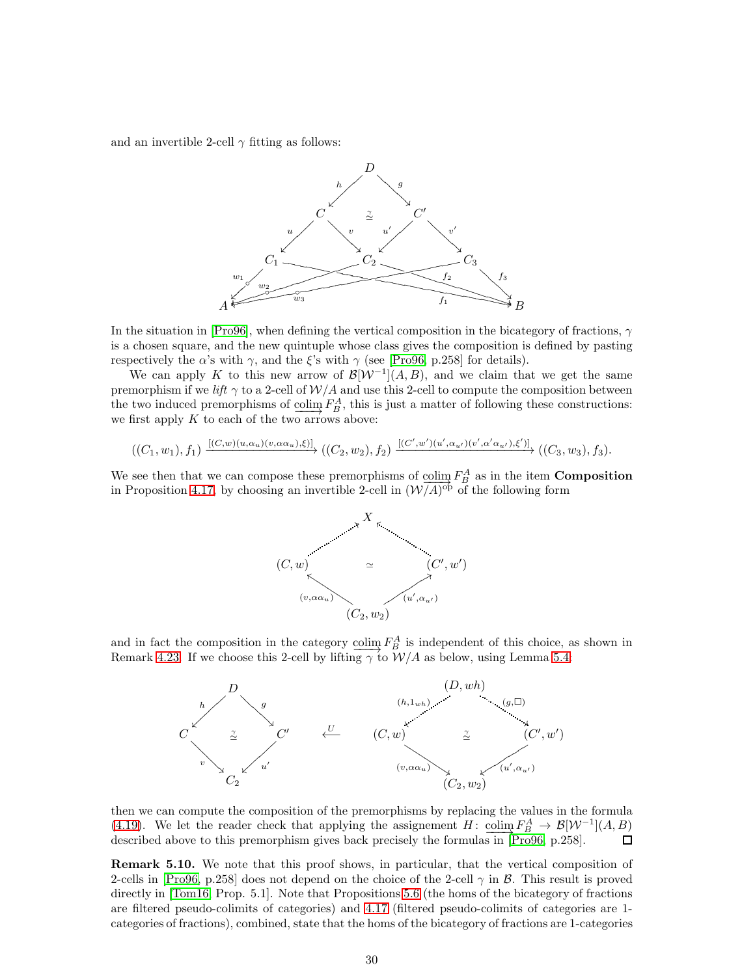and an invertible 2-cell  $\gamma$  fitting as follows:



In the situation in [\[Pro96\]](#page-33-3), when defining the vertical composition in the bicategory of fractions,  $\gamma$ is a chosen square, and the new quintuple whose class gives the composition is defined by pasting respectively the  $\alpha$ 's with  $\gamma$ , and the ξ's with  $\gamma$  (see [\[Pro96,](#page-33-3) p.258] for details).

We can apply K to this new arrow of  $\mathcal{B}[\mathcal{W}^{-1}](A, B)$ , and we claim that we get the same premorphism if we lift  $\gamma$  to a 2-cell of  $W/A$  and use this 2-cell to compute the composition between the two induced premorphisms of  $\underline{\text{colim}} F_B^A$ , this is just a matter of following these constructions: we first apply  $K$  to each of the two arrows above:

$$
((C_1,w_1),f_1)\xrightarrow{[(C,w)(u,\alpha_u)(v,\alpha_{\alpha_u}),\xi)]} ((C_2,w_2),f_2)\xrightarrow{[(C',w')(u',\alpha_{u'})(v',\alpha'\alpha_{u'}),\xi')]}\big((C_3,w_3),f_3\big).
$$

We see then that we can compose these premorphisms of  $\text{colim}_{f} F_A^A$  as in the item **Composition**<br>in Premarition 4.17, by charging on investible 2, call in  $(\mathcal{M}/\Lambda)_{\text{QCD}}$  of the following farm in Proposition [4.17,](#page-19-1) by choosing an invertible 2-cell in  $(\mathcal{W}(\overline{A})^{\text{op}})$  of the following form



and in fact the composition in the category  $\text{colim } F_A^A$  is independent of this choice, as shown in Remark [4.23.](#page-23-0) If we choose this 2-cell by lifting  $\gamma$  to  $W/A$  as below, using Lemma [5.4:](#page-26-2)



then we can compute the composition of the premorphisms by replacing the values in the formula [\(4.19\)](#page-20-1). We let the reader check that applying the assignement  $H: \underline{\text{colim}} F_B^A \to \mathcal{B}[\mathcal{W}^{-1}](A, B)$  $\Box$ described above to this premorphism gives back precisely the formulas in [\[Pro96,](#page-33-3) p.258].

Remark 5.10. We note that this proof shows, in particular, that the vertical composition of 2-cells in [\[Pro96,](#page-33-3) p.258] does not depend on the choice of the 2-cell  $\gamma$  in  $\beta$ . This result is proved directly in [\[Tom16,](#page-33-5) Prop. 5.1]. Note that Propositions [5.6](#page-26-0) (the homs of the bicategory of fractions are filtered pseudo-colimits of categories) and [4.17](#page-19-1) (filtered pseudo-colimits of categories are 1 categories of fractions), combined, state that the homs of the bicategory of fractions are 1-categories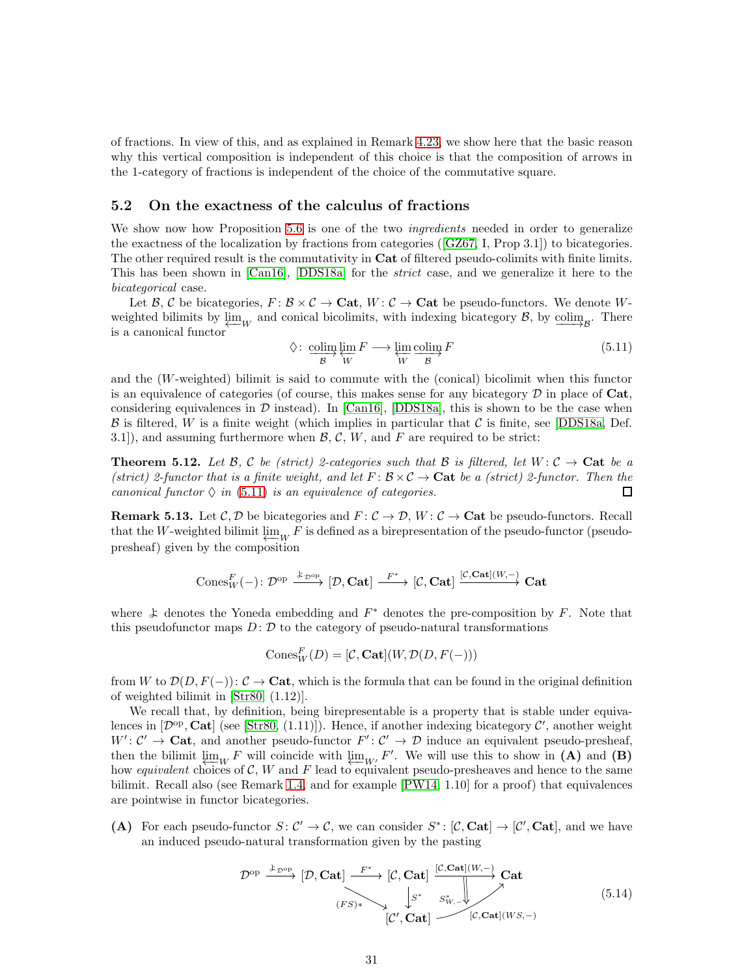of fractions. In view of this, and as explained in Remark [4.23,](#page-23-0) we show here that the basic reason why this vertical composition is independent of this choice is that the composition of arrows in the 1-category of fractions is independent of the choice of the commutative square.

#### <span id="page-30-0"></span>5.2 On the exactness of the calculus of fractions

We show now how Proposition [5.6](#page-26-0) is one of the two *ingredients* needed in order to generalize the exactness of the localization by fractions from categories([\[GZ67,](#page-33-0) I, Prop 3.1]) to bicategories. The other required result is the commutativity in Cat of filtered pseudo-colimits with finite limits. This has been shown in [\[Can16\]](#page-32-5), [\[DDS18a\]](#page-32-6) for the strict case, and we generalize it here to the bicategorical case.

Let B, C be bicategories,  $F: \mathcal{B} \times \mathcal{C} \to \mathbf{Cat}$ ,  $W: \mathcal{C} \to \mathbf{Cat}$  be pseudo-functors. We denote Wweighted bilimits by  $\varprojlim_{W}$  and conical bicolimits, with indexing bicategory B, by  $\varinjlim_{\mathcal{B}}$ . There is a canonical functor

<span id="page-30-1"></span>
$$
\Diamond: \underset{\mathcal{B}}{\text{colim}} \lim_{N} F \longrightarrow \underset{W}{\text{lim}} \underset{\mathcal{B}}{\text{colim}} F
$$
\n(5.11)

and the  $(W$ -weighted) bilimit is said to commute with the (conical) bicolimit when this functor is an equivalence of categories (of course, this makes sense for any bicategory  $\mathcal D$  in place of Cat, considering equivalences in  $\mathcal D$  instead). In [\[Can16\]](#page-32-5), [\[DDS18a\]](#page-32-6), this is shown to be the case when  $\beta$  is filtered, W is a finite weight (which implies in particular that C is finite, see [\[DDS18a,](#page-32-6) Def. 3.1]), and assuming furthermore when  $\mathcal{B}, \mathcal{C}, W$ , and F are required to be strict:

<span id="page-30-3"></span>**Theorem 5.12.** Let  $\mathcal{B}, \mathcal{C}$  be (strict) 2-categories such that  $\mathcal{B}$  is filtered, let  $W : \mathcal{C} \to \mathbf{Cat}$  be a (strict) 2-functor that is a finite weight, and let  $F: \mathcal{B} \times \mathcal{C} \to \mathbf{Cat}$  be a (strict) 2-functor. Then the canonical functor  $\Diamond$  in [\(5.11\)](#page-30-1) is an equivalence of categories.  $\Box$ 

<span id="page-30-4"></span>**Remark 5.13.** Let  $\mathcal{C}, \mathcal{D}$  be bicategories and  $F: \mathcal{C} \to \mathcal{D}$ ,  $W: \mathcal{C} \to \mathbf{Cat}$  be pseudo-functors. Recall that the W-weighted bilimit  $\varprojlim_{W} F$  is defined as a birepresentation of the pseudo-functor (pseudopresheaf) given by the composition

$$
\mathrm{Cones}^F_W(-)\colon \mathcal{D}^{\mathrm{op}} \xrightarrow{\ \ \mathcal{K}_{\mathcal{D}^{\mathrm{op}}\}}[\mathcal{D},\mathbf{Cat}] \xrightarrow{\ F^*}\ [\mathcal{C},\mathbf{Cat}] \xrightarrow{[\mathcal{C},\mathbf{Cat}](W,-)} \mathbf{Cat}
$$

where  $\ddot{\star}$  denotes the Yoneda embedding and  $F^*$  denotes the pre-composition by F. Note that this pseudofunctor maps  $D: \mathcal{D}$  to the category of pseudo-natural transformations

$$
\mathrm{Cones}_W^F(D) = [\mathcal{C}, \mathbf{Cat}](W, \mathcal{D}(D, F(-)))
$$

from W to  $\mathcal{D}(D, F(-))$ :  $\mathcal{C} \to \mathbf{Cat}$ , which is the formula that can be found in the original definition of weighted bilimit in [\[Str80,](#page-33-12) (1.12)].

We recall that, by definition, being birepresentable is a property that is stable under equivalences in  $[\mathcal{D}^{op}, \mathbf{Cat}]$  (see [\[Str80,](#page-33-12) (1.11)]). Hence, if another indexing bicategory  $\mathcal{C}'$ , another weight  $W' : C' \to \mathbf{Cat}$ , and another pseudo-functor  $F' : C' \to \mathcal{D}$  induce an equivalent pseudo-presheaf, then the bilimit  $\lim_{k \to \infty} F$  will coincide with  $\lim_{k \to \infty} F'$ . We will use this to show in (A) and (B) how equivalent choices of  $\mathcal{C}, W$  and F lead to equivalent pseudo-presheaves and hence to the same bilimit. Recall also (see Remark [1.4,](#page-4-3) and for example [\[PW14,](#page-33-13) 1.10] for a proof) that equivalences are pointwise in functor bicategories.

(A) For each pseudo-functor  $S: \mathcal{C}' \to \mathcal{C}$ , we can consider  $S^*: [\mathcal{C}, \mathbf{Cat}] \to [\mathcal{C}', \mathbf{Cat}]$ , and we have an induced pseudo-natural transformation given by the pasting

<span id="page-30-2"></span>
$$
\mathcal{D}^{\text{op}} \xrightarrow{\&_{\mathcal{D}^{\text{op}}}} [\mathcal{D}, \mathbf{Cat}] \xrightarrow{F^*} [\mathcal{C}, \mathbf{Cat}] \xrightarrow{[\mathcal{C}, \mathbf{Cat}](W, -)} \mathbf{Cat}
$$
\n
$$
\xrightarrow{F^*} [\mathcal{C}', \mathbf{Cat}] \xrightarrow{\& \mathcal{S}^*_{W, -}} [\mathcal{C}, \mathbf{Cat}](W, -)} [\mathcal{C}, \mathbf{Cat}](W, -)
$$
\n
$$
[C', \mathbf{Cat}] \xrightarrow{[\mathcal{C}, \mathbf{Cat}](W, -)} [\mathcal{C}, \mathbf{Cat}]
$$
\n
$$
(5.14)
$$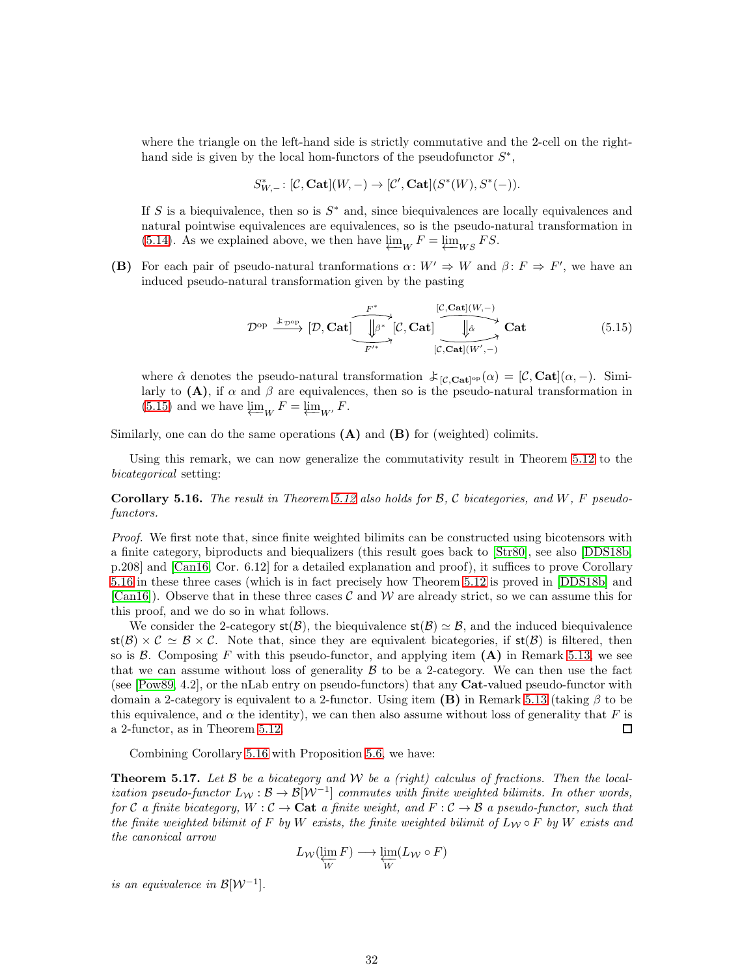where the triangle on the left-hand side is strictly commutative and the 2-cell on the righthand side is given by the local hom-functors of the pseudofunctor  $S^*$ ,

$$
S^*_{W, -} \colon [\mathcal{C}, \mathbf{Cat}](W, -) \to [\mathcal{C}', \mathbf{Cat}](S^*(W), S^*(-)).
$$

If S is a biequivalence, then so is  $S^*$  and, since biequivalences are locally equivalences and natural pointwise equivalences are equivalences, so is the pseudo-natural transformation in [\(5.14\)](#page-30-2). As we explained above, we then have  $\varprojlim_{W} F = \varprojlim_{WS} FS$ .

(B) For each pair of pseudo-natural tranformations  $\alpha: W' \Rightarrow W$  and  $\beta: F \Rightarrow F'$ , we have an induced pseudo-natural transformation given by the pasting

<span id="page-31-1"></span>
$$
\mathcal{D}^{\mathrm{op}} \xrightarrow{\mathbf{\pounds}_{\mathcal{D}^{\mathrm{op}}}} [\mathcal{D}, \mathbf{Cat}] \xrightarrow{\begin{array}{|c|c|c|c|c|c} \hline F^* & & [\mathcal{C}, \mathbf{Cat}](W, -) \\ \hline \hline \mathcal{F}'^* & & [\mathcal{C}, \mathbf{Cat}](W', -) \end{array}} \mathbf{Cat} \tag{5.15}
$$

where  $\hat{\alpha}$  denotes the pseudo-natural transformation  $\mathcal{L}_{[C, \text{Cat}]^{\text{op}}}(\alpha) = [C, \text{Cat}](\alpha, -)$ . Similarly to  $(A)$ , if  $\alpha$  and  $\beta$  are equivalences, then so is the pseudo-natural transformation in [\(5.15\)](#page-31-1) and we have  $\varprojlim_{W} F = \varprojlim_{W'} F$ .

Similarly, one can do the same operations  $(A)$  and  $(B)$  for (weighted) colimits.

Using this remark, we can now generalize the commutativity result in Theorem [5.12](#page-30-3) to the bicategorical setting:

<span id="page-31-2"></span>**Corollary 5.16.** The result in Theorem [5.12](#page-30-3) also holds for  $\mathcal{B}, \mathcal{C}$  bicategories, and  $W, F$  pseudofunctors.

Proof. We first note that, since finite weighted bilimits can be constructed using bicotensors with a finite category, biproducts and biequalizers (this result goes back to [\[Str80\]](#page-33-12), see also [\[DDS18b,](#page-32-10) p.208] and [\[Can16,](#page-32-5) Cor. 6.12] for a detailed explanation and proof), it suffices to prove Corollary [5.16](#page-31-2) in these three cases (which is in fact precisely how Theorem [5.12](#page-30-3) is proved in [\[DDS18b\]](#page-32-10) and [\[Can16\]](#page-32-5)). Observe that in these three cases  $\mathcal C$  and  $\mathcal W$  are already strict, so we can assume this for this proof, and we do so in what follows.

We consider the 2-category  $\mathsf{st}(\mathcal{B})$ , the biequivalence  $\mathsf{st}(\mathcal{B}) \simeq \mathcal{B}$ , and the induced biequivalence  $\text{st}(\mathcal{B}) \times \mathcal{C} \simeq \mathcal{B} \times \mathcal{C}$ . Note that, since they are equivalent bicategories, if  $\text{st}(\mathcal{B})$  is filtered, then so is  $\beta$ . Composing F with this pseudo-functor, and applying item  $(A)$  in Remark [5.13,](#page-30-4) we see that we can assume without loss of generality  $\beta$  to be a 2-category. We can then use the fact (see [\[Pow89,](#page-33-14) 4.2], or the nLab entry on pseudo-functors) that any Cat-valued pseudo-functor with domain a 2-category is equivalent to a 2-functor. Using item  $(B)$  in Remark [5.13](#page-30-4) (taking  $\beta$  to be this equivalence, and  $\alpha$  the identity), we can then also assume without loss of generality that F is a 2-functor, as in Theorem [5.12.](#page-30-3)  $\Box$ 

Combining Corollary [5.16](#page-31-2) with Proposition [5.6,](#page-26-0) we have:

<span id="page-31-0"></span>**Theorem 5.17.** Let  $\beta$  be a bicategory and  $\mathcal{W}$  be a (right) calculus of fractions. Then the localization pseudo-functor  $L_W : \mathcal{B} \to \mathcal{B}[W^{-1}]$  commutes with finite weighted bilimits. In other words, for C a finite bicategory,  $W : \mathcal{C} \to \mathbf{Cat}$  a finite weight, and  $F : \mathcal{C} \to \mathcal{B}$  a pseudo-functor, such that the finite weighted bilimit of F by W exists, the finite weighted bilimit of  $L_W \circ F$  by W exists and the canonical arrow

$$
L_{\mathcal{W}}(\varprojlim_{W} F) \longrightarrow \varprojlim_{W} (L_{\mathcal{W}} \circ F)
$$

is an equivalence in  $\mathcal{B}[\mathcal{W}^{-1}]$ .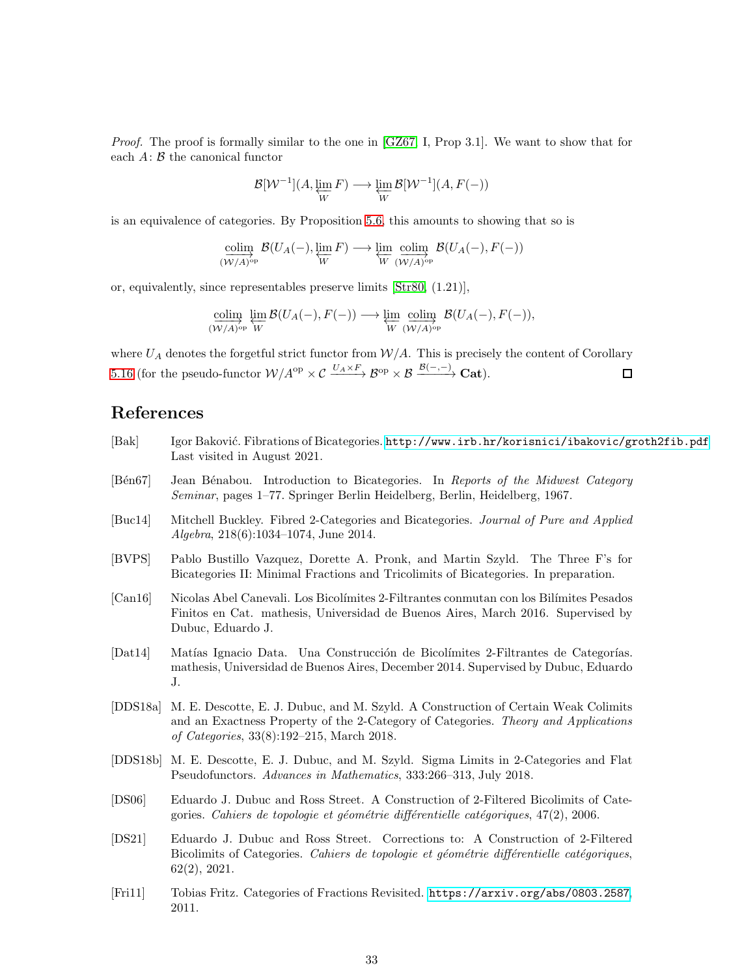Proof. The proof is formally similar to the one in [\[GZ67,](#page-33-0) I, Prop 3.1]. We want to show that for each  $A: \mathcal{B}$  the canonical functor

$$
\mathcal{B}[\mathcal{W}^{-1}](A, \varprojlim_{W} F) \longrightarrow \varprojlim_{W} \mathcal{B}[\mathcal{W}^{-1}](A, F(-))
$$

is an equivalence of categories. By Proposition [5.6,](#page-26-0) this amounts to showing that so is

$$
\underset{(W/A)^{\text{op}}}{\text{colim}} \mathcal{B}(U_A(-), \underset{W}{\varprojlim} F) \longrightarrow \underset{W}{\varprojlim} \underset{(W/A)^{\text{op}}}{\text{colim}} \mathcal{B}(U_A(-), F(-))
$$

or, equivalently, since representables preserve limits [\[Str80,](#page-33-12) (1.21)],

$$
\underset{(W/A)^{\rm op}}{\underbrace{\operatorname{colim}}}\ \underset{W}{\varprojlim}\ \mathcal{B}(U_A(-),F(-)) \longrightarrow \underset{W}{\varprojlim}\ \underset{(W/A)^{\rm op}}{\underbrace{\operatorname{colim}}}\ \mathcal{B}(U_A(-),F(-)),
$$

where  $U_A$  denotes the forgetful strict functor from  $\mathcal{W}/A$ . This is precisely the content of Corollary [5.16](#page-31-2) (for the pseudo-functor  $W/A^{op} \times \mathcal{C} \xrightarrow{U_A \times F} \mathcal{B}^{op} \times \mathcal{B} \xrightarrow{\mathcal{B}(-,-)} \mathbf{Cat}$ ).  $\Box$ 

## References

- <span id="page-32-0"></span>[Bak] Igor Baković. Fibrations of Bicategories. <http://www.irb.hr/korisnici/ibakovic/groth2fib.pdf> Last visited in August 2021.
- <span id="page-32-8"></span>[Bén67] Jean Bénabou. Introduction to Bicategories. In Reports of the Midwest Category Seminar, pages 1–77. Springer Berlin Heidelberg, Berlin, Heidelberg, 1967.
- <span id="page-32-1"></span>[Buc14] Mitchell Buckley. Fibred 2-Categories and Bicategories. Journal of Pure and Applied Algebra, 218(6):1034–1074, June 2014.
- <span id="page-32-2"></span>[BVPS] Pablo Bustillo Vazquez, Dorette A. Pronk, and Martin Szyld. The Three F's for Bicategories II: Minimal Fractions and Tricolimits of Bicategories. In preparation.
- <span id="page-32-5"></span>[Can16] Nicolas Abel Canevali. Los Bicol´ımites 2-Filtrantes conmutan con los Bil´ımites Pesados Finitos en Cat. mathesis, Universidad de Buenos Aires, March 2016. Supervised by Dubuc, Eduardo J.
- <span id="page-32-4"></span>[Dat14] Matías Ignacio Data. Una Construcción de Bicolímites 2-Filtrantes de Categorías. mathesis, Universidad de Buenos Aires, December 2014. Supervised by Dubuc, Eduardo J.
- <span id="page-32-6"></span>[DDS18a] M. E. Descotte, E. J. Dubuc, and M. Szyld. A Construction of Certain Weak Colimits and an Exactness Property of the 2-Category of Categories. Theory and Applications of Categories, 33(8):192–215, March 2018.
- <span id="page-32-10"></span>[DDS18b] M. E. Descotte, E. J. Dubuc, and M. Szyld. Sigma Limits in 2-Categories and Flat Pseudofunctors. Advances in Mathematics, 333:266–313, July 2018.
- <span id="page-32-3"></span>[DS06] Eduardo J. Dubuc and Ross Street. A Construction of 2-Filtered Bicolimits of Categories. Cahiers de topologie et géométrie différentielle catégoriques, 47(2), 2006.
- <span id="page-32-7"></span>[DS21] Eduardo J. Dubuc and Ross Street. Corrections to: A Construction of 2-Filtered Bicolimits of Categories. Cahiers de topologie et géométrie différentielle catégoriques, 62(2), 2021.
- <span id="page-32-9"></span>[Fri11] Tobias Fritz. Categories of Fractions Revisited. <https://arxiv.org/abs/0803.2587>, 2011.